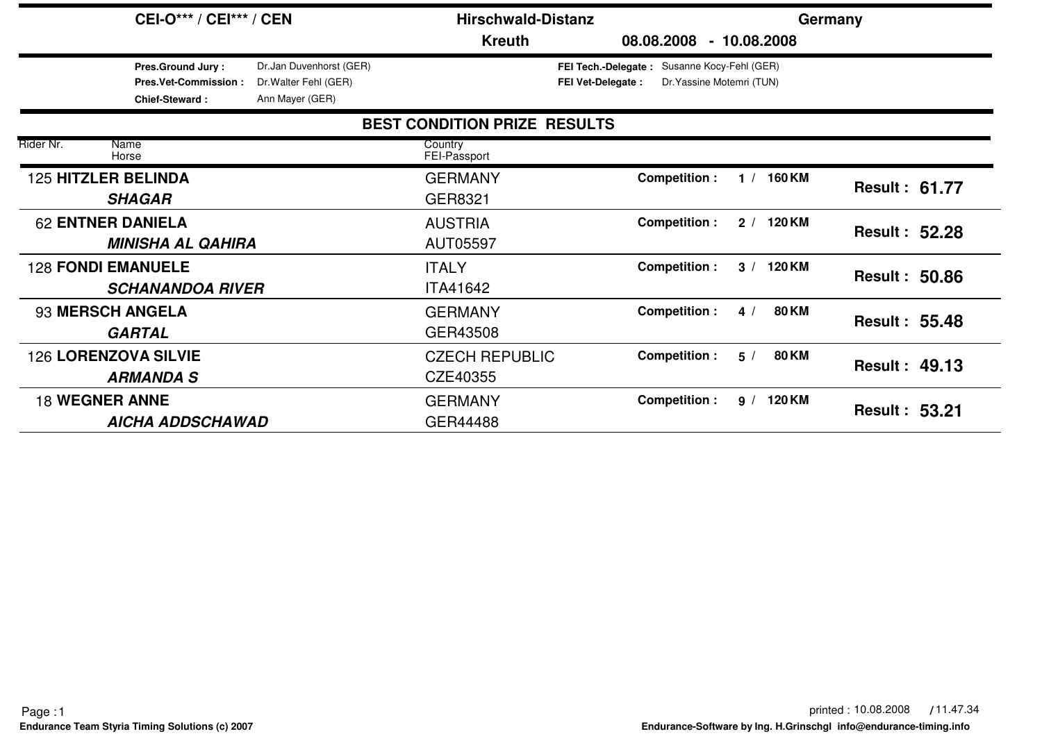|                                                 | <b>CEI-O*** / CEI*** / CEN</b>                                            |                                                                     | <b>Hirschwald-Distanz</b>           |                                                                                                         | Germany              |
|-------------------------------------------------|---------------------------------------------------------------------------|---------------------------------------------------------------------|-------------------------------------|---------------------------------------------------------------------------------------------------------|----------------------|
|                                                 |                                                                           |                                                                     | <b>Kreuth</b>                       | $-10.08,2008$<br>08.08.2008                                                                             |                      |
|                                                 | <b>Pres.Ground Jury:</b><br>Pres.Vet-Commission:<br><b>Chief-Steward:</b> | Dr.Jan Duvenhorst (GER)<br>Dr. Walter Fehl (GER)<br>Ann Mayer (GER) |                                     | Susanne Kocy-Fehl (GER)<br>FEI Tech.-Delegate:<br>Dr. Yassine Motemri (TUN)<br><b>FEI Vet-Delegate:</b> |                      |
|                                                 |                                                                           |                                                                     | <b>BEST CONDITION PRIZE RESULTS</b> |                                                                                                         |                      |
| Rider Nr.<br>Name<br>Horse                      |                                                                           |                                                                     | Country<br>FEI-Passport             |                                                                                                         |                      |
| <b>125 HITZLER BELINDA</b><br><b>SHAGAR</b>     |                                                                           |                                                                     | <b>GERMANY</b><br>GER8321           | <b>Competition:</b><br>1 / 160 KM                                                                       | <b>Result: 61.77</b> |
| <b>62 ENTNER DANIELA</b>                        | <b>MINISHA AL QAHIRA</b>                                                  |                                                                     | <b>AUSTRIA</b><br>AUT05597          | <b>Competition:</b><br>2 / 120 KM                                                                       | <b>Result: 52.28</b> |
| <b>128 FONDI EMANUELE</b>                       | <b>SCHANANDOA RIVER</b>                                                   |                                                                     | <b>ITALY</b><br><b>ITA41642</b>     | <b>Competition:</b><br>3 / 120 KM                                                                       | <b>Result: 50.86</b> |
| 93 MERSCH ANGELA<br><b>GARTAL</b>               |                                                                           |                                                                     | <b>GERMANY</b><br>GER43508          | <b>80 KM</b><br><b>Competition:</b><br>4/                                                               | <b>Result: 55.48</b> |
| <b>126 LORENZOVA SILVIE</b><br><b>ARMANDA S</b> |                                                                           |                                                                     | <b>CZECH REPUBLIC</b><br>CZE40355   | <b>80 KM</b><br>Competition :<br>5/                                                                     | <b>Result: 49.13</b> |
| <b>18 WEGNER ANNE</b>                           | <b>AICHA ADDSCHAWAD</b>                                                   |                                                                     | <b>GERMANY</b><br>GER44488          | Competition :<br>9 / 120 KM                                                                             | <b>Result: 53.21</b> |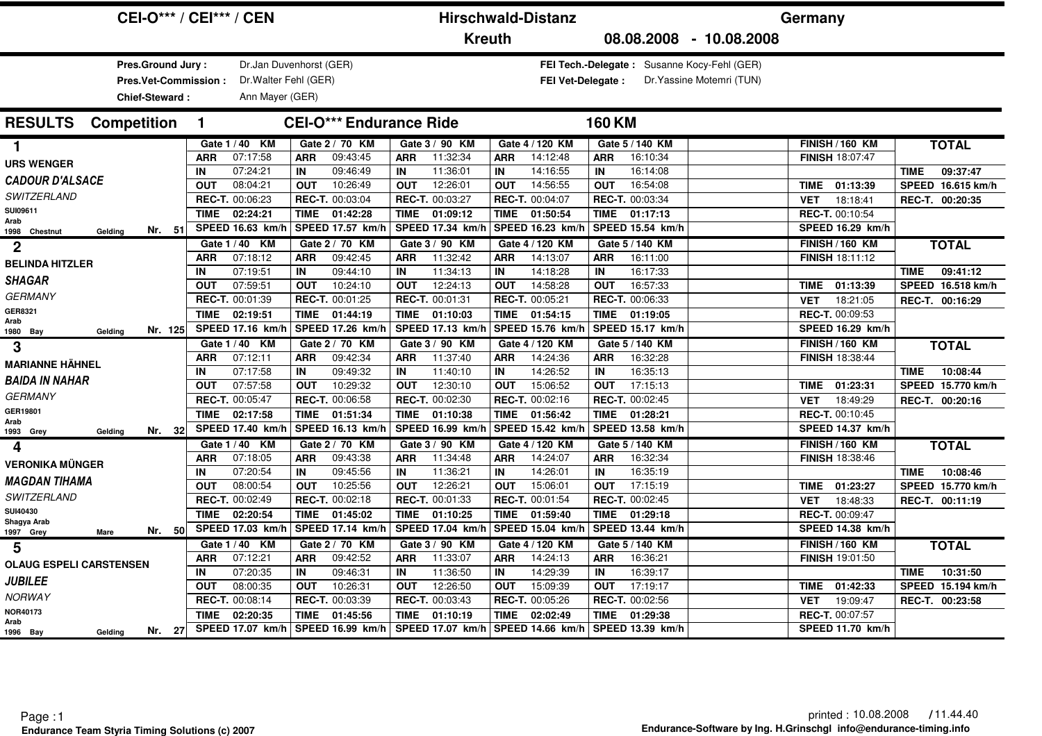|                                                  | <b>CEI-O*** / CEI*** / CEN</b> |                                |                         | <b>Hirschwald-Distanz</b> |                                                                          | Germany                 |                         |  |  |
|--------------------------------------------------|--------------------------------|--------------------------------|-------------------------|---------------------------|--------------------------------------------------------------------------|-------------------------|-------------------------|--|--|
|                                                  |                                |                                | <b>Kreuth</b>           |                           | 08.08.2008 - 10.08.2008                                                  |                         |                         |  |  |
| <b>Pres.Ground Jury:</b><br>Pres.Vet-Commission: | Dr. Walter Fehl (GER)          | Dr.Jan Duvenhorst (GER)        |                         | <b>FEI Vet-Delegate:</b>  | FEI Tech.-Delegate: Susanne Kocy-Fehl (GER)<br>Dr. Yassine Motemri (TUN) |                         |                         |  |  |
| Chief-Steward:                                   | Ann Mayer (GER)                |                                |                         |                           |                                                                          |                         |                         |  |  |
| <b>RESULTS</b><br><b>Competition</b>             | $\mathbf 1$                    | <b>CEI-O*** Endurance Ride</b> |                         |                           | <b>160 KM</b>                                                            |                         |                         |  |  |
| 1.                                               | Gate 1 / 40 KM                 | Gate 2 / 70 KM                 | Gate 3 / 90 KM          | Gate 4 / 120 KM           | Gate 5 / 140 KM                                                          | <b>FINISH / 160 KM</b>  | <b>TOTAL</b>            |  |  |
| <b>URS WENGER</b>                                | 07:17:58<br><b>ARR</b>         | 09:43:45<br><b>ARR</b>         | 11:32:34<br><b>ARR</b>  | 14:12:48<br><b>ARR</b>    | 16:10:34<br><b>ARR</b>                                                   | <b>FINISH 18:07:47</b>  |                         |  |  |
| <b>CADOUR D'ALSACE</b>                           | 07:24:21<br>IN                 | 09:46:49<br>IN                 | 11:36:01<br>IN          | IN<br>14:16:55            | IN<br>16:14:08                                                           |                         | 09:37:47<br><b>TIME</b> |  |  |
|                                                  | 08:04:21<br><b>OUT</b>         | 10:26:49<br><b>OUT</b>         | 12:26:01<br><b>OUT</b>  | 14:56:55<br><b>OUT</b>    | 16:54:08<br><b>OUT</b>                                                   | 01:13:39<br>TIME        | SPEED 16.615 km/h       |  |  |
| <b>SWITZERLAND</b>                               | REC-T. 00:06:23                | REC-T. 00:03:04                | REC-T. 00:03:27         | REC-T. 00:04:07           | REC-T. 00:03:34                                                          | 18:18:41<br><b>VET</b>  | REC-T. 00:20:35         |  |  |
| SUI09611<br>Arab                                 | 02:24:21<br><b>TIME</b>        | TIME 01:42:28                  | 01:09:12<br><b>TIME</b> | <b>TIME</b><br>01:50:54   | 01:17:13<br>TIME                                                         | REC-T. 00:10:54         |                         |  |  |
| Nr. 51<br>Gelding<br>1998 Chestnut               | SPEED 16.63 km/h               | SPEED 17.57 km/h               | SPEED 17.34 km/h        | SPEED 16.23 km/           | SPEED 15.54 km/h                                                         | SPEED 16.29 km/h        |                         |  |  |
| $\mathbf 2$                                      | Gate 1 / 40 KM                 | Gate 2 / 70 KM                 | Gate 3 / 90 KM          | Gate 4 / 120 KM           | Gate 5 / 140 KM                                                          | <b>FINISH / 160 KM</b>  | <b>TOTAL</b>            |  |  |
| <b>BELINDA HITZLER</b>                           | 07:18:12<br><b>ARR</b>         | 09:42:45<br><b>ARR</b>         | 11:32:42<br><b>ARR</b>  | 14:13:07<br><b>ARR</b>    | 16:11:00<br><b>ARR</b>                                                   | <b>FINISH 18:11:12</b>  |                         |  |  |
| <b>SHAGAR</b>                                    | 07:19:51<br>IN                 | 09:44:10<br>IN                 | 11:34:13<br>IN          | 14:18:28<br>IN            | 16:17:33<br>IN                                                           |                         | 09:41:12<br><b>TIME</b> |  |  |
|                                                  | 07:59:51<br><b>OUT</b>         | 10:24:10<br><b>OUT</b>         | 12:24:13<br><b>OUT</b>  | 14:58:28<br><b>OUT</b>    | 16:57:33<br><b>OUT</b>                                                   | TIME 01:13:39           | SPEED 16.518 km/h       |  |  |
| GERMANY                                          | REC-T. 00:01:39                | REC-T. 00:01:25                | REC-T. 00:01:31         | REC-T. 00:05:21           | REC-T. 00:06:33                                                          | 18:21:05<br><b>VET</b>  | REC-T. 00:16:29         |  |  |
| GER8321<br>Arab                                  | <b>TIME</b><br>02:19:51        | <b>TIME</b><br>01:44:19        | 01:10:03<br><b>TIME</b> | <b>TIME</b><br>01:54:15   | 01:19:05<br>TIME                                                         | <b>REC-T. 00:09:53</b>  |                         |  |  |
| Nr. 125<br>1980 Bay<br>Gelding                   | SPEED 17.16 km/h               | SPEED 17.26 km/h               | SPEED 17.13 km/h        | SPEED 15.76 km/h          | SPEED 15.17 km/h                                                         | SPEED 16.29 km/h        |                         |  |  |
| 3                                                | Gate 1 / 40 KM                 | Gate 2 / 70 KM                 | Gate 3 / 90 KM          | Gate 4 / 120 KM           | Gate 5 / 140 KM                                                          | <b>FINISH / 160 KM</b>  | <b>TOTAL</b>            |  |  |
| <b>MARIANNE HÄHNEL</b>                           | 07:12:11<br><b>ARR</b>         | 09:42:34<br><b>ARR</b>         | 11:37:40<br><b>ARR</b>  | 14:24:36<br><b>ARR</b>    | 16:32:28<br><b>ARR</b>                                                   | FINISH 18:38:44         |                         |  |  |
| <b>BAIDA IN NAHAR</b>                            | 07:17:58<br>IN                 | 09:49:32<br>IN                 | 11:40:10<br>IN          | 14:26:52<br>IN            | 16:35:13<br>IN                                                           |                         | 10:08:44<br><b>TIME</b> |  |  |
|                                                  | 07:57:58<br><b>OUT</b>         | 10:29:32<br><b>OUT</b>         | 12:30:10<br><b>OUT</b>  | 15:06:52<br><b>OUT</b>    | 17:15:13<br><b>OUT</b>                                                   | 01:23:31<br>TIME        | SPEED 15.770 km/h       |  |  |
| <b>GERMANY</b>                                   | <b>REC-T. 00:05:47</b>         | <b>REC-T. 00:06:58</b>         | REC-T. 00:02:30         | REC-T. 00:02:16           | <b>REC-T. 00:02:45</b>                                                   | 18:49:29<br><b>VET</b>  | REC-T. 00:20:16         |  |  |
| GER19801<br>Arab                                 | 02:17:58<br><b>TIME</b>        | <b>TIME</b><br>01:51:34        | <b>TIME</b><br>01:10:38 | <b>TIME</b><br>01:56:42   | TIME<br>01:28:21                                                         | <b>REC-T. 00:10:45</b>  |                         |  |  |
| Nr. 32<br>1993 Grey<br>Gelding                   | SPEED 17.40 km/h               | SPEED 16.13 km/h               | SPEED 16.99 km/h        | SPEED 15.42 km/h          | SPEED 13.58 km/h                                                         | <b>SPEED 14.37 km/h</b> |                         |  |  |
| 4                                                | Gate 1 / 40 KM                 | Gate 2 / 70 KM                 | Gate 3 / 90 KM          | Gate 4 / 120 KM           | Gate 5 / 140 KM                                                          | <b>FINISH / 160 KM</b>  | <b>TOTAL</b>            |  |  |
| <b>VERONIKA MÜNGER</b>                           | 07:18:05<br><b>ARR</b>         | 09:43:38<br><b>ARR</b>         | 11:34:48<br><b>ARR</b>  | 14:24:07<br><b>ARR</b>    | 16:32:34<br><b>ARR</b>                                                   | FINISH 18:38:46         |                         |  |  |
| <b>MAGDAN TIHAMA</b>                             | 07:20:54<br>IN                 | 09:45:56<br>IN                 | 11:36:21<br>IN          | 14:26:01<br>IN            | 16:35:19<br>IN                                                           |                         | 10:08:46<br><b>TIME</b> |  |  |
|                                                  | 08:00:54<br><b>OUT</b>         | 10:25:56<br><b>OUT</b>         | 12:26:21<br><b>OUT</b>  | 15:06:01<br><b>OUT</b>    | <b>OUT</b><br>17:15:19                                                   | 01:23:27<br>TIME        | SPEED 15.770 km/h       |  |  |
| SWITZERLAND                                      | REC-T. 00:02:49                | REC-T. 00:02:18                | REC-T. 00:01:33         | REC-T. 00:01:54           | REC-T. 00:02:45                                                          | <b>VET</b><br>18:48:33  | REC-T. 00:11:19         |  |  |
| SUI40430<br>Shagya Arab                          | <b>TIME</b><br>02:20:54        | <b>TIME</b><br>01:45:02        | TIME<br>01:10:25        | <b>TIME</b><br>01:59:40   | TIME<br>01:29:18                                                         | REC-T. 00:09:47         |                         |  |  |
| Nr. 50<br>1997 Grey<br><b>Mare</b>               | SPEED 17.03 km/h               | SPEED 17.14 km/h               | SPEED 17.04 km/h        | SPEED 15.04 km/l          | SPEED 13.44 km/h                                                         | SPEED 14.38 km/h        |                         |  |  |
| 5                                                | Gate 1 / 40 KM                 | Gate 2 / 70 KM                 | Gate 3 / 90 KM          | Gate 4 / 120 KM           | Gate 5 / 140 KM                                                          | <b>FINISH / 160 KM</b>  | <b>TOTAL</b>            |  |  |
| <b>OLAUG ESPELI CARSTENSEN</b>                   | <b>ARR</b><br>07:12:21         | <b>ARR</b><br>09:42:52         | 11:33:07<br><b>ARR</b>  | 14:24:13<br><b>ARR</b>    | 16:36:21<br><b>ARR</b>                                                   | FINISH 19:01:50         |                         |  |  |
| <b>JUBILEE</b>                                   | 07:20:35<br>IN                 | 09:46:31<br>IN                 | 11:36:50<br>IN          | 14:29:39<br>IN            | 16:39:17<br>IN                                                           |                         | 10:31:50<br><b>TIME</b> |  |  |
|                                                  | 08:00:35<br><b>OUT</b>         | 10:26:31<br><b>OUT</b>         | 12:26:50<br><b>OUT</b>  | 15:09:39<br><b>OUT</b>    | 17:19:17<br><b>OUT</b>                                                   | <b>TIME</b><br>01:42:33 | SPEED 15.194 km/h       |  |  |
| NORWAY                                           | REC-T. 00:08:14                | REC-T. 00:03:39                | REC-T. 00:03:43         | REC-T. 00:05:26           | REC-T. 00:02:56                                                          | 19:09:47<br><b>VET</b>  | REC-T. 00:23:58         |  |  |
| NOR40173<br>Arab                                 | <b>TIME</b><br>02:20:35        | <b>TIME</b><br>01:45:56        | <b>TIME</b><br>01:10:19 | <b>TIME</b><br>02:02:49   | <b>TIME</b><br>01:29:38                                                  | <b>REC-T. 00:07:57</b>  |                         |  |  |
| Nr. 27<br>1996 Bay<br>Gelding                    | <b>SPEED 17.07 km/h</b>        | SPEED 16.99 km/h               | SPEED 17.07 km/h        | SPEED 14.66 km/h          | SPEED 13.39 km/h                                                         | <b>SPEED 11.70 km/h</b> |                         |  |  |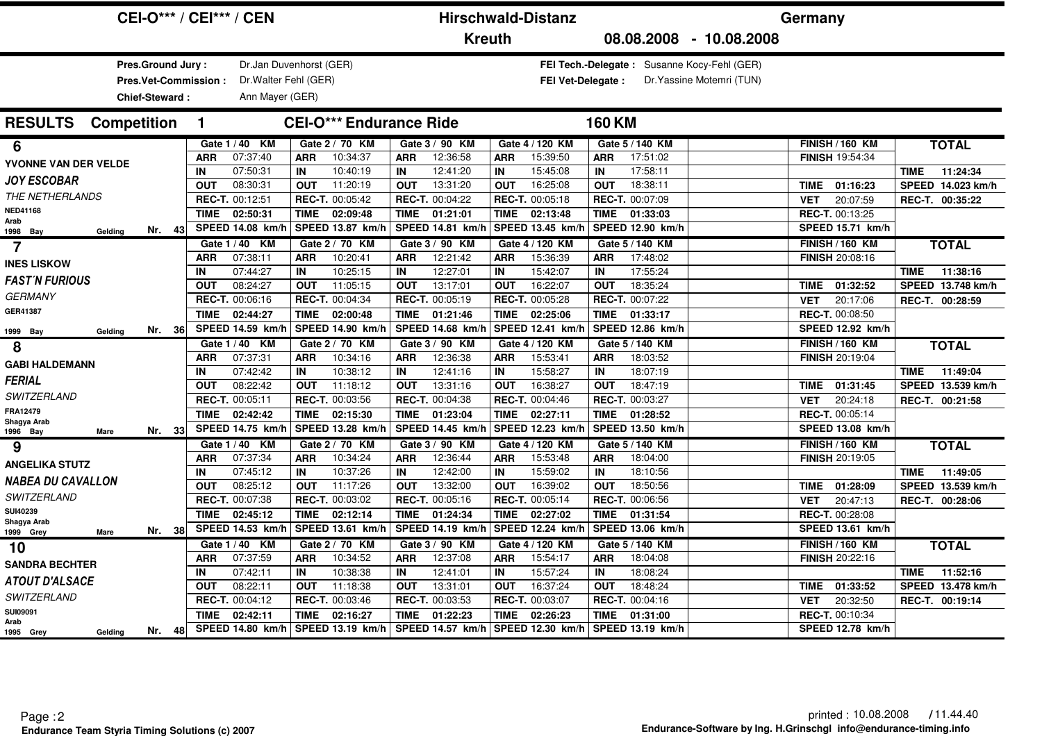| <b>CEI-O*** / CEI*** / CEN</b>            |                  |                         |                  |                                | <b>Hirschwald-Distanz</b> |                         |                  |                          |                  |                        | Germany                                     |             |                         |                 |                               |
|-------------------------------------------|------------------|-------------------------|------------------|--------------------------------|---------------------------|-------------------------|------------------|--------------------------|------------------|------------------------|---------------------------------------------|-------------|-------------------------|-----------------|-------------------------------|
|                                           |                  |                         |                  |                                |                           | <b>Kreuth</b>           |                  |                          |                  |                        | 08.08.2008 - 10.08.2008                     |             |                         |                 |                               |
| <b>Pres.Ground Jury:</b>                  |                  | Dr.Jan Duvenhorst (GER) |                  |                                |                           |                         |                  |                          |                  |                        | FEI Tech.-Delegate: Susanne Kocy-Fehl (GER) |             |                         |                 |                               |
| Pres.Vet-Commission:                      |                  | Dr. Walter Fehl (GER)   |                  |                                |                           |                         |                  | <b>FEI Vet-Delegate:</b> |                  |                        | Dr. Yassine Motemri (TUN)                   |             |                         |                 |                               |
| Chief-Steward:                            |                  | Ann Mayer (GER)         |                  |                                |                           |                         |                  |                          |                  |                        |                                             |             |                         |                 |                               |
| <b>RESULTS</b><br><b>Competition</b>      | 1.               |                         |                  | <b>CEI-O*** Endurance Ride</b> |                           |                         |                  |                          | <b>160 KM</b>    |                        |                                             |             |                         |                 |                               |
| 6                                         |                  | Gate 1 / 40 KM          |                  | Gate 2 / 70 KM                 |                           | Gate 3 / 90 KM          |                  | Gate 4 / 120 KM          |                  | Gate 5 / 140 KM        |                                             |             | <b>FINISH / 160 KM</b>  |                 | <b>TOTAL</b>                  |
| YVONNE VAN DER VELDE                      | <b>ARR</b>       | 07:37:40                | <b>ARR</b>       | 10:34:37                       | <b>ARR</b>                | 12:36:58                | <b>ARR</b>       | 15:39:50                 | <b>ARR</b>       | 17:51:02               |                                             |             | <b>FINISH 19:54:34</b>  |                 |                               |
| <b>JOY ESCOBAR</b>                        | IN               | 07:50:31                | IN               | 10:40:19                       | IN                        | 12:41:20                | IN               | 15:45:08                 | IN               | 17:58:11               |                                             |             |                         | <b>TIME</b>     | 11:24:34                      |
| THE NETHERLANDS                           | <b>OUT</b>       | 08:30:31                | <b>OUT</b>       | 11:20:19                       | <b>OUT</b>                | 13:31:20                | <b>OUT</b>       | 16:25:08                 | <b>OUT</b>       | 18:38:11               |                                             |             | TIME 01:16:23           |                 | SPEED 14.023 km/h             |
| NED41168                                  |                  | REC-T. 00:12:51         |                  | REC-T. 00:05:42                |                           | REC-T. 00:04:22         |                  | REC-T. 00:05:18          |                  | REC-T. 00:07:09        |                                             | <b>VET</b>  | 20:07:59                | REC-T. 00:35:22 |                               |
| Arab                                      |                  | <b>TIME</b><br>02:50:31 | <b>TIME</b>      | 02:09:48                       | TIME                      | 01:21:01                | TIME             | 02:13:48                 | TIME             | 01:33:03               |                                             |             | REC-T. 00:13:25         |                 |                               |
| Nr. 43<br>Gelding<br>1998 Bay             |                  | SPEED 14.08 km/h        |                  | SPEED 13.87 km/h               |                           | SPEED 14.81 km/h        |                  | SPEED 13.45 km/l         |                  | SPEED 12.90 km/h       |                                             |             | SPEED 15.71 km/h        |                 |                               |
| 7                                         |                  | Gate 1 / 40 KM          |                  | Gate 2 / 70 KM                 |                           | Gate 3 / 90 KM          |                  | Gate 4 / 120 KM          |                  | Gate 5 / 140 KM        |                                             |             | <b>FINISH / 160 KM</b>  |                 | <b>TOTAL</b>                  |
| <b>INES LISKOW</b>                        | <b>ARR</b>       | 07:38:11                | <b>ARR</b>       | 10:20:41<br>10:25:15           | <b>ARR</b>                | 12:21:42                | <b>ARR</b>       | 15:36:39                 | <b>ARR</b>       | 17:48:02               |                                             |             | <b>FINISH 20:08:16</b>  |                 |                               |
| <b>FAST'N FURIOUS</b>                     | IN<br><b>OUT</b> | 07:44:27<br>08:24:27    | IN<br><b>OUT</b> | 11:05:15                       | IN<br><b>OUT</b>          | 12:27:01<br>13:17:01    | IN<br><b>OUT</b> | 15:42:07<br>16:22:07     | IN<br><b>OUT</b> | 17:55:24<br>18:35:24   |                                             | TIME        | 01:32:52                | <b>TIME</b>     | 11:38:16<br>SPEED 13.748 km/h |
| <b>GERMANY</b>                            |                  | REC-T. 00:06:16         |                  | REC-T. 00:04:34                |                           | REC-T. 00:05:19         |                  | REC-T. 00:05:28          |                  | REC-T. 00:07:22        |                                             | <b>VET</b>  | 20:17:06                |                 | REC-T. 00:28:59               |
| GER41387                                  |                  | <b>TIME</b><br>02:44:27 | <b>TIME</b>      | 02:00:48                       | <b>TIME</b>               | 01:21:46                | <b>TIME</b>      | 02:25:06                 | TIME             | 01:33:17               |                                             |             | REC-T. 00:08:50         |                 |                               |
|                                           |                  | SPEED 14.59 km/h        |                  | SPEED 14.90 km/h               |                           | SPEED 14.68 km/h        |                  | SPEED 12.41 km/h         |                  | SPEED 12.86 km/h       |                                             |             | SPEED 12.92 km/h        |                 |                               |
| Nr. 36<br>1999 Bay<br>Gelding             |                  | Gate 1 / 40 KM          |                  | Gate 2 / 70 KM                 |                           | Gate 3 / 90 KM          |                  | Gate 4 / 120 KM          |                  | Gate 5 / 140 KM        |                                             |             | <b>FINISH / 160 KM</b>  |                 |                               |
| 8                                         | <b>ARR</b>       | 07:37:31                | <b>ARR</b>       | 10:34:16                       | <b>ARR</b>                | 12:36:38                | ARR              | 15:53:41                 | <b>ARR</b>       | 18:03:52               |                                             |             | <b>FINISH 20:19:04</b>  |                 | <b>TOTAL</b>                  |
| <b>GABI HALDEMANN</b>                     | IN               | 07:42:42                | IN               | 10:38:12                       | IN                        | 12:41:16                | IN               | 15:58:27                 | IN               | 18:07:19               |                                             |             |                         | <b>TIME</b>     | 11:49:04                      |
| <b>FERIAL</b>                             | <b>OUT</b>       | 08:22:42                | <b>OUT</b>       | 11:18:12                       | <b>OUT</b>                | 13:31:16                | <b>OUT</b>       | 16:38:27                 | <b>OUT</b>       | 18:47:19               |                                             | <b>TIME</b> | 01:31:45                |                 | SPEED 13.539 km/h             |
| <b>SWITZERLAND</b>                        |                  | REC-T. 00:05:11         |                  | REC-T. 00:03:56                |                           | REC-T. 00:04:38         |                  | REC-T. 00:04:46          |                  | REC-T. 00:03:27        |                                             | <b>VET</b>  | 20:24:18                |                 | REC-T. 00:21:58               |
| FRA12479                                  |                  | 02:42:42<br><b>TIME</b> | <b>TIME</b>      | 02:15:30                       | <b>TIME</b>               | 01:23:04                | <b>TIME</b>      | 02:27:11                 | TIME             | 01:28:52               |                                             |             | REC-T. 00:05:14         |                 |                               |
| Shagya Arab<br>Nr. 33<br>1996 Bay<br>Mare |                  | SPEED 14.75 km/h        |                  | SPEED 13.28 km/h               |                           | SPEED 14.45 km/h        |                  | SPEED 12.23 km/l         |                  | SPEED 13.50 km/h       |                                             |             | <b>SPEED 13.08 km/h</b> |                 |                               |
| 9                                         |                  | Gate 1/40 KM            |                  | Gate 2 / 70 KM                 |                           | Gate 3 / 90 KM          |                  | Gate 4 / 120 KM          |                  | Gate 5 / 140 KM        |                                             |             | <b>FINISH / 160 KM</b>  |                 | <b>TOTAL</b>                  |
|                                           | <b>ARR</b>       | 07:37:34                | <b>ARR</b>       | 10:34:24                       | <b>ARR</b>                | 12:36:44                | <b>ARR</b>       | 15:53:48                 | <b>ARR</b>       | 18:04:00               |                                             |             | <b>FINISH 20:19:05</b>  |                 |                               |
| <b>ANGELIKA STUTZ</b>                     | IN               | 07:45:12                | IN               | 10:37:26                       | IN                        | 12:42:00                | IN               | 15:59:02                 | IN               | 18:10:56               |                                             |             |                         | TIME            | 11:49:05                      |
| <b>NABEA DU CAVALLON</b>                  | <b>OUT</b>       | 08:25:12                | <b>OUT</b>       | 11:17:26                       | <b>OUT</b>                | 13:32:00                | <b>OUT</b>       | 16:39:02                 | <b>OUT</b>       | 18:50:56               |                                             | <b>TIME</b> | 01:28:09                |                 | SPEED 13.539 km/h             |
| <b>SWITZERLAND</b>                        |                  | REC-T. 00:07:38         |                  | REC-T. 00:03:02                |                           | REC-T. 00:05:16         |                  | REC-T. 00:05:14          |                  | <b>REC-T. 00:06:56</b> |                                             | <b>VET</b>  | 20:47:13                |                 | REC-T. 00:28:06               |
| SUI40239<br>Shagya Arab                   |                  | <b>TIME</b><br>02:45:12 | <b>TIME</b>      | 02:12:14                       | <b>TIME</b>               | 01:24:34                | <b>TIME</b>      | 02:27:02                 | <b>TIME</b>      | 01:31:54               |                                             |             | <b>REC-T. 00:28:08</b>  |                 |                               |
| Nr. 38<br>1999 Grey<br>Mare               |                  | SPEED 14.53 km/h        |                  | SPEED 13.61 km/                |                           | SPEED 14.19 km/h        |                  | SPEED 12.24 km/          |                  | SPEED 13.06 km/h       |                                             |             | SPEED 13.61 km/h        |                 |                               |
| 10                                        |                  | Gate 1 / 40 KM          |                  | Gate 2 / 70 KM                 |                           | Gate 3 / 90 KM          |                  | Gate 4 / 120 KM          |                  | Gate 5 / 140 KM        |                                             |             | <b>FINISH / 160 KM</b>  |                 | <b>TOTAL</b>                  |
| <b>SANDRA BECHTER</b>                     | <b>ARR</b>       | 07:37:59                | <b>ARR</b>       | 10:34:52                       | <b>ARR</b>                | 12:37:08                | <b>ARR</b>       | 15:54:17                 | <b>ARR</b>       | 18:04:08               |                                             |             | <b>FINISH 20:22:16</b>  |                 |                               |
| <b>ATOUT D'ALSACE</b>                     | IN               | 07:42:11                | IN               | 10:38:38                       | IN                        | 12:41:01                | IN               | 15:57:24                 | IN               | 18:08:24               |                                             |             |                         | <b>TIME</b>     | 11:52:16                      |
|                                           | <b>OUT</b>       | 08:22:11                | <b>OUT</b>       | 11:18:38                       | <b>OUT</b>                | 13:31:01                | <b>OUT</b>       | 16:37:24                 | <b>OUT</b>       | 18:48:24               |                                             | <b>TIME</b> | 01:33:52                |                 | SPEED 13.478 km/h             |
| <b>SWITZERLAND</b>                        |                  | REC-T. 00:04:12         | REC-T. 00:03:46  |                                |                           | REC-T. 00:03:53         |                  | REC-T. 00:03:07          |                  | REC-T. 00:04:16        |                                             | <b>VET</b>  | 20:32:50                |                 | REC-T. 00:19:14               |
| SUI09091<br>Arab                          |                  | 02:42:11<br><b>TIME</b> | <b>TIME</b>      | 02:16:27                       | <b>TIME</b>               | 01:22:23                | <b>TIME</b>      | 02:26:23                 | <b>TIME</b>      | 01:31:00               |                                             |             | REC-T. 00:10:34         |                 |                               |
| Nr. 48<br>1995 Grey<br>Gelding            |                  | SPEED 14.80 km/h        |                  | SPEED 13.19 km/h               |                           | <b>SPEED 14.57 km/h</b> |                  | SPEED 12.30 km/h         |                  | SPEED 13.19 km/h       |                                             |             | SPEED 12.78 km/h        |                 |                               |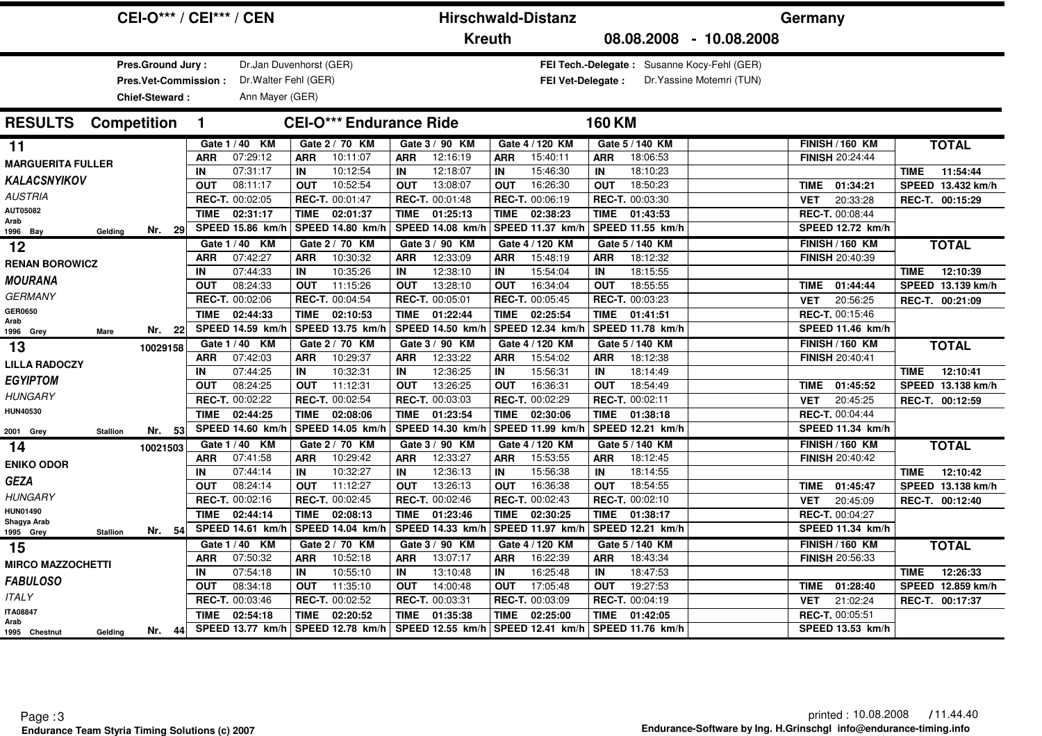| <b>CEI-O*** / CEI*** / CEN</b>              |                      |             |                             |                  |                                | <b>Hirschwald-Distanz</b> |                         |             |                                    |                  |                                             | Germany                   |             |                                                  |                 |                   |
|---------------------------------------------|----------------------|-------------|-----------------------------|------------------|--------------------------------|---------------------------|-------------------------|-------------|------------------------------------|------------------|---------------------------------------------|---------------------------|-------------|--------------------------------------------------|-----------------|-------------------|
|                                             |                      |             |                             |                  |                                |                           | <b>Kreuth</b>           |             |                                    |                  |                                             | 08.08.2008 - 10.08.2008   |             |                                                  |                 |                   |
|                                             | Pres.Ground Jury:    |             | Dr.Jan Duvenhorst (GER)     |                  |                                |                           |                         |             |                                    |                  | FEI Tech.-Delegate: Susanne Kocy-Fehl (GER) |                           |             |                                                  |                 |                   |
|                                             | Pres.Vet-Commission: |             | Dr. Walter Fehl (GER)       |                  |                                |                           |                         |             | <b>FEI Vet-Delegate:</b>           |                  |                                             | Dr. Yassine Motemri (TUN) |             |                                                  |                 |                   |
|                                             | Chief-Steward:       |             | Ann Mayer (GER)             |                  |                                |                           |                         |             |                                    |                  |                                             |                           |             |                                                  |                 |                   |
| <b>RESULTS</b><br><b>Competition</b>        |                      | 1           |                             |                  | <b>CEI-O*** Endurance Ride</b> |                           |                         |             |                                    | <b>160 KM</b>    |                                             |                           |             |                                                  |                 |                   |
| 11                                          |                      |             | Gate 1 / 40 KM              |                  | Gate 2 / 70 KM                 |                           | Gate 3 / 90 KM          |             | Gate 4 / 120 KM                    |                  | Gate 5 / 140 KM                             |                           |             | <b>FINISH / 160 KM</b>                           |                 | <b>TOTAL</b>      |
| <b>MARGUERITA FULLER</b>                    |                      | <b>ARR</b>  | 07:29:12                    | <b>ARR</b>       | 10:11:07                       | <b>ARR</b>                | 12:16:19                | <b>ARR</b>  | 15:40:11                           | <b>ARR</b>       | 18:06:53                                    |                           |             | <b>FINISH 20:24:44</b>                           |                 |                   |
| KALACSNYIKOV                                |                      | IN          | 07:31:17                    | IN               | 10:12:54                       | IN                        | 12:18:07                | IN          | 15:46:30                           | IN               | 18:10:23                                    |                           |             |                                                  | <b>TIME</b>     | 11:54:44          |
| <b>AUSTRIA</b>                              |                      | <b>OUT</b>  | 08:11:17                    | <b>OUT</b>       | 10:52:54                       | <b>OUT</b>                | 13:08:07                | <b>OUT</b>  | 16:26:30                           | <b>OUT</b>       | 18:50:23                                    |                           |             | TIME 01:34:21                                    |                 | SPEED 13.432 km/h |
| AUT05082                                    |                      |             | REC-T. 00:02:05             |                  | REC-T. 00:01:47                |                           | REC-T. 00:01:48         |             | REC-T. 00:06:19                    |                  | REC-T. 00:03:30                             |                           | VET         | 20:33:28                                         |                 | REC-T. 00:15:29   |
| Arab                                        |                      | <b>TIME</b> | 02:31:17                    | <b>TIME</b>      | 02:01:37                       | <b>TIME</b>               | 01:25:13                | <b>TIME</b> | 02:38:23                           | TIME             | 01:43:53                                    |                           |             | REC-T. 00:08:44                                  |                 |                   |
| Gelding<br>1996 Bay                         | Nr. 29               |             | SPEED 15.86 km/h            |                  | SPEED 14.80 km/h               |                           | <b>SPEED 14.08 km/h</b> |             | SPEED 11.37 km/h                   |                  | SPEED 11.55 km/h                            |                           |             | SPEED 12.72 km/h                                 |                 |                   |
| $12$                                        |                      |             | Gate 1 / 40 KM              |                  | Gate 2 / 70 KM                 |                           | Gate 3 / 90 KM          |             | Gate 4 / 120 KM                    |                  | Gate 5 / 140 KM                             |                           |             | <b>FINISH / 160 KM</b>                           |                 | <b>TOTAL</b>      |
| <b>RENAN BOROWICZ</b>                       |                      | <b>ARR</b>  | 07:42:27                    | <b>ARR</b>       | 10:30:32                       | <b>ARR</b>                | 12:33:09                | <b>ARR</b>  | 15:48:19                           | <b>ARR</b>       | 18:12:32                                    |                           |             | FINISH 20:40:39                                  |                 |                   |
| <b>MOURANA</b>                              |                      | IN          | 07:44:33                    | IN<br><b>OUT</b> | 10:35:26<br>11:15:26           | IN                        | 12:38:10<br>13:28:10    | IN          | 15:54:04                           | IN<br><b>OUT</b> | 18:15:55<br>18:55:55                        |                           |             |                                                  | <b>TIME</b>     | 12:10:39          |
| <b>GERMANY</b>                              |                      | <b>OUT</b>  | 08:24:33<br>REC-T. 00:02:06 |                  | <b>REC-T. 00:04:54</b>         | <b>OUT</b>                | REC-T. 00:05:01         | <b>OUT</b>  | 16:34:04<br><b>REC-T. 00:05:45</b> |                  | REC-T. 00:03:23                             |                           | TIME        | 01:44:44                                         |                 | SPEED 13.139 km/h |
| <b>GER0650</b>                              |                      | <b>TIME</b> | 02:44:33                    | <b>TIME</b>      | 02:10:53                       | <b>TIME</b>               | 01:22:44                | <b>TIME</b> | 02:25:54                           | TIME             | 01:41:51                                    |                           | <b>VET</b>  | 20:56:25<br><b>REC-T. 00:15:46</b>               |                 | REC-T. 00:21:09   |
| Arab                                        |                      |             | SPEED 14.59 km/h            |                  | SPEED 13.75 km/h               |                           | SPEED 14.50 km/h        |             | SPEED 12.34 km/h                   |                  | SPEED 11.78 km/h                            |                           |             | SPEED 11.46 km/h                                 |                 |                   |
| 1996 Grey<br>Mare                           | Nr. 22               |             | Gate 1 / 40 KM              |                  | Gate 2 / 70 KM                 |                           | Gate 3 / 90 KM          |             | Gate 4 / 120 KM                    |                  | Gate 5 / 140 KM                             |                           |             |                                                  |                 |                   |
| 13                                          | 10029158             | <b>ARR</b>  | 07:42:03                    | <b>ARR</b>       | 10:29:37                       | <b>ARR</b>                | 12:33:22                | <b>ARR</b>  | 15:54:02                           | <b>ARR</b>       | 18:12:38                                    |                           |             | <b>FINISH / 160 KM</b><br><b>FINISH 20:40:41</b> |                 | <b>TOTAL</b>      |
| <b>LILLA RADOCZY</b>                        |                      | IN          | 07:44:25                    | IN               | 10:32:31                       | IN                        | 12:36:25                | IN          | 15:56:31                           | IN               | 18:14:49                                    |                           |             |                                                  | <b>TIME</b>     | 12:10:41          |
| <b>EGYIPTOM</b>                             |                      | <b>OUT</b>  | 08:24:25                    | <b>OUT</b>       | 11:12:31                       | <b>OUT</b>                | 13:26:25                | <b>OUT</b>  | 16:36:31                           | <b>OUT</b>       | 18:54:49                                    |                           | TIME        | 01:45:52                                         |                 | SPEED 13.138 km/h |
| <b>HUNGARY</b>                              |                      |             | REC-T. 00:02:22             |                  | REC-T. 00:02:54                |                           | REC-T. 00:03:03         |             | REC-T. 00:02:29                    |                  | REC-T. 00:02:11                             |                           | <b>VET</b>  | 20:45:25                                         |                 | REC-T. 00:12:59   |
| <b>HUN40530</b>                             |                      | <b>TIME</b> | 02:44:25                    | <b>TIME</b>      | 02:08:06                       | <b>TIME</b>               | 01:23:54                | <b>TIME</b> | 02:30:06                           | TIME             | 01:38:18                                    |                           |             | REC-T. 00:04:44                                  |                 |                   |
|                                             | Nr. 53               |             | SPEED 14.60 km/h            |                  | SPEED 14.05 km/h               |                           | SPEED 14.30 km/h        |             | SPEED 11.99 km/h                   |                  | SPEED 12.21 km/h                            |                           |             | SPEED 11.34 km/h                                 |                 |                   |
| 2001 Grey<br><b>Stallion</b>                |                      |             | Gate 1 / 40 KM              |                  | Gate 2 / 70 KM                 |                           | Gate 3 / 90 KM          |             | Gate 4 / 120 KM                    |                  | Gate 5 / 140 KM                             |                           |             | <b>FINISH / 160 KM</b>                           |                 | <b>TOTAL</b>      |
| 14                                          | 10021503             | <b>ARR</b>  | 07:41:58                    | <b>ARR</b>       | 10:29:42                       | <b>ARR</b>                | 12:33:27                | <b>ARR</b>  | 15:53:55                           | <b>ARR</b>       | 18:12:45                                    |                           |             | FINISH 20:40:42                                  |                 |                   |
| <b>ENIKO ODOR</b>                           |                      | IN          | 07:44:14                    | IN               | 10:32:27                       | IN                        | 12:36:13                | IN          | 15:56:38                           | IN               | 18:14:55                                    |                           |             |                                                  | <b>TIME</b>     | 12:10:42          |
| <b>GEZA</b>                                 |                      | <b>OUT</b>  | 08:24:14                    | <b>OUT</b>       | 11:12:27                       | <b>OUT</b>                | 13:26:13                | <b>OUT</b>  | 16:36:38                           | <b>OUT</b>       | 18:54:55                                    |                           | <b>TIME</b> | 01:45:47                                         |                 | SPEED 13.138 km/h |
| <b>HUNGARY</b>                              |                      |             | REC-T. 00:02:16             |                  | REC-T. 00:02:45                |                           | REC-T. 00:02:46         |             | REC-T. 00:02:43                    |                  | REC-T. 00:02:10                             |                           | <b>VET</b>  | 20:45:09                                         |                 | REC-T. 00:12:40   |
| <b>HUN01490</b>                             |                      | <b>TIME</b> | 02:44:14                    | TIME             | 02:08:13                       | TIME                      | 01:23:46                | <b>TIME</b> | 02:30:25                           | TIME             | 01:38:17                                    |                           |             | <b>REC-T. 00:04:27</b>                           |                 |                   |
| Shagya Arab<br>1995 Grey<br><b>Stallion</b> | Nr. 54               |             | SPEED 14.61 km/h            |                  | SPEED 14.04 km/h               |                           | SPEED 14.33 km/h        |             | SPEED 11.97 km/h                   |                  | SPEED 12.21 km/h                            |                           |             | SPEED 11.34 km/h                                 |                 |                   |
| 15                                          |                      |             | Gate 1 / 40 KM              |                  | Gate 2 / 70 KM                 |                           | Gate 3 / 90 KM          |             | Gate 4 / 120 KM                    |                  | Gate 5 / 140 KM                             |                           |             | <b>FINISH / 160 KM</b>                           |                 | <b>TOTAL</b>      |
| <b>MIRCO MAZZOCHETTI</b>                    |                      | <b>ARR</b>  | 07:50:32                    | <b>ARR</b>       | 10:52:18                       | <b>ARR</b>                | 13:07:17                | <b>ARR</b>  | 16:22:39                           | <b>ARR</b>       | 18:43:34                                    |                           |             | <b>FINISH 20:56:33</b>                           |                 |                   |
|                                             |                      | IN          | 07:54:18                    | IN               | 10:55:10                       | IN                        | 13:10:48                | IN          | 16:25:48                           | IN               | 18:47:53                                    |                           |             |                                                  | <b>TIME</b>     | 12:26:33          |
| <b>FABULOSO</b>                             |                      | <b>OUT</b>  | 08:34:18                    | <b>OUT</b>       | 11:35:10                       | <b>OUT</b>                | 14:00:48                | <b>OUT</b>  | 17:05:48                           | <b>OUT</b>       | 19:27:53                                    |                           | <b>TIME</b> | 01:28:40                                         |                 | SPEED 12.859 km/h |
| <b>ITALY</b>                                |                      |             | REC-T. 00:03:46             |                  | REC-T. 00:02:52                |                           | REC-T. 00:03:31         |             | REC-T. 00:03:09                    |                  | REC-T. 00:04:19                             |                           | <b>VET</b>  | 21:02:24                                         | REC-T. 00:17:37 |                   |
| <b>ITA08847</b><br>Arab                     |                      | <b>TIME</b> | 02:54:18                    | <b>TIME</b>      | 02:20:52                       | <b>TIME</b>               | 01:35:38                | <b>TIME</b> | 02:25:00                           | TIME             | 01:42:05                                    |                           |             | REC-T. 00:05:51                                  |                 |                   |
| 1995 Chestnut<br>Gelding                    | Nr. 44               |             | <b>SPEED 13.77 km/h</b>     |                  | SPEED 12.78 km/h               |                           | SPEED 12.55 km/h        |             | SPEED 12.41 km/h                   |                  | SPEED 11.76 km/h                            |                           |             | SPEED 13.53 km/h                                 |                 |                   |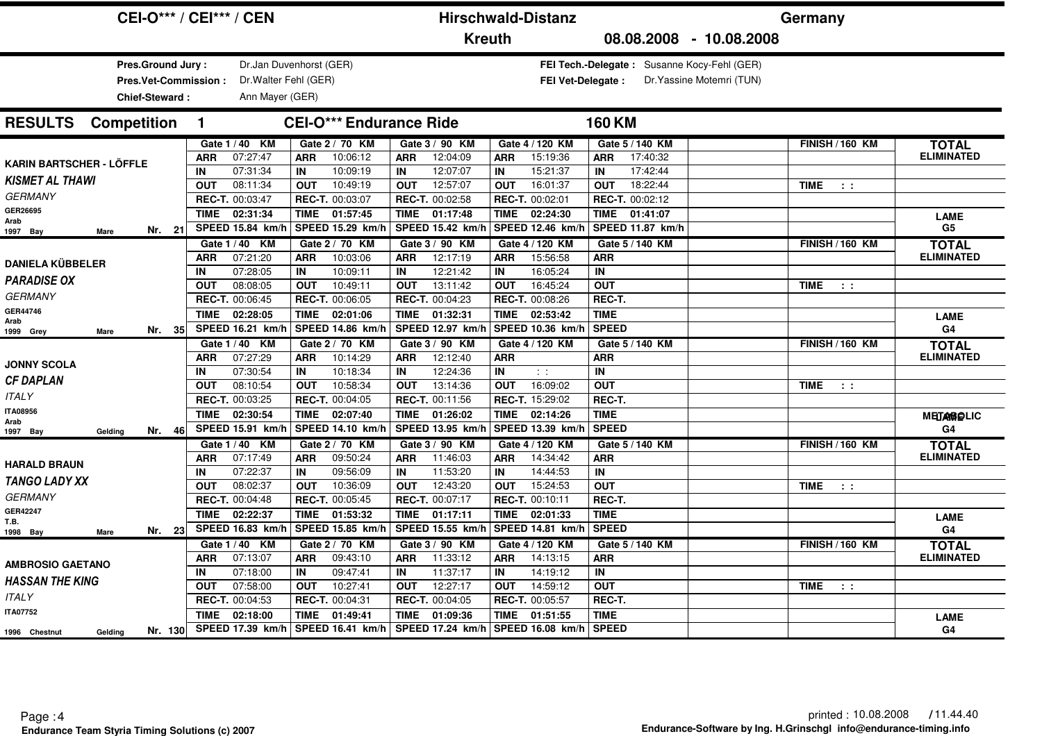| <b>CEI-O*** / CEI*** / CEN</b>                                     |                  |                                                                     |                  |                                |                                      | <b>Hirschwald-Distanz</b>    |                  |                              |                             |                                             | Germany                   |                                 |                                   |
|--------------------------------------------------------------------|------------------|---------------------------------------------------------------------|------------------|--------------------------------|--------------------------------------|------------------------------|------------------|------------------------------|-----------------------------|---------------------------------------------|---------------------------|---------------------------------|-----------------------------------|
|                                                                    |                  |                                                                     |                  |                                |                                      | <b>Kreuth</b>                |                  |                              |                             |                                             | 08.08.2008 - 10.08.2008   |                                 |                                   |
| Pres.Ground Jury:<br>Pres.Vet-Commission:<br><b>Chief-Steward:</b> |                  | Dr.Jan Duvenhorst (GER)<br>Dr. Walter Fehl (GER)<br>Ann Mayer (GER) |                  |                                |                                      |                              |                  | FEI Vet-Delegate :           |                             | FEI Tech.-Delegate: Susanne Kocy-Fehl (GER) | Dr. Yassine Motemri (TUN) |                                 |                                   |
| <b>RESULTS</b> Competition                                         | $\mathbf{1}$     |                                                                     |                  | <b>CEI-O*** Endurance Ride</b> |                                      |                              |                  |                              | <b>160 KM</b>               |                                             |                           |                                 |                                   |
|                                                                    | ARR              | Gate 1 / 40 KM<br>07:27:47                                          | <b>ARR</b>       | Gate 2 / 70 KM<br>10:06:12     | <b>ARR</b>                           | Gate 3 / 90 KM<br>12:04:09   | <b>ARR</b>       | Gate 4 / 120 KM<br>15:19:36  | <b>ARR</b>                  | Gate 5 / 140 KM<br>17:40:32                 |                           | <b>FINISH / 160 KM</b>          | <b>TOTAL</b><br><b>ELIMINATED</b> |
| <b>KARIN BARTSCHER - LÖFFLE</b><br><b>KISMET AL THAWI</b>          | IN<br><b>OUT</b> | 07:31:34<br>08:11:34                                                | IN<br><b>OUT</b> | 10:09:19<br>10:49:19           | IN<br><b>OUT</b>                     | 12:07:07<br>12:57:07         | IN<br><b>OUT</b> | 15:21:37<br>16:01:37         | IN<br><b>OUT</b>            | 17:42:44<br>18:22:44                        |                           | <b>TIME</b><br>$\pm$ $\pm$      |                                   |
| <b>GERMANY</b><br>GER26695<br>Arab                                 | <b>TIME</b>      | REC-T. 00:03:47<br>02:31:34                                         | TIME             | REC-T. 00:03:07<br>01:57:45    | TIME                                 | REC-T. 00:02:58<br>01:17:48  | <b>TIME</b>      | REC-T. 00:02:01<br>02:24:30  |                             | REC-T. 00:02:12<br>TIME 01:41:07            |                           |                                 | <b>LAME</b>                       |
| Nr. 21<br>Mare<br>1997 Bay                                         |                  | SPEED 15.84 km/h                                                    |                  | SPEED 15.29 km/h               |                                      | SPEED 15.42 km/h             |                  | SPEED 12.46 km/l             |                             | SPEED 11.87 km/h                            |                           |                                 | G <sub>5</sub>                    |
|                                                                    |                  | Gate 1 / 40 KM<br>07:21:20                                          |                  | Gate 2 / 70 KM<br>10:03:06     |                                      | Gate 3 / 90 KM<br>12:17:19   |                  | Gate 4 / 120 KM<br>15:56:58  |                             | Gate 5 / 140 KM                             |                           | <b>FINISH / 160 KM</b>          | <b>TOTAL</b><br><b>ELIMINATED</b> |
| <b>DANIELA KÜBBELER</b>                                            | <b>ARR</b><br>IN | 07:28:05                                                            | <b>ARR</b><br>IN | 10:09:11                       | <b>ARR</b><br>IN                     | 12:21:42                     | ARR<br>IN        | 16:05:24                     | <b>ARR</b><br>IN            |                                             |                           |                                 |                                   |
| <b>PARADISE OX</b>                                                 | <b>OUT</b>       | 08:08:05                                                            | <b>OUT</b>       | 10:49:11                       | <b>OUT</b>                           | 13:11:42                     | <b>OUT</b>       | 16:45:24                     | <b>OUT</b>                  |                                             |                           | <b>TIME</b><br>$\sim$ 100 $\pm$ |                                   |
| <b>GERMANY</b>                                                     |                  | REC-T. 00:06:45                                                     |                  | REC-T. 00:06:05                |                                      | REC-T. 00:04:23              |                  | REC-T. 00:08:26              | REC-T.                      |                                             |                           |                                 |                                   |
| GER44746                                                           | <b>TIME</b>      | 02:28:05                                                            | <b>TIME</b>      | 02:01:06                       | TIME                                 | 01:32:31                     | TIME             | 02:53:42                     | <b>TIME</b>                 |                                             |                           |                                 | <b>LAME</b>                       |
| Arab<br>Nr. $35$<br>1999 Grey<br>Mare                              |                  | SPEED 16.21 km/h                                                    |                  | SPEED 14.86 km/h               | SPEED 12.97 km/h<br>SPEED 10.36 km/h |                              |                  |                              | <b>SPEED</b>                |                                             |                           |                                 | G <sub>4</sub>                    |
|                                                                    |                  | Gate 1 / 40 KM                                                      |                  | Gate 2 / 70 KM                 |                                      | Gate 3 / 90 KM               |                  | Gate 4 / 120 KM              |                             | Gate 5 / 140 KM                             |                           | <b>FINISH / 160 KM</b>          | <b>TOTAL</b>                      |
| <b>JONNY SCOLA</b>                                                 | ARR              | 07:27:29                                                            | <b>ARR</b>       | 10:14:29                       | <b>ARR</b>                           | 12:12:40                     | <b>ARR</b>       |                              | <b>ARR</b>                  |                                             |                           |                                 | <b>ELIMINATED</b>                 |
| <b>CF DAPLAN</b>                                                   | IN               | 07:30:54                                                            | IN               | 10:18:34                       | IN                                   | 12:24:36                     | IN               | $\sim 10$                    | IN                          |                                             |                           |                                 |                                   |
|                                                                    | <b>OUT</b>       | 08:10:54                                                            | <b>OUT</b>       | 10:58:34                       | <b>OUT</b>                           | 13:14:36                     | <b>OUT</b>       | 16:09:02                     | <b>OUT</b>                  |                                             |                           | <b>TIME</b><br>$\sim$ 100 $\pm$ |                                   |
| <b>ITALY</b>                                                       |                  | REC-T. 00:03:25                                                     |                  | REC-T. 00:04:05                |                                      | REC-T. 00:11:56              |                  | REC-T. 15:29:02              | REC-T.                      |                                             |                           |                                 |                                   |
| <b>ITA08956</b><br>Arab                                            | <b>TIME</b>      | 02:30:54                                                            | <b>TIME</b>      | 02:07:40                       | <b>TIME</b>                          | 01:26:02                     | <b>TIME</b>      | 02:14:26                     | <b>TIME</b>                 |                                             |                           |                                 | <b>MEDAMBELIC</b>                 |
| 46<br>Nr.<br>1997 Bay<br>Gelding                                   |                  | SPEED 15.91 km/h                                                    |                  | SPEED 14.10 km/h               |                                      | SPEED 13.95 km/h             |                  | SPEED 13.39 km/h             | <b>SPEED</b>                |                                             |                           |                                 | G <sub>4</sub>                    |
|                                                                    |                  | Gate 1 / 40 KM                                                      |                  | Gate 2 / 70 KM                 |                                      | Gate 3 / 90 KM               |                  | Gate 4 / 120 KM              |                             | Gate 5 / 140 KM                             |                           | <b>FINISH / 160 KM</b>          | <b>TOTAL</b>                      |
| <b>HARALD BRAUN</b>                                                | ARR              | 07:17:49                                                            | <b>ARR</b>       | 09:50:24                       | <b>ARR</b>                           | 11:46:03                     | ARR              | 14:34:42                     | <b>ARR</b>                  |                                             |                           |                                 | <b>ELIMINATED</b>                 |
| <b>TANGO LADY XX</b>                                               | IN               | 07:22:37                                                            | IN               | 09:56:09                       | IN                                   | 11:53:20                     | IN               | 14:44:53                     | IN                          |                                             |                           |                                 |                                   |
| <b>GERMANY</b>                                                     | <b>OUT</b>       | 08:02:37                                                            | <b>OUT</b>       | 10:36:09                       | <b>OUT</b>                           | 12:43:20                     | <b>OUT</b>       | 15:24:53                     | <b>OUT</b>                  |                                             |                           | TIME<br>$\sim$ 100 $\pm$        |                                   |
| <b>GER42247</b>                                                    |                  | REC-T. 00:04:48                                                     |                  | REC-T. 00:05:45                |                                      | REC-T. 00:07:17              |                  | REC-T. 00:10:11              | REC-T.                      |                                             |                           |                                 |                                   |
| T.B.                                                               | <b>TIME</b>      | 02:22:37<br>SPEED 16.83 km/h                                        | <b>TIME</b>      | 01:53:32<br>SPEED 15.85 km/h   | <b>TIME</b>                          | 01:17:11<br>SPEED 15.55 km/h | <b>TIME</b>      | 02:01:33<br>SPEED 14.81 km/h | <b>TIME</b><br><b>SPEED</b> |                                             |                           |                                 | <b>LAME</b>                       |
| Nr. 23<br>1998 Bay<br>Mare                                         |                  |                                                                     |                  |                                |                                      |                              |                  |                              |                             |                                             |                           |                                 | G4                                |
|                                                                    | ARR              | Gate 1 / 40 KM<br>07:13:07                                          | <b>ARR</b>       | Gate 2 / 70 KM<br>09:43:10     | <b>ARR</b>                           | Gate 3 / 90 KM<br>11:33:12   | <b>ARR</b>       | Gate 4 / 120 KM<br>14:13:15  | <b>ARR</b>                  | Gate 5 / 140 KM                             |                           | <b>FINISH / 160 KM</b>          | <b>TOTAL</b><br><b>ELIMINATED</b> |
| <b>AMBROSIO GAETANO</b>                                            | IN               | 07:18:00                                                            | IN               | 09:47:41                       | IN                                   | 11:37:17                     | IN               | 14:19:12                     | IN                          |                                             |                           |                                 |                                   |
| <b>HASSAN THE KING</b>                                             | <b>OUT</b>       | 07:58:00                                                            | <b>OUT</b>       | 10:27:41                       | <b>OUT</b>                           | 12:27:17                     | <b>OUT</b>       | 14:59:12                     | <b>OUT</b>                  |                                             |                           | <b>TIME</b><br>$\sim 10$        |                                   |
| <b>ITALY</b>                                                       |                  | REC-T. 00:04:53                                                     |                  | REC-T. 00:04:31                |                                      | REC-T. 00:04:05              |                  | REC-T. 00:05:57              | REC-T.                      |                                             |                           |                                 |                                   |
| <b>ITA07752</b>                                                    | <b>TIME</b>      | 02:18:00                                                            | <b>TIME</b>      | 01:49:41                       | <b>TIME</b>                          | 01:09:36                     | <b>TIME</b>      | 01:51:55                     | <b>TIME</b>                 |                                             |                           |                                 |                                   |
| Nr. 130<br>Gelding<br>1996 Chestnut                                |                  | SPEED 17.39 km/h                                                    |                  | SPEED 16.41 km/h               |                                      | SPEED 17.24 km/h             |                  | SPEED 16.08 km/h             | <b>SPEED</b>                |                                             |                           |                                 | <b>LAME</b><br>G4                 |
|                                                                    |                  |                                                                     |                  |                                |                                      |                              |                  |                              |                             |                                             |                           |                                 |                                   |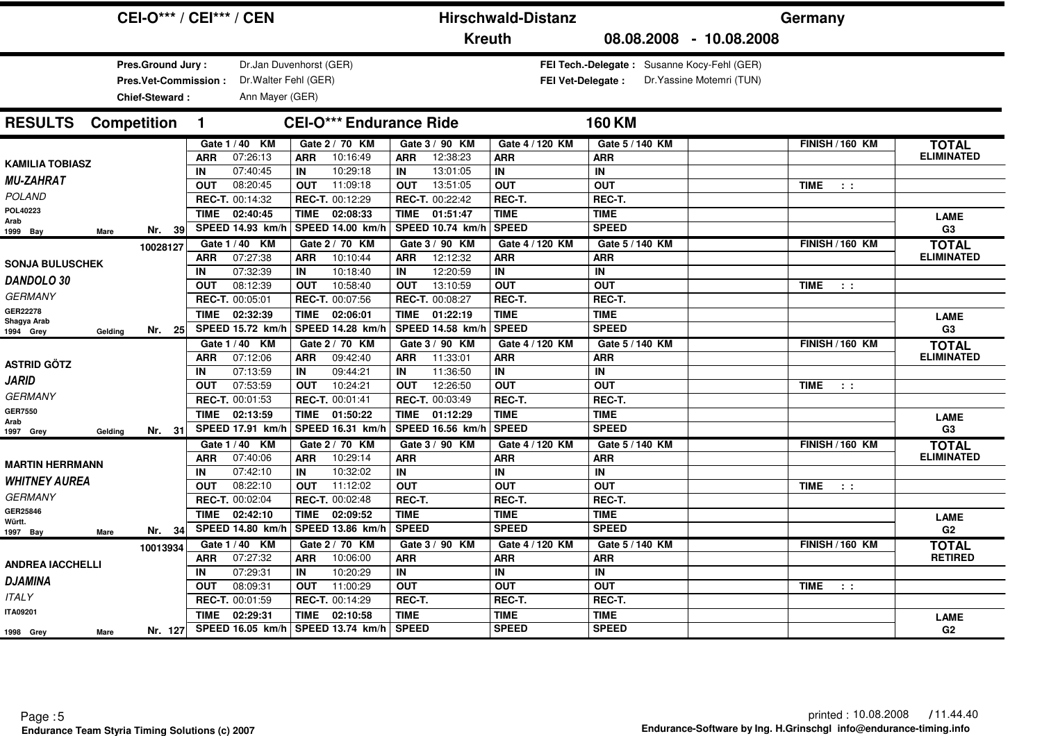|                                                                           | <b>CEI-O*** / CEI*** / CEN</b>           |                                |                         | <b>Hirschwald-Distanz</b> | Germany                                     |                                 |                   |
|---------------------------------------------------------------------------|------------------------------------------|--------------------------------|-------------------------|---------------------------|---------------------------------------------|---------------------------------|-------------------|
|                                                                           |                                          |                                | <b>Kreuth</b>           |                           | 08.08.2008 - 10.08.2008                     |                                 |                   |
| <b>Pres.Ground Jury:</b><br>Pres.Vet-Commission:<br><b>Chief-Steward:</b> | Dr. Walter Fehl (GER)<br>Ann Mayer (GER) | Dr.Jan Duvenhorst (GER)        |                         | <b>FEI Vet-Delegate:</b>  | FEI Tech.-Delegate: Susanne Kocy-Fehl (GER) | Dr. Yassine Motemri (TUN)       |                   |
| <b>Competition</b><br><b>RESULTS</b>                                      | $\mathbf{1}$                             | <b>CEI-O*** Endurance Ride</b> |                         |                           | <b>160 KM</b>                               |                                 |                   |
|                                                                           | Gate 1 / 40 KM                           | Gate 2 / 70 KM                 | Gate 3 / 90 KM          | Gate 4 / 120 KM           | Gate 5 / 140 KM                             | <b>FINISH / 160 KM</b>          | <b>TOTAL</b>      |
| <b>KAMILIA TOBIASZ</b>                                                    | 07:26:13<br>ARR                          | 10:16:49<br><b>ARR</b>         | 12:38:23<br><b>ARR</b>  | <b>ARR</b>                | <b>ARR</b>                                  |                                 | <b>ELIMINATED</b> |
|                                                                           | 07:40:45<br>IN                           | 10:29:18<br>IN                 | 13:01:05<br>IN          | IN                        | IN                                          |                                 |                   |
| <b>MU-ZAHRAT</b>                                                          | <b>OUT</b><br>08:20:45                   | 11:09:18<br><b>OUT</b>         | 13:51:05<br><b>OUT</b>  | <b>OUT</b>                | <b>OUT</b>                                  | <b>TIME</b><br>$\sim$ 100 $\pm$ |                   |
| <b>POLAND</b>                                                             | REC-T. 00:14:32                          | REC-T. 00:12:29                | REC-T. 00:22:42         | REC-T.                    | REC-T.                                      |                                 |                   |
| POL40223<br>Arab                                                          | TIME<br>02:40:45                         | 02:08:33<br><b>TIME</b>        | 01:51:47<br><b>TIME</b> | <b>TIME</b>               | <b>TIME</b>                                 |                                 | <b>LAME</b>       |
| Nr. 39<br>1999 Bay<br><b>Mare</b>                                         | SPEED 14.93 km/h                         | SPEED 14.00 km/h               | SPEED 10.74 km/h        | <b>SPEED</b>              | <b>SPEED</b>                                |                                 | G3                |
| 10028127                                                                  | Gate 1 / 40 KM                           | Gate 2 / 70 KM                 | Gate 3 / 90 KM          | Gate 4 / 120 KM           | Gate 5 / 140 KM                             | <b>FINISH / 160 KM</b>          | <b>TOTAL</b>      |
| <b>SONJA BULUSCHEK</b>                                                    | 07:27:38<br><b>ARR</b>                   | 10:10:44<br><b>ARR</b>         | 12:12:32<br><b>ARR</b>  | <b>ARR</b>                | <b>ARR</b>                                  |                                 | <b>ELIMINATED</b> |
|                                                                           | 07:32:39<br>IN                           | 10:18:40<br>IN                 | 12:20:59<br>IN          | IN                        | IN                                          |                                 |                   |
| DANDOLO 30                                                                | 08:12:39<br><b>OUT</b>                   | 10:58:40<br><b>OUT</b>         | <b>OUT</b><br>13:10:59  | <b>OUT</b>                | <b>OUT</b>                                  | <b>TIME</b><br>$\sim$ 100 $\pm$ |                   |
| <b>GERMANY</b>                                                            | REC-T. 00:05:01                          | REC-T. 00:07:56                | REC-T. 00:08:27         | REC-T.                    | REC-T.                                      |                                 |                   |
| GER22278<br>Shagya Arab                                                   | <b>TIME</b><br>02:32:39                  | <b>TIME</b><br>02:06:01        | <b>TIME</b><br>01:22:19 | <b>TIME</b>               | <b>TIME</b>                                 |                                 | <b>LAME</b>       |
| Nr. 25<br>1994 Grey<br>Geldina                                            | SPEED 15.72 km/h                         | SPEED 14.28 km/h               | SPEED 14.58 km/h        | <b>SPEED</b>              | <b>SPEED</b>                                |                                 | G <sub>3</sub>    |
|                                                                           | Gate 1 / 40 KM                           | Gate 2 / 70 KM                 | Gate 3 / 90 KM          | Gate 4 / 120 KM           | Gate 5 / 140 KM                             | <b>FINISH / 160 KM</b>          | <b>TOTAL</b>      |
| <b>ASTRID GÖTZ</b>                                                        | 07:12:06<br>ARR                          | 09:42:40<br><b>ARR</b>         | 11:33:01<br><b>ARR</b>  | ARR                       | <b>ARR</b>                                  |                                 | <b>ELIMINATED</b> |
|                                                                           | 07:13:59<br>IN                           | 09:44:21<br>IN                 | 11:36:50<br>IN          | IN                        | IN                                          |                                 |                   |
| <b>JARID</b>                                                              | 07:53:59<br><b>OUT</b>                   | 10:24:21<br><b>OUT</b>         | <b>OUT</b><br>12:26:50  | <b>OUT</b>                | <b>OUT</b>                                  | <b>TIME</b><br>$\sim$ 100 $\pm$ |                   |
| <b>GERMANY</b>                                                            | REC-T. 00:01:53                          | REC-T. 00:01:41                | REC-T. 00:03:49         | REC-T.                    | REC-T.                                      |                                 |                   |
| <b>GER7550</b><br>Arab                                                    | <b>TIME</b><br>02:13:59                  | <b>TIME</b><br>01:50:22        | <b>TIME</b><br>01:12:29 | <b>TIME</b>               | <b>TIME</b>                                 |                                 | <b>LAME</b>       |
| Nr. 31<br>1997 Grey<br>Geldina                                            | SPEED 17.91 km/h                         | SPEED 16.31 km/h               | SPEED 16.56 km/h        | <b>SPEED</b>              | <b>SPEED</b>                                |                                 | G <sub>3</sub>    |
|                                                                           | Gate 1 / 40 KM                           | Gate 2 / 70 KM                 | Gate 3 / 90 KM          | Gate 4 / 120 KM           | Gate 5 / 140 KM                             | <b>FINISH / 160 KM</b>          | <b>TOTAL</b>      |
| <b>MARTIN HERRMANN</b>                                                    | 07:40:06<br>ARR                          | 10:29:14<br><b>ARR</b>         | <b>ARR</b>              | ARR                       | <b>ARR</b>                                  |                                 | <b>ELIMINATED</b> |
|                                                                           | 07:42:10<br>IN                           | 10:32:02<br>IN                 | IN                      | IN                        | IN                                          |                                 |                   |
| <b><i>WHITNEY AUREA</i></b>                                               | 08:22:10<br><b>OUT</b>                   | 11:12:02<br><b>OUT</b>         | <b>OUT</b>              | <b>OUT</b>                | <b>OUT</b>                                  | <b>TIME</b><br>$\sim 100$       |                   |
| <b>GERMANY</b>                                                            | REC-T. 00:02:04                          | REC-T. 00:02:48                | REC-T.                  | REC-T.                    | REC-T.                                      |                                 |                   |
| GER25846<br>Württ.                                                        | 02:42:10<br><b>TIME</b>                  | <b>TIME</b><br>02:09:52        | <b>TIME</b>             | <b>TIME</b>               | <b>TIME</b>                                 |                                 | <b>LAME</b>       |
| Nr. $34$<br>1997 Bay<br>Mare                                              | SPEED 14.80 km/h                         | SPEED 13.86 km/h               | <b>SPEED</b>            | <b>SPEED</b>              | <b>SPEED</b>                                |                                 | G2                |
| 10013934                                                                  | Gate 1 / 40 KM                           | Gate 2 / 70 KM                 | Gate 3 / 90 KM          | Gate 4 / 120 KM           | Gate 5 / 140 KM                             | <b>FINISH / 160 KM</b>          | <b>TOTAL</b>      |
| <b>ANDREA IACCHELLI</b>                                                   | 07:27:32<br><b>ARR</b>                   | 10:06:00<br><b>ARR</b>         | <b>ARR</b>              | <b>ARR</b>                | <b>ARR</b>                                  |                                 | <b>RETIRED</b>    |
|                                                                           | 07:29:31<br>IN                           | 10:20:29<br>IN                 | IN                      | IN                        | IN                                          |                                 |                   |
| <b>DJAMINA</b>                                                            | 08:09:31<br><b>OUT</b>                   | <b>OUT</b><br>11:00:29         | <b>OUT</b>              | <b>OUT</b>                | <b>OUT</b>                                  | <b>TIME</b><br>$\sim 10$        |                   |
| <b>ITALY</b>                                                              | REC-T. 00:01:59                          | REC-T. 00:14:29                | REC-T.                  | REC-T.                    | REC-T.                                      |                                 |                   |
| <b>ITA09201</b>                                                           | 02:29:31<br><b>TIME</b>                  | <b>TIME</b><br>02:10:58        | <b>TIME</b>             | <b>TIME</b>               | <b>TIME</b>                                 |                                 | <b>LAME</b>       |
| Nr. 127<br>1998 Grey<br><b>Mare</b>                                       | SPEED 16.05 km/h                         | SPEED 13.74 km/h               | <b>SPEED</b>            | <b>SPEED</b>              | <b>SPEED</b>                                |                                 | G2                |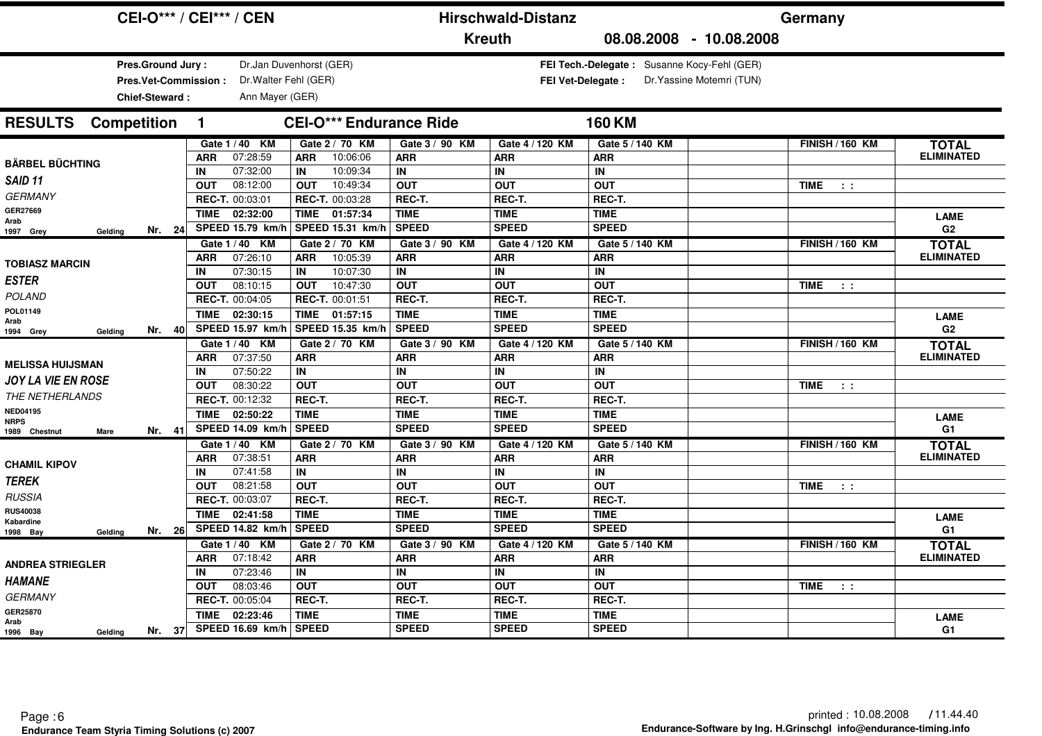| <b>CEI-O*** / CEI*** / CEN</b>                            |                                        | <b>Hirschwald-Distanz</b> |                                             | Germany                         |                   |
|-----------------------------------------------------------|----------------------------------------|---------------------------|---------------------------------------------|---------------------------------|-------------------|
|                                                           | <b>Kreuth</b>                          |                           | 08.08.2008 - 10.08.2008                     |                                 |                   |
| <b>Pres.Ground Jury:</b>                                  | Dr.Jan Duvenhorst (GER)                |                           | FEI Tech.-Delegate: Susanne Kocy-Fehl (GER) |                                 |                   |
| Dr. Walter Fehl (GER)<br><b>Pres.Vet-Commission:</b>      |                                        | <b>FEI Vet-Delegate:</b>  | Dr. Yassine Motemri (TUN)                   |                                 |                   |
| Ann Mayer (GER)<br>Chief-Steward:                         |                                        |                           |                                             |                                 |                   |
|                                                           |                                        |                           |                                             |                                 |                   |
| <b>Competition</b><br><b>RESULTS</b><br>$\mathbf{1}$      | <b>CEI-O*** Endurance Ride</b>         |                           | <b>160 KM</b>                               |                                 |                   |
| Gate 1 / 40 KM                                            | Gate 2 / 70 KM<br>Gate 3 / 90 KM       | Gate 4 / 120 KM           | Gate 5 / 140 KM                             | <b>FINISH / 160 KM</b>          | <b>TOTAL</b>      |
| 07:28:59<br><b>ARR</b><br><b>BÄRBEL BÜCHTING</b>          | 10:06:06<br><b>ARR</b><br><b>ARR</b>   | <b>ARR</b>                | <b>ARR</b>                                  |                                 | <b>ELIMINATED</b> |
| 07:32:00<br>IN<br>SAID <sub>11</sub>                      | 10:09:34<br>IN<br>IN                   | IN                        | IN                                          |                                 |                   |
| <b>OUT</b><br>08:12:00                                    | 10:49:34<br><b>OUT</b><br><b>OUT</b>   | <b>OUT</b>                | <b>OUT</b>                                  | <b>TIME</b><br>$\sim 100$       |                   |
| <b>GERMANY</b><br>REC-T. 00:03:01                         | REC-T. 00:03:28<br>REC-T.              | REC-T.                    | REC-T.                                      |                                 |                   |
| GER27669<br>TIME 02:32:00<br>Arab                         | TIME 01:57:34<br><b>TIME</b>           | <b>TIME</b>               | <b>TIME</b>                                 |                                 | <b>LAME</b>       |
| SPEED 15.79 km/h<br>Nr. 24<br>Gelding<br>1997 Grey        | <b>SPEED</b><br>SPEED 15.31 km/        | <b>SPEED</b>              | <b>SPEED</b>                                |                                 | G <sub>2</sub>    |
| Gate 1 / 40 KM                                            | Gate 2 / 70 KM<br>Gate 3 / 90 KM       | Gate 4 / 120 KM           | Gate 5 / 140 KM                             | <b>FINISH / 160 KM</b>          | <b>TOTAL</b>      |
| 07:26:10<br><b>ARR</b><br><b>TOBIASZ MARCIN</b>           | 10:05:39<br><b>ARR</b><br><b>ARR</b>   | <b>ARR</b>                | <b>ARR</b>                                  |                                 | <b>ELIMINATED</b> |
| 07:30:15<br>IN                                            | 10:07:30<br>IN<br>IN                   | IN                        | IN                                          |                                 |                   |
| <b>ESTER</b><br>08:10:15<br><b>OUT</b>                    | 10:47:30<br><b>OUT</b><br><b>OUT</b>   | <b>OUT</b>                | <b>OUT</b>                                  | <b>TIME</b><br>$\sim$ 100       |                   |
| <b>POLAND</b><br>REC-T. 00:04:05                          | REC-T. 00:01:51<br>REC-T.              | REC-T.                    | REC-T.                                      |                                 |                   |
| POL01149<br>02:30:15<br><b>TIME</b><br>Arab               | 01:57:15<br><b>TIME</b><br><b>TIME</b> | <b>TIME</b>               | <b>TIME</b>                                 |                                 | <b>LAME</b>       |
| SPEED 15.97 km/h<br>Nr. 40<br>1994 Grey<br>Gelding        | SPEED 15.35 km/h<br><b>SPEED</b>       | <b>SPEED</b>              | <b>SPEED</b>                                |                                 | G2                |
| Gate 1 / 40 KM                                            | Gate 2 / 70 KM<br>Gate 3 / 90 KM       | Gate 4 / 120 KM           | Gate 5 / 140 KM                             | <b>FINISH / 160 KM</b>          | <b>TOTAL</b>      |
| 07:37:50<br><b>ARR</b><br><b>MELISSA HUIJSMAN</b>         | <b>ARR</b><br><b>ARR</b>               | <b>ARR</b>                | <b>ARR</b>                                  |                                 | <b>ELIMINATED</b> |
| 07:50:22<br>IN                                            | IN<br>IN                               | IN                        | IN                                          |                                 |                   |
| <b>JOY LA VIE EN ROSE</b><br>08:30:22<br><b>OUT</b>       | <b>OUT</b><br><b>OUT</b>               | <b>OUT</b>                | <b>OUT</b>                                  | <b>TIME</b><br>$\sim 10$        |                   |
| THE NETHERLANDS<br>REC-T. 00:12:32                        | REC-T.<br>REC-T.                       | REC-T.                    | REC-T.                                      |                                 |                   |
| <b>NED04195</b><br>02:50:22<br><b>TIME</b><br><b>NRPS</b> | <b>TIME</b><br><b>TIME</b>             | <b>TIME</b>               | <b>TIME</b>                                 |                                 | <b>LAME</b>       |
| SPEED 14.09 km/h<br>Nr. 41<br>1989 Chestnut<br>Mare       | <b>SPEED</b><br><b>SPEED</b>           | <b>SPEED</b>              | <b>SPEED</b>                                |                                 | G1                |
| Gate 1 / 40 KM                                            | Gate 2 / 70 KM<br>Gate 3 / 90 KM       | Gate 4 / 120 KM           | Gate 5 / 140 KM                             | <b>FINISH / 160 KM</b>          | <b>TOTAL</b>      |
| 07:38:51<br><b>ARR</b><br><b>CHAMIL KIPOV</b>             | <b>ARR</b><br><b>ARR</b>               | <b>ARR</b>                | <b>ARR</b>                                  |                                 | <b>ELIMINATED</b> |
| 07:41:58<br>IN<br><b>TEREK</b>                            | IN<br>IN                               | IN.                       | IN                                          |                                 |                   |
| 08:21:58<br><b>OUT</b>                                    | <b>OUT</b><br><b>OUT</b>               | <b>OUT</b>                | <b>OUT</b>                                  | <b>TIME</b><br>$\sim 10$        |                   |
| <b>RUSSIA</b><br>REC-T. 00:03:07                          | REC-T.<br>REC-T.                       | REC-T.                    | REC-T.                                      |                                 |                   |
| <b>RUS40038</b><br>02:41:58<br>TIME<br>Kabardine          | <b>TIME</b><br><b>TIME</b>             | <b>TIME</b>               | <b>TIME</b>                                 |                                 | <b>LAME</b>       |
| SPEED 14.82 km/h<br>Nr. 26<br>Geldina<br>1998 Bay         | <b>SPEED</b><br><b>SPEED</b>           | <b>SPEED</b>              | <b>SPEED</b>                                |                                 | G1                |
| Gate 1 / 40 KM                                            | Gate 2 / 70 KM<br>Gate 3 / 90 KM       | Gate 4 / 120 KM           | Gate 5 / 140 KM                             | <b>FINISH / 160 KM</b>          | <b>TOTAL</b>      |
| 07:18:42<br><b>ARR</b><br><b>ANDREA STRIEGLER</b>         | <b>ARR</b><br><b>ARR</b>               | <b>ARR</b>                | <b>ARR</b>                                  |                                 | <b>ELIMINATED</b> |
| 07:23:46<br>IN<br><b>HAMANE</b>                           | IN<br>IN                               | IN                        | IN                                          |                                 |                   |
| 08:03:46<br><b>OUT</b>                                    | <b>OUT</b><br><b>OUT</b>               | <b>OUT</b>                | <b>OUT</b>                                  | <b>TIME</b><br>$\sim$ 100 $\pm$ |                   |
| <b>GERMANY</b><br>REC-T. 00:05:04                         | REC-T.<br>REC-T.                       | REC-T.                    | REC-T.                                      |                                 |                   |
| GER25870<br><b>TIME</b><br>02:23:46<br>Arab               | <b>TIME</b><br><b>TIME</b>             | <b>TIME</b>               | <b>TIME</b>                                 |                                 | <b>LAME</b>       |
| SPEED 16.69 km/h<br>Nr. 37<br>1996 Bay<br>Gelding         | <b>SPEED</b><br><b>SPEED</b>           | <b>SPEED</b>              | <b>SPEED</b>                                |                                 | G1                |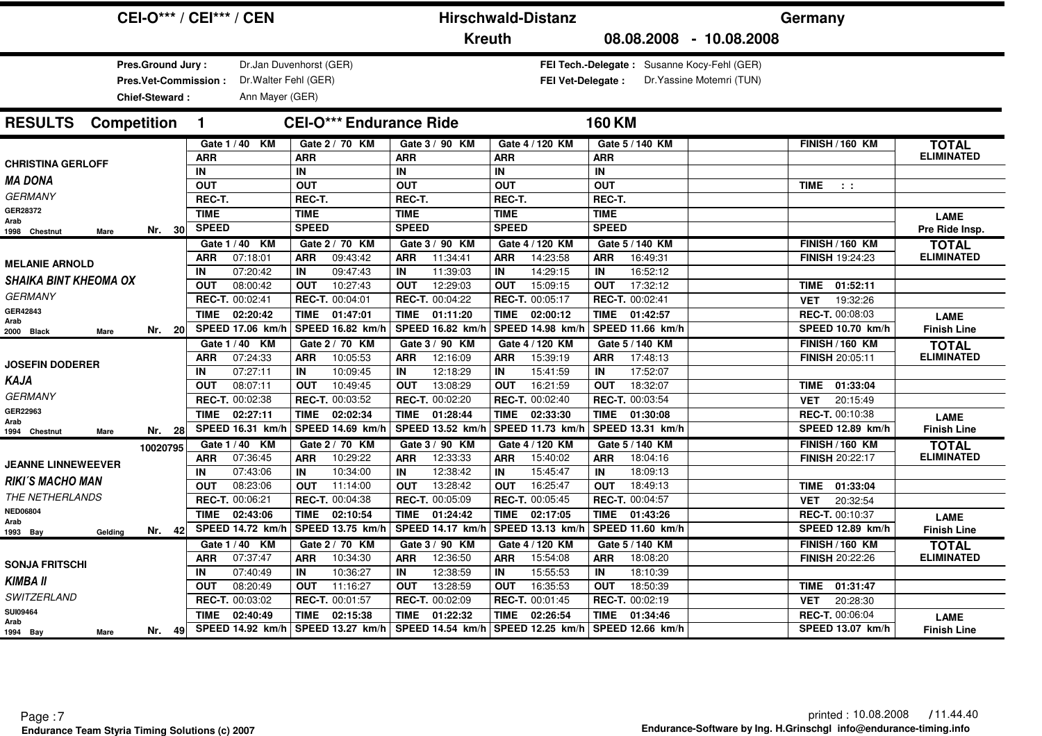| <b>CEI-O*** / CEI*** / CEN</b>                              |                                                                             |                                             | <b>Hirschwald-Distanz</b>                   |                                                                          | Germany                             |                                   |
|-------------------------------------------------------------|-----------------------------------------------------------------------------|---------------------------------------------|---------------------------------------------|--------------------------------------------------------------------------|-------------------------------------|-----------------------------------|
|                                                             |                                                                             | <b>Kreuth</b>                               |                                             | 08.08.2008 - 10.08.2008                                                  |                                     |                                   |
| Pres.Ground Jury:<br>Pres.Vet-Commission:<br>Chief-Steward: | Dr.Jan Duvenhorst (GER)<br>Dr. Walter Fehl (GER)<br>Ann Mayer (GER)         |                                             | <b>FEI Vet-Delegate:</b>                    | FEI Tech.-Delegate: Susanne Kocy-Fehl (GER)<br>Dr. Yassine Motemri (TUN) |                                     |                                   |
| <b>RESULTS</b> Competition<br>$\mathbf{1}$                  | <b>CEI-O*** Endurance Ride</b>                                              |                                             |                                             | <b>160 KM</b>                                                            |                                     |                                   |
|                                                             | Gate 1 / 40 KM<br>Gate 2 / 70 KM                                            | Gate 3 / 90 KM                              | Gate 4 / 120 KM                             | Gate 5 / 140 KM                                                          | <b>FINISH / 160 KM</b>              | <b>TOTAL</b>                      |
| <b>ARR</b><br><b>CHRISTINA GERLOFF</b>                      | <b>ARR</b>                                                                  | <b>ARR</b>                                  | <b>ARR</b>                                  | <b>ARR</b>                                                               |                                     | <b>ELIMINATED</b>                 |
| IN<br><b>MA DONA</b>                                        | IN                                                                          | IN                                          | IN                                          | IN                                                                       |                                     |                                   |
| <b>OUT</b><br><b>GERMANY</b>                                | <b>OUT</b>                                                                  | <b>OUT</b>                                  | <b>OUT</b>                                  | <b>OUT</b>                                                               | <b>TIME</b><br>$\sim 10$            |                                   |
| REC-T.                                                      | REC-T.                                                                      | REC-T.                                      | REC-T.                                      | REC-T.                                                                   |                                     |                                   |
| GER28372<br><b>TIME</b><br>Arab                             | <b>TIME</b>                                                                 | <b>TIME</b>                                 | <b>TIME</b>                                 | <b>TIME</b>                                                              |                                     | <b>LAME</b>                       |
| <b>SPEED</b><br>Nr. $30$<br>1998 Chestnut<br>Mare           | <b>SPEED</b>                                                                | <b>SPEED</b>                                | <b>SPEED</b>                                | <b>SPEED</b>                                                             |                                     | Pre Ride Insp.                    |
|                                                             | Gate 2 / 70 KM<br>Gate 1 / 40 KM                                            | Gate 3 / 90 KM                              | Gate 4 / 120 KM                             | Gate 5 / 140 KM                                                          | <b>FINISH / 160 KM</b>              | <b>TOTAL</b>                      |
| ARR<br><b>MELANIE ARNOLD</b>                                | 09:43:42<br>07:18:01<br><b>ARR</b>                                          | 11:34:41<br><b>ARR</b>                      | 14:23:58<br>ARR                             | 16:49:31<br><b>ARR</b>                                                   | <b>FINISH 19:24:23</b>              | <b>ELIMINATED</b>                 |
| IN<br><b>SHAIKA BINT KHEOMA OX</b>                          | 07:20:42<br>09:47:43<br>IN                                                  | 11:39:03<br>IN                              | 14:29:15<br>IN                              | 16:52:12<br>IN                                                           |                                     |                                   |
| <b>OUT</b><br><b>GERMANY</b>                                | 10:27:43<br>08:00:42<br><b>OUT</b>                                          | 12:29:03<br><b>OUT</b>                      | 15:09:15<br><b>OUT</b>                      | 17:32:12<br><b>OUT</b>                                                   | TIME 01:52:11                       |                                   |
| GER42843                                                    | REC-T. 00:02:41<br>REC-T. 00:04:01                                          | REC-T. 00:04:22                             | REC-T. 00:05:17                             | REC-T. 00:02:41                                                          | 19:32:26<br><b>VET</b>              |                                   |
| <b>TIME</b><br>Arab                                         | 02:20:42<br><b>TIME</b><br>01:47:01                                         | <b>TIME</b><br>01:11:20                     | <b>TIME</b><br>02:00:12                     | TIME<br>01:42:57                                                         | REC-T. 00:08:03                     | <b>LAME</b>                       |
| Nr. 20<br>2000 Black<br>Mare                                | SPEED 17.06 km/h<br>SPEED 16.82 km/                                         | SPEED 16.82 km/h                            | SPEED 14.98 km/l                            | SPEED 11.66 km/h                                                         | <b>SPEED 10.70 km/h</b>             | <b>Finish Line</b>                |
|                                                             | Gate 1 / 40 KM<br>Gate 2 / 70 KM                                            | Gate 3 / 90 KM                              | Gate 4 / 120 KM                             | Gate 5 / 140 KM                                                          | <b>FINISH / 160 KM</b>              | <b>TOTAL</b>                      |
| <b>ARR</b><br><b>JOSEFIN DODERER</b>                        | 10:05:53<br>07:24:33<br><b>ARR</b>                                          | 12:16:09<br><b>ARR</b>                      | 15:39:19<br><b>ARR</b>                      | 17:48:13<br><b>ARR</b>                                                   | <b>FINISH 20:05:11</b>              | <b>ELIMINATED</b>                 |
| IN<br>KAJA                                                  | 07:27:11<br>10:09:45<br>IN<br>08:07:11<br>10:49:45                          | 12:18:29<br>IN<br>13:08:29                  | 15:41:59<br>IN<br>16:21:59                  | 17:52:07<br>IN<br>18:32:07                                               |                                     |                                   |
| <b>OUT</b><br><b>GERMANY</b>                                | <b>OUT</b><br>REC-T. 00:02:38<br>REC-T. 00:03:52                            | <b>OUT</b><br>REC-T. 00:02:20               | <b>OUT</b><br>REC-T. 00:02:40               | <b>OUT</b><br>REC-T. 00:03:54                                            | TIME 01:33:04                       |                                   |
| GER22963                                                    |                                                                             |                                             |                                             |                                                                          | 20:15:49<br><b>VET</b>              |                                   |
| <b>TIME</b><br>Arab                                         | <b>TIME</b><br>02:27:11<br>02:02:34<br>SPEED 16.31 km/h<br>SPEED 14.69 km/h | <b>TIME</b><br>01:28:44<br>SPEED 13.52 km/h | <b>TIME</b><br>02:33:30<br>SPEED 11.73 km/l | TIME<br>01:30:08<br>SPEED 13.31 km/h                                     | REC-T. 00:10:38<br>SPEED 12.89 km/h | <b>LAME</b>                       |
| Nr. 28<br>1994 Chestnut<br>Mare                             |                                                                             |                                             |                                             |                                                                          |                                     | <b>Finish Line</b>                |
| 10020795                                                    | Gate 1 / 40 KM<br>Gate 2 / 70 KM                                            | Gate 3 / 90 KM                              | Gate 4 / 120 KM                             | Gate 5 / 140 KM                                                          | <b>FINISH / 160 KM</b>              | <b>TOTAL</b><br><b>ELIMINATED</b> |
| ARR<br><b>JEANNE LINNEWEEVER</b><br>IN                      | 07:36:45<br>10:29:22<br><b>ARR</b><br>07:43:06<br>10:34:00<br>IN            | 12:33:33<br><b>ARR</b><br>12:38:42<br>IN    | 15:40:02<br>ARR<br>15:45:47<br>IN           | 18:04:16<br><b>ARR</b><br>18:09:13<br>IN                                 | <b>FINISH 20:22:17</b>              |                                   |
| <b>RIKI'S MACHO MAN</b><br><b>OUT</b>                       | 08:23:06<br>11:14:00<br><b>OUT</b>                                          | 13:28:42<br><b>OUT</b>                      | 16:25:47<br><b>OUT</b>                      | 18:49:13<br><b>OUT</b>                                                   | 01:33:04<br><b>TIME</b>             |                                   |
| THE NETHERLANDS                                             | REC-T. 00:06:21<br><b>REC-T. 00:04:38</b>                                   | REC-T. 00:05:09                             | REC-T. 00:05:45                             | REC-T. 00:04:57                                                          | 20:32:54<br><b>VET</b>              |                                   |
| <b>NED06804</b><br><b>TIME</b>                              | <b>TIME</b><br>02:43:06<br>02:10:54                                         | <b>TIME</b><br>01:24:42                     | <b>TIME</b><br>02:17:05                     | TIME<br>01:43:26                                                         | REC-T. 00:10:37                     |                                   |
| Arab<br>Nr. 42                                              | SPEED 14.72 km/h<br>SPEED 13.75 km/                                         | <b>SPEED 14.17 km/h</b>                     | SPEED 13.13 km/l                            | SPEED 11.60 km/h                                                         | SPEED 12.89 km/h                    | <b>LAME</b><br><b>Finish Line</b> |
| 1993 Bay<br>Gelding                                         | Gate 1 / 40 KM<br>Gate 2 / 70 KM                                            | Gate 3 / 90 KM                              | Gate 4 / 120 KM                             | Gate 5 / 140 KM                                                          | <b>FINISH / 160 KM</b>              |                                   |
| <b>ARR</b>                                                  | 07:37:47<br>10:34:30<br><b>ARR</b>                                          | 12:36:50<br><b>ARR</b>                      | 15:54:08<br><b>ARR</b>                      | 18:08:20<br><b>ARR</b>                                                   | <b>FINISH 20:22:26</b>              | <b>TOTAL</b><br><b>ELIMINATED</b> |
| <b>SONJA FRITSCHI</b><br>IN                                 | 07:40:49<br>10:36:27<br>IN                                                  | 12:38:59<br>IN                              | 15:55:53<br>IN                              | 18:10:39<br>IN                                                           |                                     |                                   |
| <b>KIMBA II</b><br><b>OUT</b>                               | 08:20:49<br>11:16:27<br><b>OUT</b>                                          | 13:28:59<br><b>OUT</b>                      | 16:35:53<br><b>OUT</b>                      | 18:50:39<br><b>OUT</b>                                                   | <b>TIME</b><br>01:31:47             |                                   |
| SWITZERLAND                                                 | REC-T. 00:03:02<br>REC-T. 00:01:57                                          | REC-T. 00:02:09                             | REC-T. 00:01:45                             | REC-T. 00:02:19                                                          | <b>VET</b><br>20:28:30              |                                   |
| <b>SUI09464</b><br><b>TIME</b>                              | 02:40:49<br><b>TIME</b><br>02:15:38                                         | <b>TIME</b><br>01:22:32                     | TIME<br>02:26:54                            | TIME<br>01:34:46                                                         | <b>REC-T. 00:06:04</b>              | <b>LAME</b>                       |
| Arab<br>Nr. 49<br>1994 Bay<br>Mare                          | SPEED 14.92 km/h<br>SPEED 13.27 km/h                                        | SPEED 14.54 km/h                            | SPEED 12.25 km/h                            | SPEED 12.66 km/h                                                         | SPEED 13.07 km/h                    | <b>Finish Line</b>                |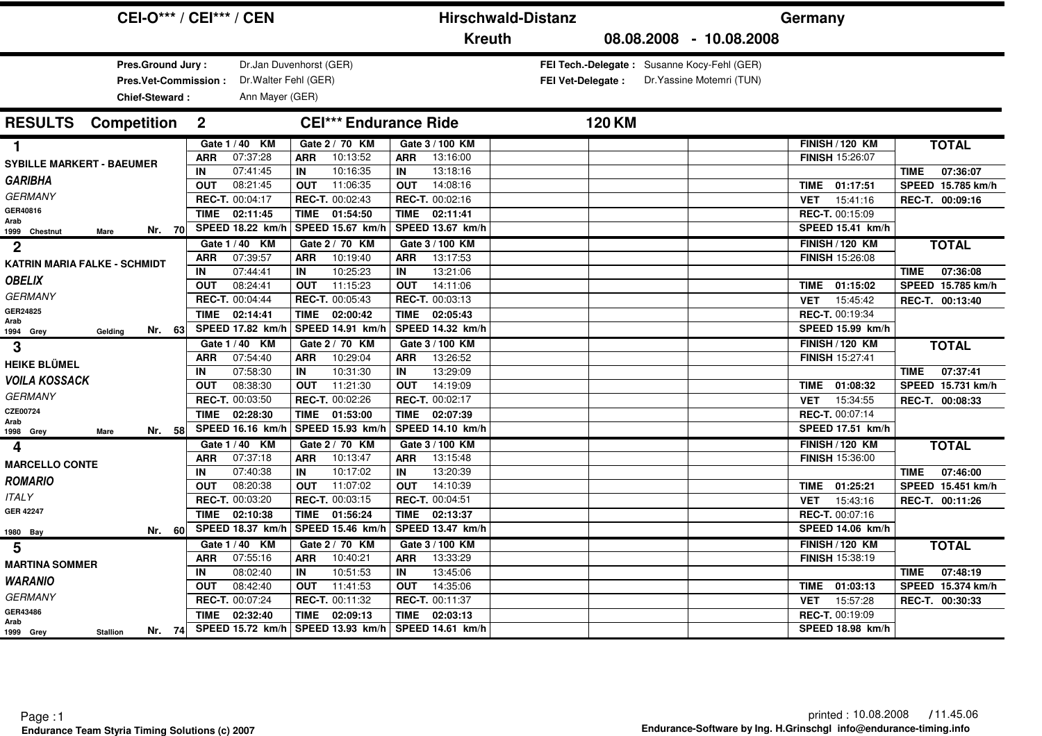|                                                             | <b>CEI-O*** / CEI*** / CEN</b>              |                                                 | <b>Hirschwald-Distanz</b>                   |                          | Germany                                                                  |                                                   |                                              |
|-------------------------------------------------------------|---------------------------------------------|-------------------------------------------------|---------------------------------------------|--------------------------|--------------------------------------------------------------------------|---------------------------------------------------|----------------------------------------------|
|                                                             |                                             |                                                 | <b>Kreuth</b>                               |                          | 08.08.2008 - 10.08.2008                                                  |                                                   |                                              |
| Pres.Ground Jury:<br>Pres.Vet-Commission:<br>Chief-Steward: | Dr. Walter Fehl (GER)<br>Ann Mayer (GER)    | Dr.Jan Duvenhorst (GER)                         |                                             | <b>FEI Vet-Delegate:</b> | FEI Tech.-Delegate: Susanne Kocy-Fehl (GER)<br>Dr. Yassine Motemri (TUN) |                                                   |                                              |
| <b>RESULTS</b><br><b>Competition</b>                        | $\mathbf{2}$                                | <b>CEI*** Endurance Ride</b>                    |                                             | <b>120 KM</b>            |                                                                          |                                                   |                                              |
| 1.<br><b>SYBILLE MARKERT - BAEUMER</b>                      | Gate 1 / 40 KM<br>07:37:28<br><b>ARR</b>    | Gate 2 / 70 KM<br>10:13:52<br><b>ARR</b>        | Gate 3 / 100 KM<br>13:16:00<br><b>ARR</b>   |                          |                                                                          | <b>FINISH / 120 KM</b><br><b>FINISH 15:26:07</b>  | <b>TOTAL</b>                                 |
| <b>GARIBHA</b>                                              | 07:41:45<br>IN<br>08:21:45<br><b>OUT</b>    | 10:16:35<br><b>IN</b><br><b>OUT</b><br>11:06:35 | 13:18:16<br>IN<br>14:08:16<br><b>OUT</b>    |                          |                                                                          | TIME 01:17:51                                     | 07:36:07<br><b>TIME</b><br>SPEED 15.785 km/h |
| <b>GERMANY</b><br>GER40816                                  | REC-T. 00:04:17<br><b>TIME</b><br>02:11:45  | REC-T. 00:02:43<br>TIME<br>01:54:50             | REC-T. 00:02:16<br><b>TIME</b><br>02:11:41  |                          |                                                                          | 15:41:16<br><b>VET</b><br>REC-T. 00:15:09         | REC-T. 00:09:16                              |
| Arab<br>Nr. 70<br>1999 Chestnut<br>Mare                     | SPEED 18.22 km/h                            | SPEED 15.67 km/h                                | SPEED 13.67 km/h                            |                          |                                                                          | <b>SPEED 15.41 km/h</b>                           |                                              |
| $\mathbf 2$<br><b>KATRIN MARIA FALKE - SCHMIDT</b>          | Gate 1 / 40 KM<br>07:39:57<br><b>ARR</b>    | Gate 2 / 70 KM<br>10:19:40<br><b>ARR</b>        | Gate 3 / 100 KM<br>13:17:53<br><b>ARR</b>   |                          |                                                                          | <b>FINISH / 120 KM</b><br><b>FINISH 15:26:08</b>  | <b>TOTAL</b>                                 |
| <b>OBELIX</b>                                               | 07:44:41<br>IN<br>08:24:41<br><b>OUT</b>    | 10:25:23<br>IN<br>11:15:23<br><b>OUT</b>        | 13:21:06<br>IN<br>14:11:06<br><b>OUT</b>    |                          |                                                                          | 01:15:02<br>TIME                                  | 07:36:08<br><b>TIME</b><br>SPEED 15.785 km/h |
| <b>GERMANY</b><br>GER24825                                  | REC-T. 00:04:44<br><b>TIME</b><br>02:14:41  | REC-T. 00:05:43<br>TIME<br>02:00:42             | REC-T. 00:03:13<br><b>TIME</b><br>02:05:43  |                          |                                                                          | 15:45:42<br><b>VET</b><br>REC-T. 00:19:34         | REC-T. 00:13:40                              |
| Arab<br>Nr. 63<br>1994 Grey<br>Gelding                      | SPEED 17.82 km/h                            | SPEED 14.91 km/h                                | SPEED 14.32 km/h                            |                          |                                                                          | SPEED 15.99 km/h                                  |                                              |
| 3                                                           | Gate 1 / 40 KM<br>07:54:40<br><b>ARR</b>    | Gate 2 / 70 KM<br>10:29:04<br><b>ARR</b>        | Gate 3 / 100 KM<br>13:26:52<br><b>ARR</b>   |                          |                                                                          | <b>FINISH / 120 KM</b><br>FINISH 15:27:41         | <b>TOTAL</b>                                 |
| <b>HEIKE BLÜMEL</b><br><b>VOILA KOSSACK</b>                 | 07:58:30<br>IN<br>08:38:30<br><b>OUT</b>    | 10:31:30<br>IN<br>11:21:30<br><b>OUT</b>        | 13:29:09<br>IN<br>14:19:09<br><b>OUT</b>    |                          |                                                                          | 01:08:32<br>TIME                                  | 07:37:41<br><b>TIME</b><br>SPEED 15.731 km/h |
| <b>GERMANY</b><br>CZE00724                                  | REC-T. 00:03:50                             | REC-T. 00:02:26                                 | REC-T. 00:02:17                             |                          |                                                                          | 15:34:55<br><b>VET</b>                            | REC-T. 00:08:33                              |
| Arab<br>Nr. 58<br>1998 Grey<br>Mare                         | <b>TIME</b><br>02:28:30<br>SPEED 16.16 km/h | TIME<br>01:53:00<br>SPEED 15.93 km/             | TIME<br>02:07:39<br><b>SPEED 14.10 km/h</b> |                          |                                                                          | REC-T. 00:07:14<br>SPEED 17.51 km/h               |                                              |
| 4                                                           | Gate 1 / 40 KM<br>07:37:18<br><b>ARR</b>    | Gate 2 / 70 KM<br><b>ARR</b><br>10:13:47        | Gate 3 / 100 KM<br>13:15:48<br><b>ARR</b>   |                          |                                                                          | <b>FINISH / 120 KM</b><br>FINISH 15:36:00         | <b>TOTAL</b>                                 |
| <b>MARCELLO CONTE</b><br><b>ROMARIO</b>                     | 07:40:38<br>IN<br>08:20:38<br><b>OUT</b>    | 10:17:02<br>IN<br>11:07:02<br><b>OUT</b>        | 13:20:39<br>IN<br>14:10:39                  |                          |                                                                          |                                                   | 07:46:00<br><b>TIME</b><br>SPEED 15.451 km/h |
| <b>ITALY</b>                                                | REC-T. 00:03:20                             | REC-T. 00:03:15                                 | <b>OUT</b><br>REC-T. 00:04:51               |                          |                                                                          | TIME<br>01:25:21<br>15:43:16<br><b>VET</b>        | REC-T. 00:11:26                              |
| <b>GER 42247</b><br>Nr. 60<br>1980 Bay                      | 02:10:38<br><b>TIME</b><br>SPEED 18.37 km/h | 01:56:24<br><b>TIME</b><br>SPEED 15.46 km/h     | 02:13:37<br><b>TIME</b><br>SPEED 13.47 km/h |                          |                                                                          | REC-T. 00:07:16<br>SPEED 14.06 km/h               |                                              |
| 5                                                           | Gate 1 / 40 KM                              | Gate 2 / 70 KM                                  | Gate 3 / 100 KM                             |                          |                                                                          | <b>FINISH / 120 KM</b>                            | <b>TOTAL</b>                                 |
| <b>MARTINA SOMMER</b>                                       | 07:55:16<br><b>ARR</b><br>08:02:40<br>IN    | 10:40:21<br><b>ARR</b><br>10:51:53<br>IN        | 13:33:29<br><b>ARR</b><br>13:45:06<br>IN    |                          |                                                                          | FINISH 15:38:19                                   | 07:48:19<br><b>TIME</b>                      |
| <b>WARANIO</b><br><b>GERMANY</b>                            | 08:42:40<br><b>OUT</b><br>REC-T. 00:07:24   | 11:41:53<br><b>OUT</b><br>REC-T. 00:11:32       | <b>OUT</b><br>14:35:06<br>REC-T. 00:11:37   |                          |                                                                          | 01:03:13<br><b>TIME</b><br>15:57:28<br><b>VET</b> | SPEED 15.374 km/h<br>REC-T. 00:30:33         |
| GER43486<br>Arab                                            | 02:32:40<br>TIME                            | 02:09:13<br>TIME                                | 02:03:13<br>TIME                            |                          |                                                                          | REC-T. 00:19:09                                   |                                              |
| Nr. 74<br>1999 Grey<br><b>Stallion</b>                      |                                             | SPEED 15.72 km/h   SPEED 13.93 km/h             | SPEED 14.61 km/h                            |                          |                                                                          | SPEED 18.98 km/h                                  |                                              |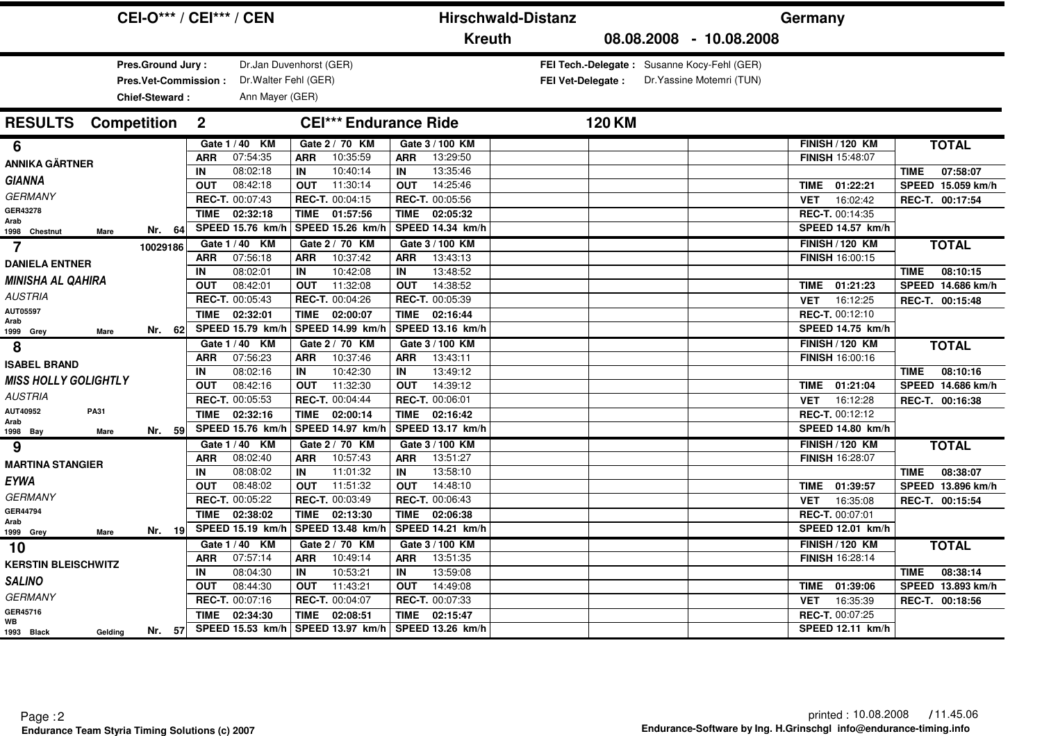|                             | <b>CEI-O*** / CEI*** / CEN</b>                              |                  |                                                                     |                         |                              | <b>Hirschwald-Distanz</b> |                      |               |                          |               | Germany |                                                                          |             |                         |             |                               |
|-----------------------------|-------------------------------------------------------------|------------------|---------------------------------------------------------------------|-------------------------|------------------------------|---------------------------|----------------------|---------------|--------------------------|---------------|---------|--------------------------------------------------------------------------|-------------|-------------------------|-------------|-------------------------------|
|                             |                                                             |                  |                                                                     |                         |                              |                           |                      | <b>Kreuth</b> |                          |               |         | 08.08.2008 - 10.08.2008                                                  |             |                         |             |                               |
|                             | Pres.Ground Jury:<br>Pres.Vet-Commission:<br>Chief-Steward: |                  | Dr.Jan Duvenhorst (GER)<br>Dr. Walter Fehl (GER)<br>Ann Mayer (GER) |                         |                              |                           |                      |               | <b>FEI Vet-Delegate:</b> |               |         | FEI Tech.-Delegate: Susanne Kocy-Fehl (GER)<br>Dr. Yassine Motemri (TUN) |             |                         |             |                               |
| <b>RESULTS</b>              | <b>Competition</b>                                          | $\mathbf{2}$     |                                                                     |                         | <b>CEI*** Endurance Ride</b> |                           |                      |               |                          | <b>120 KM</b> |         |                                                                          |             |                         |             |                               |
| 6                           |                                                             |                  | Gate 1 / 40 KM                                                      |                         | Gate 2 / 70 KM               |                           | Gate 3 / 100 KM      |               |                          |               |         |                                                                          |             | <b>FINISH / 120 KM</b>  |             | <b>TOTAL</b>                  |
| <b>ANNIKA GÄRTNER</b>       |                                                             | <b>ARR</b>       | 07:54:35                                                            | ARR                     | 10:35:59                     | <b>ARR</b>                | 13:29:50             |               |                          |               |         |                                                                          |             | <b>FINISH 15:48:07</b>  |             |                               |
| <b>GIANNA</b>               |                                                             | IN               | 08:02:18                                                            | <b>IN</b>               | 10:40:14                     | IN                        | 13:35:46             |               |                          |               |         |                                                                          |             |                         | <b>TIME</b> | 07:58:07                      |
| <b>GERMANY</b>              |                                                             | <b>OUT</b>       | 08:42:18                                                            | <b>OUT</b>              | 11:30:14                     | <b>OUT</b>                | 14:25:46             |               |                          |               |         |                                                                          | <b>TIME</b> | 01:22:21                |             | SPEED 15.059 km/h             |
| GER43278                    |                                                             |                  | REC-T. 00:07:43                                                     |                         | REC-T. 00:04:15              |                           | REC-T. 00:05:56      |               |                          |               |         |                                                                          | <b>VET</b>  | 16:02:42                |             | REC-T. 00:17:54               |
| Arab                        |                                                             | <b>TIME</b>      | 02:32:18                                                            | <b>TIME</b>             | 01:57:56                     | <b>TIME</b>               | 02:05:32             |               |                          |               |         |                                                                          |             | <b>REC-T. 00:14:35</b>  |             |                               |
| 1998 Chestnut<br>Mare       | Nr. 64                                                      |                  | SPEED 15.76 km/h                                                    |                         | SPEED 15.26 km/h             |                           | SPEED 14.34 km/h     |               |                          |               |         |                                                                          |             | SPEED 14.57 km/h        |             |                               |
| 7                           | 10029186                                                    |                  | Gate 1 / 40 KM                                                      |                         | Gate 2 / 70 KM               |                           | Gate 3 / 100 KM      |               |                          |               |         |                                                                          |             | <b>FINISH / 120 KM</b>  |             | <b>TOTAL</b>                  |
| <b>DANIELA ENTNER</b>       |                                                             | <b>ARR</b>       | 07:56:18                                                            | <b>ARR</b>              | 10:37:42                     | <b>ARR</b>                | 13:43:13<br>13:48:52 |               |                          |               |         |                                                                          |             | <b>FINISH 16:00:15</b>  |             |                               |
| <b>MINISHA AL QAHIRA</b>    |                                                             | IN<br><b>OUT</b> | 08:02:01<br>08:42:01                                                | <b>IN</b><br><b>OUT</b> | 10:42:08<br>11:32:08         | IN<br><b>OUT</b>          | 14:38:52             |               |                          |               |         |                                                                          | <b>TIME</b> | 01:21:23                | <b>TIME</b> | 08:10:15<br>SPEED 14.686 km/h |
| <b>AUSTRIA</b>              |                                                             |                  | REC-T. 00:05:43                                                     |                         | REC-T. 00:04:26              |                           | REC-T. 00:05:39      |               |                          |               |         |                                                                          | <b>VET</b>  | 16:12:25                |             |                               |
| AUT05597                    |                                                             | <b>TIME</b>      | 02:32:01                                                            | TIME                    | 02:00:07                     | <b>TIME</b>               | 02:16:44             |               |                          |               |         |                                                                          |             | REC-T. 00:12:10         |             | REC-T. 00:15:48               |
| Arab                        | Nr. 62                                                      |                  | SPEED 15.79 km/h                                                    |                         | SPEED 14.99 km/h             |                           | SPEED 13.16 km/h     |               |                          |               |         |                                                                          |             | SPEED 14.75 km/h        |             |                               |
| 1999 Grey<br>Mare           |                                                             |                  | Gate 1 / 40 KM                                                      |                         | Gate 2 / 70 KM               |                           | Gate 3 / 100 KM      |               |                          |               |         |                                                                          |             | <b>FINISH / 120 KM</b>  |             | <b>TOTAL</b>                  |
| 8                           |                                                             | <b>ARR</b>       | 07:56:23                                                            | <b>ARR</b>              | 10:37:46                     | ARR                       | 13:43:11             |               |                          |               |         |                                                                          |             | FINISH 16:00:16         |             |                               |
| <b>ISABEL BRAND</b>         |                                                             | IN               | 08:02:16                                                            | IN                      | 10:42:30                     | IN                        | 13:49:12             |               |                          |               |         |                                                                          |             |                         | <b>TIME</b> | 08:10:16                      |
| <b>MISS HOLLY GOLIGHTLY</b> |                                                             | <b>OUT</b>       | 08:42:16                                                            | <b>OUT</b>              | 11:32:30                     | <b>OUT</b>                | 14:39:12             |               |                          |               |         |                                                                          | TIME        | 01:21:04                |             | SPEED 14.686 km/h             |
| <b>AUSTRIA</b>              |                                                             |                  | REC-T. 00:05:53                                                     |                         | REC-T. 00:04:44              |                           | REC-T. 00:06:01      |               |                          |               |         |                                                                          | <b>VET</b>  | 16:12:28                |             | REC-T. 00:16:38               |
| AUT40952<br><b>PA31</b>     |                                                             | <b>TIME</b>      | 02:32:16                                                            | <b>TIME</b>             | 02:00:14                     | <b>TIME</b>               | 02:16:42             |               |                          |               |         |                                                                          |             | REC-T. 00:12:12         |             |                               |
| Arab<br>1998 Bay<br>Mare    | Nr. 59                                                      |                  | SPEED 15.76 km/h                                                    |                         | SPEED 14.97 km/h             |                           | SPEED 13.17 km/h     |               |                          |               |         |                                                                          |             | SPEED 14.80 km/h        |             |                               |
| 9                           |                                                             |                  | Gate 1 / 40 KM                                                      |                         | Gate 2 / 70 KM               |                           | Gate 3 / 100 KM      |               |                          |               |         |                                                                          |             | <b>FINISH / 120 KM</b>  |             | <b>TOTAL</b>                  |
|                             |                                                             | <b>ARR</b>       | 08:02:40                                                            | ARR                     | 10:57:43                     | <b>ARR</b>                | 13:51:27             |               |                          |               |         |                                                                          |             | <b>FINISH 16:28:07</b>  |             |                               |
| <b>MARTINA STANGIER</b>     |                                                             | IN               | 08:08:02                                                            | IN                      | 11:01:32                     | IN                        | 13:58:10             |               |                          |               |         |                                                                          |             |                         | <b>TIME</b> | 08:38:07                      |
| <b>EYWA</b>                 |                                                             | <b>OUT</b>       | 08:48:02                                                            | <b>OUT</b>              | 11:51:32                     | <b>OUT</b>                | 14:48:10             |               |                          |               |         |                                                                          | <b>TIME</b> | 01:39:57                |             | SPEED 13.896 km/h             |
| <b>GERMANY</b>              |                                                             |                  | REC-T. 00:05:22                                                     |                         | REC-T. 00:03:49              |                           | REC-T. 00:06:43      |               |                          |               |         |                                                                          | <b>VET</b>  | 16:35:08                |             | REC-T. 00:15:54               |
| GER44794<br>Arab            |                                                             | <b>TIME</b>      | 02:38:02                                                            | <b>TIME</b>             | 02:13:30                     | <b>TIME</b>               | 02:06:38             |               |                          |               |         |                                                                          |             | REC-T. 00:07:01         |             |                               |
| 1999 Grey<br>Mare           | Nr. 19                                                      |                  | SPEED 15.19 km/h                                                    |                         | SPEED 13.48 km/h             |                           | SPEED 14.21 km/h     |               |                          |               |         |                                                                          |             | <b>SPEED 12.01 km/h</b> |             |                               |
| 10                          |                                                             |                  | Gate 1 / 40 KM                                                      |                         | Gate 2 / 70 KM               |                           | Gate 3 / 100 KM      |               |                          |               |         |                                                                          |             | <b>FINISH / 120 KM</b>  |             | <b>TOTAL</b>                  |
| <b>KERSTIN BLEISCHWITZ</b>  |                                                             | <b>ARR</b>       | 07:57:14                                                            | <b>ARR</b>              | 10:49:14                     | <b>ARR</b>                | 13:51:35             |               |                          |               |         |                                                                          |             | <b>FINISH 16:28:14</b>  |             |                               |
| <b>SALINO</b>               |                                                             | IN               | 08:04:30                                                            | IN                      | 10:53:21                     | IN                        | 13:59:08             |               |                          |               |         |                                                                          |             |                         | <b>TIME</b> | 08:38:14                      |
|                             |                                                             | <b>OUT</b>       | 08:44:30                                                            | <b>OUT</b>              | 11:43:21                     | <b>OUT</b>                | 14:49:08             |               |                          |               |         |                                                                          | TIME        | 01:39:06                |             | SPEED 13.893 km/h             |
| <b>GERMANY</b><br>GER45716  |                                                             |                  | REC-T. 00:07:16                                                     |                         | REC-T. 00:04:07              |                           | REC-T. 00:07:33      |               |                          |               |         |                                                                          | VET         | 16:35:39                |             | REC-T. 00:18:56               |
| <b>WB</b>                   |                                                             | <b>TIME</b>      | 02:34:30                                                            | <b>TIME</b>             | 02:08:51                     | <b>TIME</b>               | 02:15:47             |               |                          |               |         |                                                                          |             | REC-T. 00:07:25         |             |                               |
| 1993 Black<br>Gelding       | Nr. 57                                                      |                  | SPEED 15.53 km/h                                                    |                         | SPEED 13.97 km/h             |                           | SPEED 13.26 km/h     |               |                          |               |         |                                                                          |             | SPEED 12.11 km/h        |             |                               |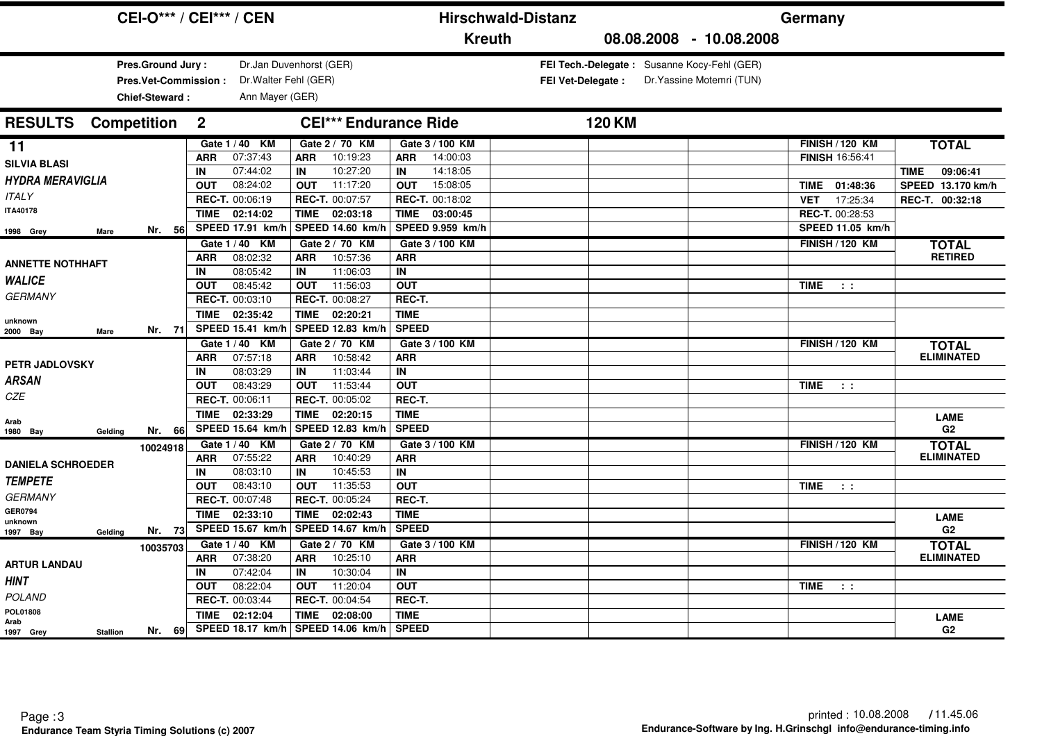|                                                  |                                                             | <b>CEI-O*** / CEI*** / CEN</b> |                                                                     |                  |                                    |                             | <b>Hirschwald-Distanz</b>           |  |                          |               |  | Germany                                                                  |                                                  |                  |                                              |
|--------------------------------------------------|-------------------------------------------------------------|--------------------------------|---------------------------------------------------------------------|------------------|------------------------------------|-----------------------------|-------------------------------------|--|--------------------------|---------------|--|--------------------------------------------------------------------------|--------------------------------------------------|------------------|----------------------------------------------|
|                                                  |                                                             |                                |                                                                     |                  |                                    |                             | <b>Kreuth</b>                       |  |                          |               |  | 08.08.2008 - 10.08.2008                                                  |                                                  |                  |                                              |
|                                                  | Pres.Ground Jury:<br>Pres.Vet-Commission:<br>Chief-Steward: |                                | Dr.Jan Duvenhorst (GER)<br>Dr. Walter Fehl (GER)<br>Ann Mayer (GER) |                  |                                    |                             |                                     |  | <b>FEI Vet-Delegate:</b> |               |  | FEI Tech.-Delegate: Susanne Kocy-Fehl (GER)<br>Dr. Yassine Motemri (TUN) |                                                  |                  |                                              |
| <b>RESULTS</b>                                   | <b>Competition</b>                                          | $\mathbf{2}$                   |                                                                     |                  | <b>CEI*** Endurance Ride</b>       |                             |                                     |  |                          | <b>120 KM</b> |  |                                                                          |                                                  |                  |                                              |
| 11<br><b>SILVIA BLASI</b>                        |                                                             | <b>ARR</b>                     | Gate 1 / 40 KM<br>07:37:43                                          | <b>ARR</b>       | Gate 2 / 70 KM<br>10:19:23         | <b>ARR</b>                  | Gate 3 / 100 KM<br>14:00:03         |  |                          |               |  |                                                                          | <b>FINISH / 120 KM</b><br><b>FINISH 16:56:41</b> |                  | <b>TOTAL</b>                                 |
| <b>HYDRA MERAVIGLIA</b>                          |                                                             | IN<br><b>OUT</b>               | 07:44:02<br>08:24:02                                                | IN<br><b>OUT</b> | 10:27:20<br>11:17:20               | IN<br><b>OUT</b>            | 14:18:05<br>15:08:05                |  |                          |               |  |                                                                          | TIME 01:48:36                                    |                  | 09:06:41<br><b>TIME</b><br>SPEED 13.170 km/h |
| <b>ITALY</b><br><b>ITA40178</b>                  |                                                             | <b>TIME</b>                    | REC-T. 00:06:19<br>02:14:02                                         | TIME             | REC-T. 00:07:57<br>02:03:18        | TIME                        | REC-T. 00:18:02<br>03:00:45         |  |                          |               |  |                                                                          | <b>VET</b><br>REC-T. 00:28:53                    | 17:25:34         | REC-T. 00:32:18                              |
| 1998 Grey<br><b>Mare</b>                         | Nr. 56                                                      |                                | SPEED 17.91 km/h<br>Gate 1 / 40 KM                                  |                  | SPEED 14.60 km/h<br>Gate 2 / 70 KM |                             | SPEED 9.959 km/h<br>Gate 3 / 100 KM |  |                          |               |  |                                                                          | <b>FINISH / 120 KM</b>                           | SPEED 11.05 km/h | <b>TOTAL</b>                                 |
| <b>ANNETTE NOTHHAFT</b><br><b>WALICE</b>         |                                                             | <b>ARR</b><br>IN               | 08:02:32<br>08:05:42                                                | <b>ARR</b><br>IN | 10:57:36<br>11:06:03               | <b>ARR</b><br>IN            |                                     |  |                          |               |  |                                                                          |                                                  |                  | <b>RETIRED</b>                               |
| <b>GERMANY</b>                                   |                                                             | <b>OUT</b>                     | 08:45:42<br>REC-T. 00:03:10                                         | <b>OUT</b>       | 11:56:03<br>REC-T. 00:08:27        | <b>OUT</b><br>REC-T.        |                                     |  |                          |               |  |                                                                          | <b>TIME</b>                                      | $\sim 100$       |                                              |
| unknown<br>2000 Bay<br>Mare                      | Nr. 71                                                      | <b>TIME</b>                    | 02:35:42<br>SPEED 15.41 km/h                                        |                  | TIME 02:20:21<br>SPEED 12.83 km/h  | <b>TIME</b><br><b>SPEED</b> |                                     |  |                          |               |  |                                                                          |                                                  |                  |                                              |
| <b>PETR JADLOVSKY</b>                            |                                                             | <b>ARR</b>                     | Gate 1 / 40 KM<br>07:57:18                                          | <b>ARR</b>       | Gate 2 / 70 KM<br>10:58:42         | <b>ARR</b>                  | Gate 3 / 100 KM                     |  |                          |               |  |                                                                          | <b>FINISH / 120 KM</b>                           |                  | <b>TOTAL</b><br><b>ELIMINATED</b>            |
| <b>ARSAN</b>                                     |                                                             | IN<br><b>OUT</b>               | 08:03:29<br>08:43:29                                                | IN<br><b>OUT</b> | 11:03:44<br>11:53:44               | IN<br><b>OUT</b>            |                                     |  |                          |               |  |                                                                          | <b>TIME</b>                                      | $\sim 10$        |                                              |
| CZE<br>Arab                                      |                                                             | <b>TIME</b>                    | REC-T. 00:06:11<br>02:33:29                                         | <b>TIME</b>      | REC-T. 00:05:02<br>02:20:15        | REC-T.<br><b>TIME</b>       |                                     |  |                          |               |  |                                                                          |                                                  |                  | <b>LAME</b>                                  |
| Gelding<br>1980 Bay                              | Nr. 66<br>10024918                                          |                                | SPEED 15.64 km/h<br>Gate 1 / 40 KM                                  |                  | SPEED 12.83 km/<br>Gate 2 / 70 KM  | <b>SPEED</b>                | Gate 3 / 100 KM                     |  |                          |               |  |                                                                          | <b>FINISH / 120 KM</b>                           |                  | G <sub>2</sub><br><b>TOTAL</b>               |
| <b>DANIELA SCHROEDER</b><br><b>TEMPETE</b>       |                                                             | <b>ARR</b><br>IN               | 07:55:22<br>08:03:10                                                | <b>ARR</b><br>IN | 10:40:29<br>10:45:53               | <b>ARR</b><br>IN            |                                     |  |                          |               |  |                                                                          |                                                  |                  | <b>ELIMINATED</b>                            |
| <b>GERMANY</b>                                   |                                                             | <b>OUT</b>                     | 08:43:10<br>REC-T. 00:07:48                                         | <b>OUT</b>       | 11:35:53<br>REC-T. 00:05:24        | <b>OUT</b><br>REC-T.        |                                     |  |                          |               |  |                                                                          | <b>TIME</b>                                      | $\sim 10$        |                                              |
| <b>GER0794</b><br>unknown<br>1997 Bay<br>Gelding | Nr. 73                                                      | <b>TIME</b>                    | 02:33:10<br>SPEED 15.67 km/h                                        | <b>TIME</b>      | 02:02:43<br>SPEED 14.67 km/h       | <b>TIME</b><br><b>SPEED</b> |                                     |  |                          |               |  |                                                                          |                                                  |                  | <b>LAME</b><br>G <sub>2</sub>                |
| <b>ARTUR LANDAU</b>                              | 10035703                                                    | <b>ARR</b>                     | Gate 1 / 40 KM<br>07:38:20                                          | <b>ARR</b>       | Gate 2 / 70 KM<br>10:25:10         | <b>ARR</b>                  | Gate 3 / 100 KM                     |  |                          |               |  |                                                                          | <b>FINISH / 120 KM</b>                           |                  | <b>TOTAL</b><br><b>ELIMINATED</b>            |
| <b>HINT</b>                                      |                                                             | IN<br><b>OUT</b>               | 07:42:04<br>08:22:04                                                | IN<br><b>OUT</b> | 10:30:04<br>11:20:04               | IN<br><b>OUT</b>            |                                     |  |                          |               |  |                                                                          | TIME                                             | $\sim$ 100 $\pm$ |                                              |
| <b>POLAND</b><br>POL01808<br>Arab                |                                                             | <b>TIME</b>                    | REC-T. 00:03:44<br>02:12:04                                         | <b>TIME</b>      | REC-T. 00:04:54<br>02:08:00        | REC-T.<br><b>TIME</b>       |                                     |  |                          |               |  |                                                                          |                                                  |                  | <b>LAME</b>                                  |
| 1997 Grey<br><b>Stallion</b>                     | Nr. 69                                                      |                                | <b>SPEED 18.17 km/h</b>                                             |                  | SPEED 14.06 km/h                   | <b>SPEED</b>                |                                     |  |                          |               |  |                                                                          |                                                  |                  | G2                                           |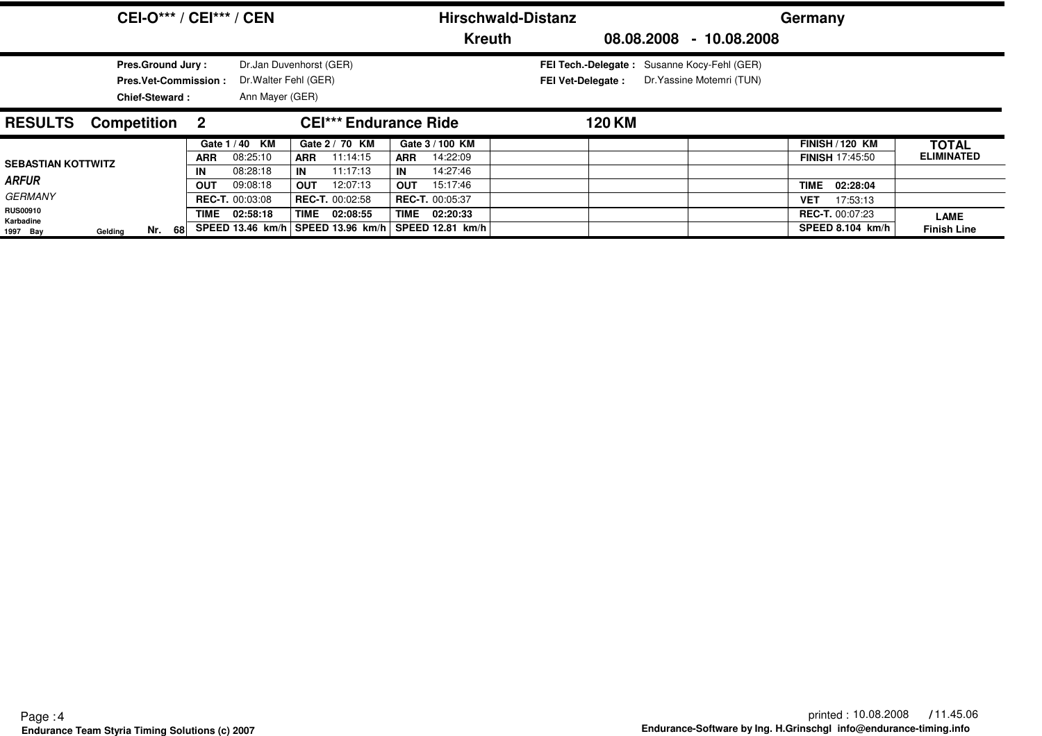|                                                |                                                   |        |                             | <b>CEI-O*** / CEI*** / CEN</b>                                      |                   |                                                                                |                  |                                                        | <b>Hirschwald-Distanz</b> |                                                                                |        |                           |                         | Germany                                                              |                                   |
|------------------------------------------------|---------------------------------------------------|--------|-----------------------------|---------------------------------------------------------------------|-------------------|--------------------------------------------------------------------------------|------------------|--------------------------------------------------------|---------------------------|--------------------------------------------------------------------------------|--------|---------------------------|-------------------------|----------------------------------------------------------------------|-----------------------------------|
|                                                |                                                   |        |                             |                                                                     |                   |                                                                                |                  | <b>Kreuth</b>                                          |                           |                                                                                |        |                           | 08.08.2008 - 10.08.2008 |                                                                      |                                   |
|                                                | <b>Pres.Ground Jury:</b><br><b>Chief-Steward:</b> |        | <b>Pres.Vet-Commission:</b> | Dr.Jan Duvenhorst (GER)<br>Dr. Walter Fehl (GER)<br>Ann Mayer (GER) |                   |                                                                                |                  |                                                        |                           | <b>FEI Tech.-Delegate:</b> Susanne Kocy-Fehl (GER)<br><b>FEI Vet-Delegate:</b> |        | Dr. Yassine Motemri (TUN) |                         |                                                                      |                                   |
| <b>RESULTS</b>                                 | <b>Competition 2</b>                              |        |                             |                                                                     |                   | <b>CEI*** Endurance Ride</b>                                                   |                  |                                                        |                           |                                                                                | 120 KM |                           |                         |                                                                      |                                   |
|                                                |                                                   |        | <b>ARR</b>                  | Gate 1/40 KM<br>08:25:10                                            | <b>ARR</b>        | Gate 2 / 70 KM<br>11:14:15                                                     | <b>ARR</b>       | Gate 3 / 100 KM<br>14:22:09                            |                           |                                                                                |        |                           |                         | <b>FINISH / 120 KM</b><br><b>FINISH 17:45:50</b>                     | <b>TOTAL</b><br><b>ELIMINATED</b> |
| <b>SEBASTIAN KOTTWITZ</b><br><b>ARFUR</b>      |                                                   |        | IN<br><b>OUT</b>            | 08:28:18<br>09:08:18                                                | IN.<br><b>OUT</b> | 11:17:13<br>12:07:13                                                           | IN<br><b>OUT</b> | 14:27:46<br>15:17:46                                   |                           |                                                                                |        |                           |                         | <b>TIME</b><br>02:28:04                                              |                                   |
| <b>GERMANY</b><br><b>RUS00910</b><br>Karbadine |                                                   | Nr. 68 | TIME                        | <b>REC-T. 00:03:08</b><br>02:58:18                                  |                   | <b>REC-T. 00:02:58</b><br>TIME 02:08:55<br>SPEED 13.46 km/h   SPEED 13.96 km/h | TIME             | <b>REC-T. 00:05:37</b><br>02:20:33<br>SPEED 12.81 km/h |                           |                                                                                |        |                           |                         | 17:53:13<br><b>VET</b><br><b>REC-T. 00:07:23</b><br>SPEED 8.104 km/h | <b>LAME</b><br><b>Finish Line</b> |
| 1997 Bay                                       | Gelding                                           |        |                             |                                                                     |                   |                                                                                |                  |                                                        |                           |                                                                                |        |                           |                         |                                                                      |                                   |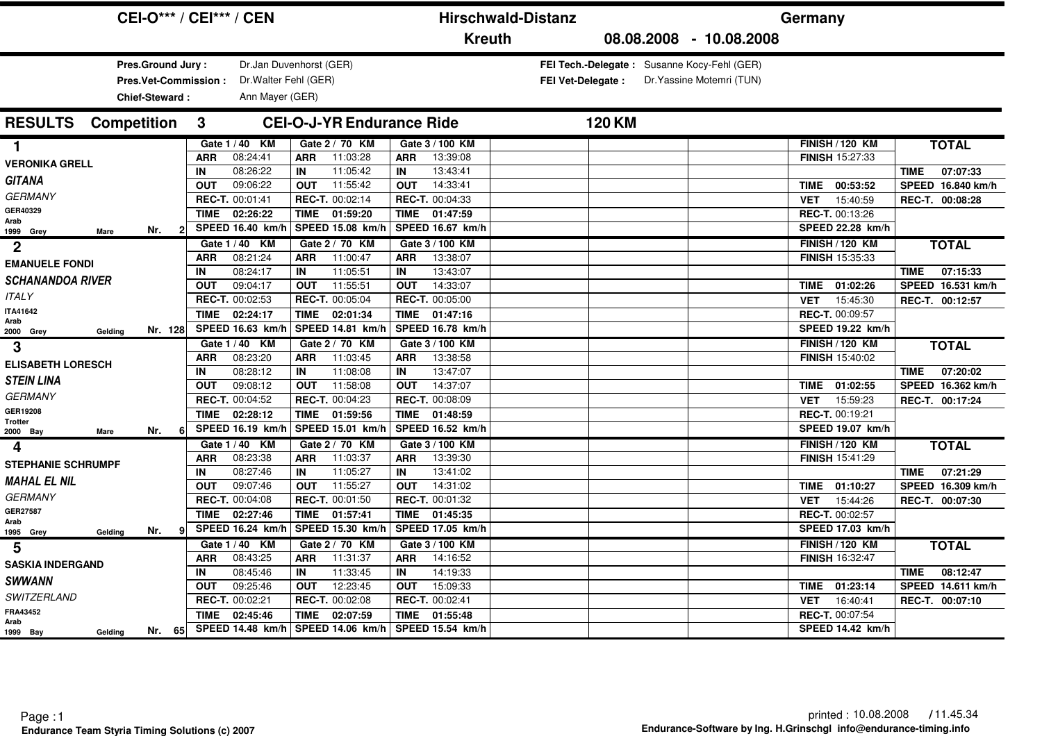| <b>CEI-O*** / CEI*** / CEN</b>                              |                                                                     | <b>Hirschwald-Distanz</b>                 |                                                                   |                           | Germany                                          |                                              |
|-------------------------------------------------------------|---------------------------------------------------------------------|-------------------------------------------|-------------------------------------------------------------------|---------------------------|--------------------------------------------------|----------------------------------------------|
|                                                             |                                                                     | <b>Kreuth</b>                             |                                                                   | 08.08.2008 - 10.08.2008   |                                                  |                                              |
| Pres.Ground Jury:<br>Pres.Vet-Commission:<br>Chief-Steward: | Dr.Jan Duvenhorst (GER)<br>Dr. Walter Fehl (GER)<br>Ann Mayer (GER) |                                           | FEI Tech.-Delegate: Susanne Kocy-Fehl (GER)<br>FEI Vet-Delegate : | Dr. Yassine Motemri (TUN) |                                                  |                                              |
| <b>Competition</b><br><b>RESULTS</b><br>3                   | <b>CEI-O-J-YR Endurance Ride</b>                                    |                                           | <b>120 KM</b>                                                     |                           |                                                  |                                              |
| Gate 1 / 40 KM<br>1.                                        | Gate 2 / 70 KM                                                      | Gate 3 / 100 KM                           |                                                                   |                           | <b>FINISH / 120 KM</b>                           | <b>TOTAL</b>                                 |
| <b>ARR</b><br><b>VERONIKA GRELL</b>                         | 08:24:41<br>11:03:28<br><b>ARR</b>                                  | 13:39:08<br><b>ARR</b>                    |                                                                   |                           | <b>FINISH 15:27:33</b>                           |                                              |
| IN<br><b>GITANA</b>                                         | 08:26:22<br>11:05:42<br>IN                                          | 13:43:41<br>IN                            |                                                                   |                           |                                                  | 07:07:33<br><b>TIME</b>                      |
| <b>OUT</b>                                                  | 09:06:22<br>11:55:42<br><b>OUT</b>                                  | 14:33:41<br><b>OUT</b>                    |                                                                   |                           | 00:53:52<br>TIME                                 | SPEED 16.840 km/h                            |
| <b>GERMANY</b><br>REC-T. 00:01:41                           | REC-T. 00:02:14                                                     | REC-T. 00:04:33                           |                                                                   |                           | 15:40:59<br><b>VET</b>                           | REC-T. 00:08:28                              |
| GER40329<br><b>TIME</b><br>Arab                             | 02:26:22<br>TIME 01:59:20                                           | <b>TIME</b><br>01:47:59                   |                                                                   |                           | REC-T. 00:13:26                                  |                                              |
| SPEED 16.40 km/h<br>Nr.<br>Mare<br>1999 Grey                | SPEED 15.08 km/h                                                    | SPEED 16.67 km/h                          |                                                                   |                           | SPEED 22.28 km/h                                 |                                              |
| Gate 1 / 40 KM<br>$\mathbf 2$                               | Gate 2 / 70 KM                                                      | Gate 3 / 100 KM                           |                                                                   |                           | <b>FINISH / 120 KM</b>                           | <b>TOTAL</b>                                 |
| <b>ARR</b><br><b>EMANUELE FONDI</b>                         | 08:21:24<br>11:00:47<br><b>ARR</b>                                  | 13:38:07<br><b>ARR</b>                    |                                                                   |                           | <b>FINISH 15:35:33</b>                           |                                              |
| IN<br><b>SCHANANDOA RIVER</b>                               | 08:24:17<br>11:05:51<br>IN                                          | 13:43:07<br>IN                            |                                                                   |                           |                                                  | 07:15:33<br><b>TIME</b>                      |
| <b>OUT</b><br><b>ITALY</b>                                  | 09:04:17<br>11:55:51<br><b>OUT</b>                                  | 14:33:07<br><b>OUT</b>                    |                                                                   |                           | 01:02:26<br>TIME                                 | SPEED 16.531 km/h                            |
| REC-T. 00:02:53<br><b>ITA41642</b>                          | REC-T. 00:05:04                                                     | REC-T. 00:05:00                           |                                                                   |                           | 15:45:30<br><b>VET</b>                           | REC-T. 00:12:57                              |
| TIME<br>Arab                                                | 02:24:17<br>TIME 02:01:34                                           | <b>TIME</b><br>01:47:16                   |                                                                   |                           | REC-T. 00:09:57                                  |                                              |
| SPEED 16.63 km/h<br>Nr. 128<br>Gelding<br>2000 Grey         | SPEED 14.81 km/h                                                    | SPEED 16.78 km/h                          |                                                                   |                           | SPEED 19.22 km/h                                 |                                              |
| Gate 1 / 40 KM<br>3                                         | Gate 2 / 70 KM                                                      | Gate 3 / 100 KM                           |                                                                   |                           | <b>FINISH / 120 KM</b>                           | <b>TOTAL</b>                                 |
| <b>ARR</b><br><b>ELISABETH LORESCH</b>                      | 08:23:20<br>11:03:45<br><b>ARR</b>                                  | 13:38:58<br><b>ARR</b>                    |                                                                   |                           | <b>FINISH 15:40:02</b>                           |                                              |
| IN<br><b>STEIN LINA</b><br><b>OUT</b>                       | 08:28:12<br>11:08:08<br>IN<br>11:58:08<br>09:08:12<br><b>OUT</b>    | 13:47:07<br>IN<br>14:37:07<br><b>OUT</b>  |                                                                   |                           | 01:02:55<br><b>TIME</b>                          | 07:20:02<br><b>TIME</b><br>SPEED 16.362 km/h |
| <b>GERMANY</b><br>REC-T. 00:04:52                           | REC-T. 00:04:23                                                     | REC-T. 00:08:09                           |                                                                   |                           | 15:59:23                                         |                                              |
| GER19208<br><b>TIME</b>                                     | 02:28:12<br>TIME<br>01:59:56                                        | <b>TIME</b><br>01:48:59                   |                                                                   |                           | <b>VET</b><br>REC-T. 00:19:21                    | REC-T. 00:17:24                              |
| <b>Trotter</b><br>SPEED 16.19 km/h                          | SPEED 15.01 km/h                                                    | SPEED 16.52 km/h                          |                                                                   |                           | SPEED 19.07 km/h                                 |                                              |
| Nr.<br>-6 I<br>2000 Bay<br>Mare                             |                                                                     |                                           |                                                                   |                           |                                                  |                                              |
| Gate 1 / 40 KM<br>4<br><b>ARR</b>                           | Gate 2 / 70 KM<br>08:23:38<br><b>ARR</b><br>11:03:37                | Gate 3 / 100 KM<br>13:39:30<br><b>ARR</b> |                                                                   |                           | <b>FINISH / 120 KM</b><br><b>FINISH 15:41:29</b> | <b>TOTAL</b>                                 |
| <b>STEPHANIE SCHRUMPF</b><br>IN                             | 08:27:46<br>11:05:27<br>IN                                          | IN<br>13:41:02                            |                                                                   |                           |                                                  | 07:21:29<br><b>TIME</b>                      |
| <b>MAHAL EL NIL</b><br><b>OUT</b>                           | 09:07:46<br>11:55:27<br><b>OUT</b>                                  | 14:31:02<br><b>OUT</b>                    |                                                                   |                           | 01:10:27<br><b>TIME</b>                          | SPEED 16.309 km/h                            |
| <b>GERMANY</b><br>REC-T. 00:04:08                           | REC-T. 00:01:50                                                     | REC-T. 00:01:32                           |                                                                   |                           | 15:44:26<br><b>VET</b>                           | REC-T. 00:07:30                              |
| <b>GER27587</b><br><b>TIME</b>                              | 02:27:46<br>TIME 01:57:41                                           | <b>TIME</b><br>01:45:35                   |                                                                   |                           | REC-T. 00:02:57                                  |                                              |
| Arab<br>SPEED 16.24 km/h<br>Nr.<br>9<br>Gelding             | SPEED 15.30 km/h                                                    | SPEED 17.05 km/h                          |                                                                   |                           | <b>SPEED 17.03 km/h</b>                          |                                              |
| 1995 Grey<br>Gate 1 / 40 KM                                 | Gate 2 / 70 KM                                                      | Gate 3 / 100 KM                           |                                                                   |                           | <b>FINISH / 120 KM</b>                           | <b>TOTAL</b>                                 |
| 5<br><b>ARR</b>                                             | 08:43:25<br>11:31:37<br><b>ARR</b>                                  | 14:16:52<br><b>ARR</b>                    |                                                                   |                           | <b>FINISH 16:32:47</b>                           |                                              |
| <b>SASKIA INDERGAND</b><br>IN                               | 11:33:45<br>08:45:46<br>IN                                          | 14:19:33<br>IN                            |                                                                   |                           |                                                  | 08:12:47<br><b>TIME</b>                      |
| <b>SWWANN</b><br><b>OUT</b>                                 | 09:25:46<br>12:23:45<br><b>OUT</b>                                  | 15:09:33<br><b>OUT</b>                    |                                                                   |                           | 01:23:14<br>TIME                                 | SPEED 14.611 km/h                            |
| <b>SWITZERLAND</b><br>REC-T. 00:02:21                       | REC-T. 00:02:08                                                     | REC-T. 00:02:41                           |                                                                   |                           | 16:40:41<br><b>VET</b>                           | REC-T. 00:07:10                              |
| FRA43452<br><b>TIME</b>                                     | 02:45:46<br>TIME<br>02:07:59                                        | <b>TIME</b><br>01:55:48                   |                                                                   |                           | REC-T. 00:07:54                                  |                                              |
| Arab<br>Nr. 65<br>Gelding<br>1999 Bay                       | SPEED 14.48 km/h   SPEED 14.06 km/h                                 | SPEED 15.54 km/h                          |                                                                   |                           | <b>SPEED 14.42 km/h</b>                          |                                              |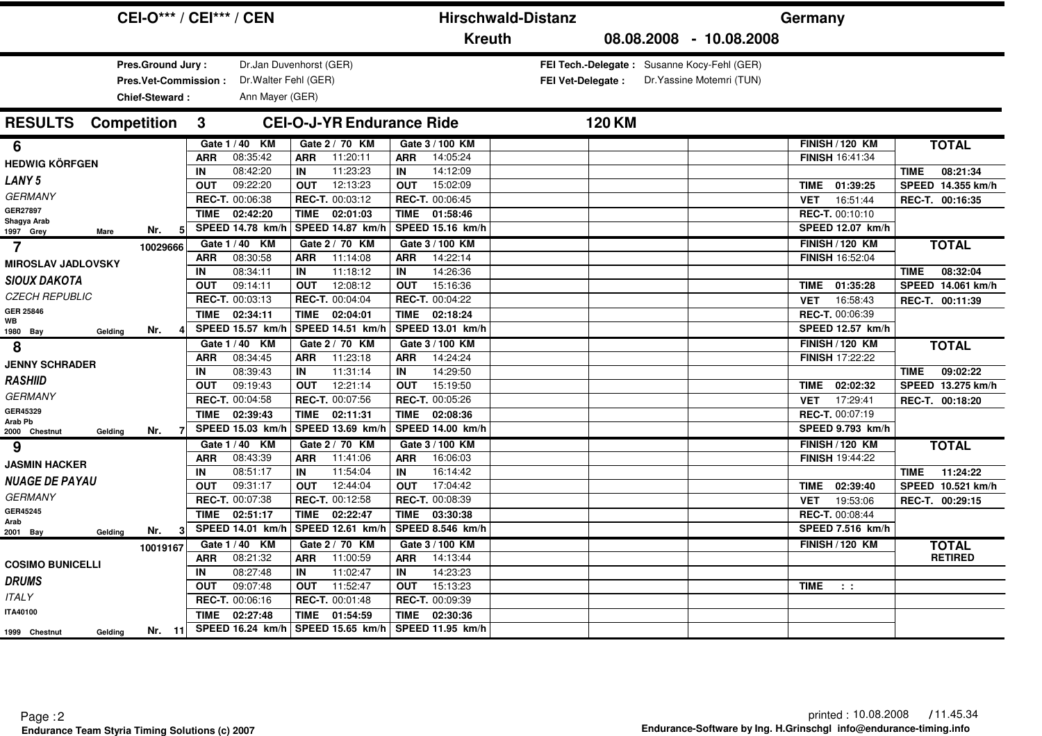|                                      | <b>CEI-O*** / CEI*** / CEN</b>                              |             |                                                                     |             |                                                        |             |                  | <b>Hirschwald-Distanz</b> |               |                                                                          | Germany     |                         |                         |
|--------------------------------------|-------------------------------------------------------------|-------------|---------------------------------------------------------------------|-------------|--------------------------------------------------------|-------------|------------------|---------------------------|---------------|--------------------------------------------------------------------------|-------------|-------------------------|-------------------------|
|                                      |                                                             |             |                                                                     |             |                                                        |             | <b>Kreuth</b>    |                           |               | 08.08.2008 - 10.08.2008                                                  |             |                         |                         |
|                                      | Pres.Ground Jury:<br>Pres.Vet-Commission:<br>Chief-Steward: |             | Dr.Jan Duvenhorst (GER)<br>Dr. Walter Fehl (GER)<br>Ann Mayer (GER) |             |                                                        |             |                  | <b>FEI Vet-Delegate:</b>  |               | FEI Tech.-Delegate: Susanne Kocy-Fehl (GER)<br>Dr. Yassine Motemri (TUN) |             |                         |                         |
| <b>Competition</b><br><b>RESULTS</b> |                                                             | 3           |                                                                     |             | <b>CEI-O-J-YR Endurance Ride</b>                       |             |                  |                           | <b>120 KM</b> |                                                                          |             |                         |                         |
| 6                                    |                                                             |             | Gate 1 / 40 KM                                                      |             | Gate 2 / 70 KM                                         |             | Gate 3 / 100 KM  |                           |               |                                                                          |             | <b>FINISH / 120 KM</b>  | <b>TOTAL</b>            |
| <b>HEDWIG KÖRFGEN</b>                |                                                             | <b>ARR</b>  | 08:35:42                                                            | <b>ARR</b>  | 11:20:11                                               | <b>ARR</b>  | 14:05:24         |                           |               |                                                                          |             | <b>FINISH 16:41:34</b>  |                         |
|                                      |                                                             | IN          | 08:42:20                                                            | IN          | 11:23:23                                               | IN          | 14:12:09         |                           |               |                                                                          |             |                         | 08:21:34<br><b>TIME</b> |
| <b>LANY5</b>                         |                                                             | <b>OUT</b>  | 09:22:20                                                            | OUT         | 12:13:23                                               | <b>OUT</b>  | 15:02:09         |                           |               |                                                                          |             | TIME 01:39:25           | SPEED 14.355 km/h       |
| <b>GERMANY</b>                       |                                                             |             | REC-T. 00:06:38                                                     |             | REC-T. 00:03:12                                        |             | REC-T. 00:06:45  |                           |               |                                                                          | <b>VET</b>  | 16:51:44                | REC-T. 00:16:35         |
| GER27897<br>Shagya Arab              |                                                             |             | TIME 02:42:20                                                       | TIME        | 02:01:03                                               | <b>TIME</b> | 01:58:46         |                           |               |                                                                          |             | REC-T. 00:10:10         |                         |
| 1997 Grey<br><b>Mare</b>             | Nr.<br>51                                                   |             | SPEED 14.78 km/h                                                    |             | SPEED 14.87 km/h                                       |             | SPEED 15.16 km/h |                           |               |                                                                          |             | <b>SPEED 12.07 km/h</b> |                         |
| 7                                    | 10029666                                                    |             | Gate 1 / 40 KM                                                      |             | Gate 2 / 70 KM                                         |             | Gate 3 / 100 KM  |                           |               |                                                                          |             | <b>FINISH / 120 KM</b>  | <b>TOTAL</b>            |
| <b>MIROSLAV JADLOVSKY</b>            |                                                             | <b>ARR</b>  | 08:30:58                                                            | <b>ARR</b>  | 11:14:08                                               | <b>ARR</b>  | 14:22:14         |                           |               |                                                                          |             | <b>FINISH 16:52:04</b>  |                         |
| <b>SIOUX DAKOTA</b>                  |                                                             | IN          | 08:34:11                                                            | IN          | 11:18:12                                               | IN          | 14:26:36         |                           |               |                                                                          |             |                         | 08:32:04<br><b>TIME</b> |
|                                      |                                                             | <b>OUT</b>  | 09:14:11                                                            | <b>OUT</b>  | 12:08:12                                               | <b>OUT</b>  | 15:16:36         |                           |               |                                                                          | TIME        | 01:35:28                | SPEED 14.061 km/h       |
| <b>CZECH REPUBLIC</b>                |                                                             |             | REC-T. 00:03:13                                                     |             | REC-T. 00:04:04                                        |             | REC-T. 00:04:22  |                           |               |                                                                          | <b>VET</b>  | 16:58:43                | REC-T. 00:11:39         |
| GER 25846<br>WB                      |                                                             | <b>TIME</b> | 02:34:11                                                            | TIME        | 02:04:01                                               | <b>TIME</b> | 02:18:24         |                           |               |                                                                          |             | REC-T. 00:06:39         |                         |
| 1980 Bay<br>Gelding                  | Nr.                                                         |             | SPEED 15.57 km/h                                                    |             | SPEED 14.51 km/h                                       |             | SPEED 13.01 km/h |                           |               |                                                                          |             | SPEED 12.57 km/h        |                         |
| 8                                    |                                                             |             | Gate 1 / 40 KM                                                      |             | Gate 2 / 70 KM                                         |             | Gate 3 / 100 KM  |                           |               |                                                                          |             | <b>FINISH / 120 KM</b>  | <b>TOTAL</b>            |
| <b>JENNY SCHRADER</b>                |                                                             | <b>ARR</b>  | 08:34:45                                                            | <b>ARR</b>  | 11:23:18                                               | <b>ARR</b>  | 14:24:24         |                           |               |                                                                          |             | <b>FINISH 17:22:22</b>  |                         |
| <b>RASHIID</b>                       |                                                             | IN          | 08:39:43                                                            | IN          | 11:31:14                                               | IN          | 14:29:50         |                           |               |                                                                          |             |                         | 09:02:22<br><b>TIME</b> |
|                                      |                                                             | <b>OUT</b>  | 09:19:43                                                            | <b>OUT</b>  | 12:21:14                                               | <b>OUT</b>  | 15:19:50         |                           |               |                                                                          | <b>TIME</b> | 02:02:32                | SPEED 13.275 km/h       |
| <b>GERMANY</b>                       |                                                             |             | REC-T. 00:04:58                                                     |             | REC-T. 00:07:56                                        |             | REC-T. 00:05:26  |                           |               |                                                                          | <b>VET</b>  | 17:29:41                | REC-T. 00:18:20         |
| GER45329<br>Arab Pb                  |                                                             | <b>TIME</b> | 02:39:43                                                            | TIME        | 02:11:31                                               | <b>TIME</b> | 02:08:36         |                           |               |                                                                          |             | REC-T. 00:07:19         |                         |
| 2000 Chestnut<br>Gelding             | Nr.                                                         |             | SPEED 15.03 km/h                                                    |             | SPEED 13.69 km/h                                       |             | SPEED 14.00 km/h |                           |               |                                                                          |             | SPEED 9.793 km/h        |                         |
| 9                                    |                                                             |             | Gate 1 / 40 KM                                                      |             | Gate 2 / 70 KM                                         |             | Gate 3 / 100 KM  |                           |               |                                                                          |             | <b>FINISH / 120 KM</b>  | <b>TOTAL</b>            |
| <b>JASMIN HACKER</b>                 |                                                             | <b>ARR</b>  | 08:43:39                                                            | <b>ARR</b>  | 11:41:06                                               | <b>ARR</b>  | 16:06:03         |                           |               |                                                                          |             | FINISH 19:44:22         |                         |
| <b>NUAGE DE PAYAU</b>                |                                                             | IN          | 08:51:17                                                            | IN          | 11:54:04                                               | IN          | 16:14:42         |                           |               |                                                                          |             |                         | 11:24:22<br><b>TIME</b> |
|                                      |                                                             | <b>OUT</b>  | 09:31:17                                                            | <b>OUT</b>  | 12:44:04                                               | <b>OUT</b>  | 17:04:42         |                           |               |                                                                          | <b>TIME</b> | 02:39:40                | SPEED 10.521 km/h       |
| <b>GERMANY</b>                       |                                                             |             | REC-T. 00:07:38                                                     |             | REC-T. 00:12:58                                        |             | REC-T. 00:08:39  |                           |               |                                                                          | <b>VET</b>  | 19:53:06                | REC-T. 00:29:15         |
| GER45245<br>Arab                     |                                                             | <b>TIME</b> | 02:51:17                                                            | <b>TIME</b> | 02:22:47                                               | <b>TIME</b> | 03:30:38         |                           |               |                                                                          |             | <b>REC-T. 00:08:44</b>  |                         |
| 2001 Bay<br>Gelding                  | Nr.                                                         |             | SPEED 14.01 km/h                                                    |             | SPEED 12.61 km/                                        |             | SPEED 8.546 km/h |                           |               |                                                                          |             | SPEED 7.516 km/h        |                         |
|                                      | 10019167                                                    |             | Gate 1/40 KM                                                        |             | Gate 2 / 70 KM                                         |             | Gate 3 / 100 KM  |                           |               |                                                                          |             | <b>FINISH / 120 KM</b>  | <b>TOTAL</b>            |
| <b>COSIMO BUNICELLI</b>              |                                                             | <b>ARR</b>  | 08:21:32                                                            | <b>ARR</b>  | 11:00:59                                               | <b>ARR</b>  | 14:13:44         |                           |               |                                                                          |             |                         | <b>RETIRED</b>          |
|                                      |                                                             | IN          | 08:27:48                                                            | IN          | 11:02:47                                               | IN          | 14:23:23         |                           |               |                                                                          |             |                         |                         |
| <b>DRUMS</b>                         |                                                             | <b>OUT</b>  | 09:07:48                                                            | <b>OUT</b>  | 11:52:47                                               | <b>OUT</b>  | 15:13:23         |                           |               |                                                                          | TIME        | $\sim 10$               |                         |
| <b>ITALY</b>                         |                                                             |             | REC-T. 00:06:16                                                     |             | <b>REC-T. 00:01:48</b>                                 |             | REC-T. 00:09:39  |                           |               |                                                                          |             |                         |                         |
| <b>ITA40100</b>                      |                                                             | TIME        | 02:27:48                                                            | <b>TIME</b> | 01:54:59                                               | <b>TIME</b> | 02:30:36         |                           |               |                                                                          |             |                         |                         |
| Gelding<br>1999 Chestnut             | Nr. $11$                                                    |             |                                                                     |             | SPEED 16.24 km/h   SPEED 15.65 km/h   SPEED 11.95 km/h |             |                  |                           |               |                                                                          |             |                         |                         |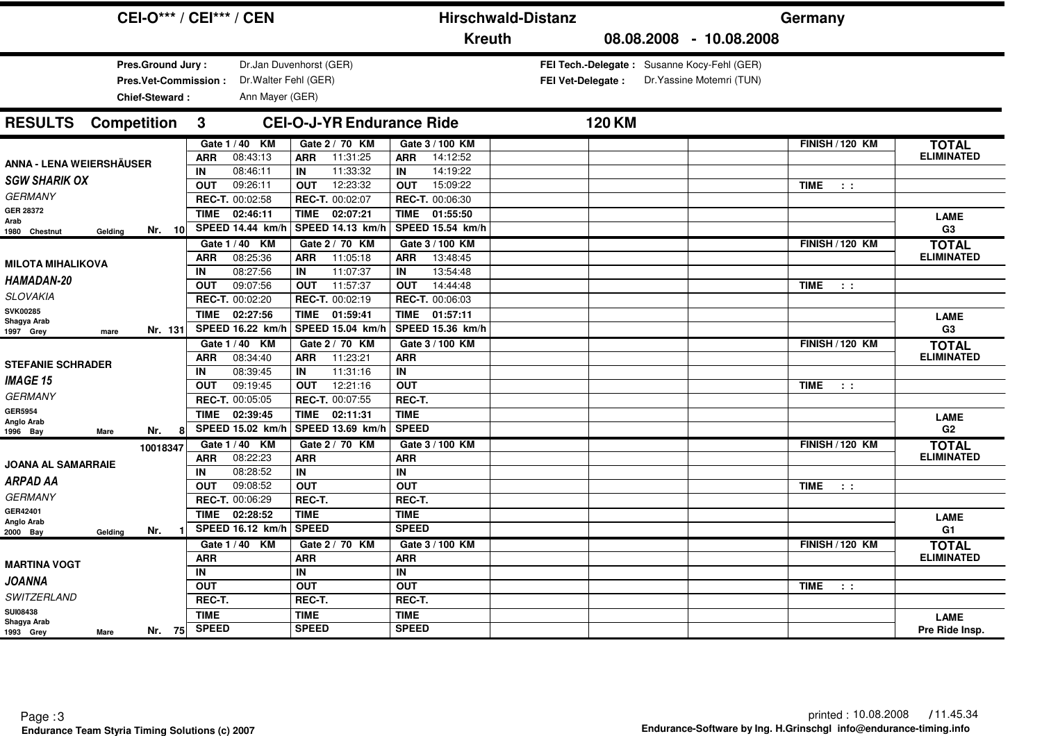|                                          | <b>CEI-O*** / CEI*** / CEN</b>              |                                                  |                             | <b>Hirschwald-Distanz</b> |                                             | Germany                   |                                   |
|------------------------------------------|---------------------------------------------|--------------------------------------------------|-----------------------------|---------------------------|---------------------------------------------|---------------------------|-----------------------------------|
|                                          |                                             |                                                  | <b>Kreuth</b>               |                           | 08.08.2008 - 10.08.2008                     |                           |                                   |
| <b>Pres.Ground Jury:</b>                 |                                             | Dr.Jan Duvenhorst (GER)                          |                             |                           | FEI Tech.-Delegate: Susanne Kocy-Fehl (GER) |                           |                                   |
| Pres.Vet-Commission:                     | Dr. Walter Fehl (GER)                       |                                                  |                             | <b>FEI Vet-Delegate:</b>  | Dr. Yassine Motemri (TUN)                   |                           |                                   |
| Chief-Steward:                           | Ann Mayer (GER)                             |                                                  |                             |                           |                                             |                           |                                   |
| <b>RESULTS</b> Competition               | $\mathbf{3}$                                | <b>CEI-O-J-YR Endurance Ride</b>                 |                             | <b>120 KM</b>             |                                             |                           |                                   |
|                                          | Gate 1 / 40 KM                              | Gate 2 / 70 KM                                   | Gate 3 / 100 KM             |                           |                                             | <b>FINISH / 120 KM</b>    | <b>TOTAL</b>                      |
| <b>ANNA - LENA WEIERSHÄUSER</b>          | <b>ARR</b><br>08:43:13                      | 11:31:25<br><b>ARR</b>                           | <b>ARR</b><br>14:12:52      |                           |                                             |                           | <b>ELIMINATED</b>                 |
|                                          | 08:46:11<br>IN                              | 11:33:32<br><b>IN</b>                            | 14:19:22<br>IN              |                           |                                             |                           |                                   |
| <b>SGW SHARIK OX</b>                     | 09:26:11<br><b>OUT</b>                      | 12:23:32<br><b>OUT</b>                           | 15:09:22<br><b>OUT</b>      |                           |                                             | TIME<br>$\sim$ 100 $\pm$  |                                   |
| <b>GERMANY</b>                           | REC-T. 00:02:58                             | REC-T. 00:02:07                                  | REC-T. 00:06:30             |                           |                                             |                           |                                   |
| <b>GER 28372</b><br>Arab                 | <b>TIME</b><br>02:46:11                     | <b>TIME</b><br>02:07:21                          | <b>TIME</b><br>01:55:50     |                           |                                             |                           | <b>LAME</b>                       |
| Nr. 10<br>1980 Chestnut<br>Gelding       | <b>SPEED 14.44 km/h</b>                     | SPEED 14.13 km/                                  | SPEED 15.54 km/h            |                           |                                             |                           | G <sub>3</sub>                    |
|                                          | Gate 1 / 40 KM                              | Gate 2 / 70 KM                                   | Gate 3 / 100 KM             |                           |                                             | <b>FINISH / 120 KM</b>    | <b>TOTAL</b>                      |
| <b>MILOTA MIHALIKOVA</b>                 | 08:25:36<br><b>ARR</b>                      | 11:05:18<br><b>ARR</b>                           | 13:48:45<br><b>ARR</b>      |                           |                                             |                           | <b>ELIMINATED</b>                 |
| <b>HAMADAN-20</b>                        | 08:27:56<br>IN                              | 11:07:37<br>IN                                   | 13:54:48<br>IN              |                           |                                             |                           |                                   |
| <b>SLOVAKIA</b>                          | 09:07:56<br><b>OUT</b>                      | 11:57:37<br><b>OUT</b>                           | <b>OUT</b><br>14:44:48      |                           |                                             | <b>TIME</b><br>$\sim 10$  |                                   |
| <b>SVK00285</b>                          | REC-T. 00:02:20                             | REC-T. 00:02:19                                  | REC-T. 00:06:03             |                           |                                             |                           |                                   |
| Shagya Arab                              | TIME 02:27:56                               | TIME 01:59:41                                    | 01:57:11<br>TIME            |                           |                                             |                           | <b>LAME</b>                       |
| Nr. 131<br>1997 Grey<br>mare             | SPEED 16.22 km/h                            | SPEED 15.04 km/h                                 | SPEED 15.36 km/h            |                           |                                             |                           | G <sub>3</sub>                    |
|                                          | Gate 1 / 40 KM                              | Gate 2 / 70 KM                                   | Gate 3 / 100 KM             |                           |                                             | <b>FINISH / 120 KM</b>    | <b>TOTAL</b>                      |
| <b>STEFANIE SCHRADER</b>                 | 08:34:40<br><b>ARR</b>                      | 11:23:21<br><b>ARR</b>                           | <b>ARR</b>                  |                           |                                             |                           | <b>ELIMINATED</b>                 |
| <b>IMAGE 15</b>                          | 08:39:45<br>IN                              | 11:31:16<br>IN                                   | IN                          |                           |                                             |                           |                                   |
| <b>GERMANY</b>                           | 09:19:45<br><b>OUT</b>                      | 12:21:16<br><b>OUT</b><br><b>REC-T. 00:07:55</b> | <b>OUT</b>                  |                           |                                             | <b>TIME</b><br>$\sim$ 100 |                                   |
| <b>GER5954</b>                           | REC-T. 00:05:05                             |                                                  | REC-T.                      |                           |                                             |                           |                                   |
| Anglo Arab                               | 02:39:45<br><b>TIME</b><br>SPEED 15.02 km/h | <b>TIME</b><br>02:11:31                          | <b>TIME</b><br><b>SPEED</b> |                           |                                             |                           | <b>LAME</b>                       |
| 8<br>Nr.<br>1996 Bay<br>Mare             |                                             | SPEED 13.69 km/h                                 |                             |                           |                                             |                           | G2                                |
| 10018347                                 | Gate 1 / 40 KM                              | Gate 2 / 70 KM                                   | Gate 3 / 100 KM             |                           |                                             | <b>FINISH / 120 KM</b>    | <b>TOTAL</b><br><b>ELIMINATED</b> |
| <b>JOANA AL SAMARRAIE</b>                | 08:22:23<br><b>ARR</b><br>08:28:52<br>IN    | <b>ARR</b><br>IN                                 | <b>ARR</b><br>IN            |                           |                                             |                           |                                   |
| <b>ARPAD AA</b>                          | 09:08:52<br><b>OUT</b>                      | <b>OUT</b>                                       | <b>OUT</b>                  |                           |                                             | <b>TIME</b><br>$\sim 10$  |                                   |
| <b>GERMANY</b>                           | REC-T. 00:06:29                             | REC-T.                                           | REC-T.                      |                           |                                             |                           |                                   |
| GER42401                                 | 02:28:52<br><b>TIME</b>                     | <b>TIME</b>                                      | <b>TIME</b>                 |                           |                                             |                           |                                   |
| Anglo Arab<br>Nr.<br>2000 Bay<br>Gelding | <b>SPEED 16.12 km/h</b>                     | <b>SPEED</b>                                     | <b>SPEED</b>                |                           |                                             |                           | <b>LAME</b><br>G1                 |
|                                          | Gate 1 / 40 KM                              | Gate 2 / 70 KM                                   | Gate 3 / 100 KM             |                           |                                             | <b>FINISH / 120 KM</b>    | <b>TOTAL</b>                      |
| <b>MARTINA VOGT</b>                      | <b>ARR</b>                                  | <b>ARR</b>                                       | <b>ARR</b>                  |                           |                                             |                           | <b>ELIMINATED</b>                 |
| <b>JOANNA</b>                            | IN                                          | IN                                               | IN                          |                           |                                             |                           |                                   |
|                                          | <b>OUT</b>                                  | <b>OUT</b>                                       | <b>OUT</b>                  |                           |                                             | TIME<br>$\sim$ 100        |                                   |
| SWITZERLAND                              | REC-T.                                      | REC-T.                                           | REC-T.                      |                           |                                             |                           |                                   |
| <b>SUI08438</b><br>Shagya Arab           | <b>TIME</b>                                 | <b>TIME</b>                                      | <b>TIME</b>                 |                           |                                             |                           | <b>LAME</b>                       |
| Nr. 75<br>1993 Grey<br>Mare              | <b>SPEED</b>                                | <b>SPEED</b>                                     | <b>SPEED</b>                |                           |                                             |                           | Pre Ride Insp.                    |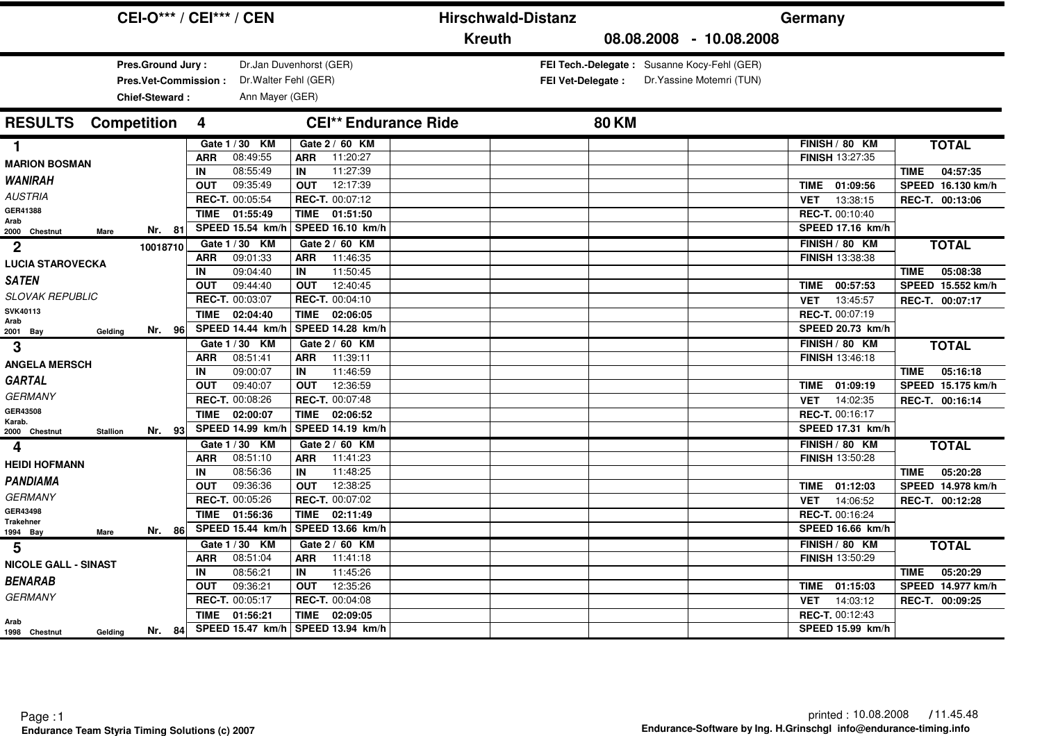|                                                             |          | <b>CEI-O*** / CEI*** / CEN</b>            |                                           | <b>Hirschwald-Distanz</b> |                          |                                                                          | Germany                                   |                         |
|-------------------------------------------------------------|----------|-------------------------------------------|-------------------------------------------|---------------------------|--------------------------|--------------------------------------------------------------------------|-------------------------------------------|-------------------------|
|                                                             |          |                                           |                                           | <b>Kreuth</b>             |                          | 08.08.2008 - 10.08.2008                                                  |                                           |                         |
| Pres.Ground Jury:<br>Pres.Vet-Commission:<br>Chief-Steward: |          | Dr. Walter Fehl (GER)<br>Ann Mayer (GER)  | Dr.Jan Duvenhorst (GER)                   |                           | <b>FEI Vet-Delegate:</b> | FEI Tech.-Delegate: Susanne Kocy-Fehl (GER)<br>Dr. Yassine Motemri (TUN) |                                           |                         |
| <b>RESULTS</b><br><b>Competition</b>                        |          | 4                                         | <b>CEI** Endurance Ride</b>               |                           | <b>80 KM</b>             |                                                                          |                                           |                         |
| 1                                                           |          | Gate 1 / 30 KM                            | Gate 2 / 60 KM                            |                           |                          |                                                                          | FINISH / 80 KM                            | <b>TOTAL</b>            |
| <b>MARION BOSMAN</b>                                        |          | 08:49:55<br><b>ARR</b>                    | 11:20:27<br><b>ARR</b>                    |                           |                          |                                                                          | <b>FINISH 13:27:35</b>                    |                         |
| <b><i>WANIRAH</i></b>                                       |          | 08:55:49<br>IN                            | 11:27:39<br>IN                            |                           |                          |                                                                          |                                           | 04:57:35<br>TIME        |
| <b>AUSTRIA</b>                                              |          | 09:35:49<br><b>OUT</b><br>REC-T. 00:05:54 | 12:17:39<br><b>OUT</b><br>REC-T. 00:07:12 |                           |                          |                                                                          | 01:09:56<br>TIME                          | SPEED 16.130 km/h       |
| GER41388                                                    |          | 01:55:49                                  | TIME 01:51:50                             |                           |                          |                                                                          | 13:38:15<br><b>VET</b><br>REC-T. 00:10:40 | REC-T. 00:13:06         |
| Arab                                                        |          | <b>TIME</b><br>SPEED 15.54 km/h           | <b>SPEED 16.10 km/h</b>                   |                           |                          |                                                                          | SPEED 17.16 km/h                          |                         |
| 2000 Chestnut<br>Mare                                       | Nr. 81   |                                           |                                           |                           |                          |                                                                          |                                           |                         |
| $\boldsymbol{2}$                                            | 10018710 | Gate 1 / 30 KM<br>09:01:33<br><b>ARR</b>  | Gate 2 / 60 KM<br>11:46:35<br><b>ARR</b>  |                           |                          |                                                                          | FINISH / 80 KM<br><b>FINISH 13:38:38</b>  | <b>TOTAL</b>            |
| <b>LUCIA STAROVECKA</b>                                     |          | 09:04:40<br>IN                            | 11:50:45<br>IN                            |                           |                          |                                                                          |                                           | TIME<br>05:08:38        |
| <b>SATEN</b>                                                |          | 09:44:40<br><b>OUT</b>                    | 12:40:45<br><b>OUT</b>                    |                           |                          |                                                                          | 00:57:53<br>TIME                          | SPEED 15.552 km/h       |
| <b>SLOVAK REPUBLIC</b>                                      |          | REC-T. 00:03:07                           | REC-T. 00:04:10                           |                           |                          |                                                                          | 13:45:57<br><b>VET</b>                    | REC-T. 00:07:17         |
| SVK40113                                                    |          | <b>TIME</b><br>02:04:40                   | TIME<br>02:06:05                          |                           |                          |                                                                          | REC-T. 00:07:19                           |                         |
| Arab<br>2001 Bay<br>Gelding                                 | Nr. 96   | SPEED 14.44 km/h                          | SPEED 14.28 km/h                          |                           |                          |                                                                          | SPEED 20.73 km/h                          |                         |
| 3                                                           |          | Gate 1 / 30 KM                            | Gate 2 / 60 KM                            |                           |                          |                                                                          | FINISH / 80 KM                            | <b>TOTAL</b>            |
|                                                             |          | 08:51:41<br><b>ARR</b>                    | 11:39:11<br><b>ARR</b>                    |                           |                          |                                                                          | <b>FINISH 13:46:18</b>                    |                         |
| <b>ANGELA MERSCH</b>                                        |          | 09:00:07<br>IN                            | 11:46:59<br>IN                            |                           |                          |                                                                          |                                           | 05:16:18<br>TIME        |
| <b>GARTAL</b>                                               |          | 09:40:07<br><b>OUT</b>                    | 12:36:59<br><b>OUT</b>                    |                           |                          |                                                                          | 01:09:19<br><b>TIME</b>                   | SPEED 15.175 km/h       |
| <b>GERMANY</b>                                              |          | REC-T. 00:08:26                           | <b>REC-T. 00:07:48</b>                    |                           |                          |                                                                          | 14:02:35<br><b>VET</b>                    | REC-T. 00:16:14         |
| GER43508                                                    |          | 02:00:07<br><b>TIME</b>                   | TIME<br>02:06:52                          |                           |                          |                                                                          | REC-T. 00:16:17                           |                         |
| Karab.<br><b>Stallion</b><br>2000 Chestnut                  | Nr. 93   | SPEED 14.99 km/h                          | SPEED 14.19 km/h                          |                           |                          |                                                                          | SPEED 17.31 km/h                          |                         |
| 4                                                           |          | Gate 1 / 30 KM                            | Gate 2 / 60 KM                            |                           |                          |                                                                          | FINISH / 80 KM                            | <b>TOTAL</b>            |
|                                                             |          | 08:51:10<br><b>ARR</b>                    | <b>ARR</b><br>11:41:23                    |                           |                          |                                                                          | <b>FINISH 13:50:28</b>                    |                         |
| <b>HEIDI HOFMANN</b>                                        |          | 08:56:36<br>IN                            | 11:48:25<br>IN                            |                           |                          |                                                                          |                                           | 05:20:28<br><b>TIME</b> |
| <b>PANDIAMA</b>                                             |          | 09:36:36<br><b>OUT</b>                    | <b>OUT</b><br>12:38:25                    |                           |                          |                                                                          | 01:12:03<br><b>TIME</b>                   | SPEED 14.978 km/h       |
| <b>GERMANY</b>                                              |          | REC-T. 00:05:26                           | REC-T. 00:07:02                           |                           |                          |                                                                          | 14:06:52<br><b>VET</b>                    | REC-T. 00:12:28         |
| GER43498<br><b>Trakehner</b>                                |          | 01:56:36<br><b>TIME</b>                   | TIME<br>02:11:49                          |                           |                          |                                                                          | REC-T. 00:16:24                           |                         |
| Mare<br>1994 Bay                                            | Nr. 86   | SPEED 15.44 km/h                          | SPEED 13.66 km/h                          |                           |                          |                                                                          | <b>SPEED 16.66 km/h</b>                   |                         |
| 5                                                           |          | Gate 1 / 30 KM                            | Gate 2 / 60 KM                            |                           |                          |                                                                          | FINISH / 80 KM                            | <b>TOTAL</b>            |
| <b>NICOLE GALL - SINAST</b>                                 |          | 08:51:04<br><b>ARR</b>                    | 11:41:18<br><b>ARR</b>                    |                           |                          |                                                                          | <b>FINISH 13:50:29</b>                    |                         |
|                                                             |          | 08:56:21<br>IN                            | 11:45:26<br>IN                            |                           |                          |                                                                          |                                           | 05:20:29<br>TIME        |
| <b>BENARAB</b>                                              |          | <b>OUT</b><br>09:36:21                    | 12:35:26<br><b>OUT</b>                    |                           |                          |                                                                          | 01:15:03<br><b>TIME</b>                   | SPEED 14.977 km/h       |
| <b>GERMANY</b>                                              |          | REC-T. 00:05:17                           | <b>REC-T. 00:04:08</b>                    |                           |                          |                                                                          | 14:03:12<br><b>VET</b>                    | REC-T. 00:09:25         |
| Arab                                                        |          | 01:56:21<br><b>TIME</b>                   | 02:09:05<br><b>TIME</b>                   |                           |                          |                                                                          | REC-T. 00:12:43                           |                         |
| 1998 Chestnut<br>Gelding                                    | Nr. $84$ | SPEED 15.47 km/h SPEED 13.94 km/h         |                                           |                           |                          |                                                                          | SPEED 15.99 km/h                          |                         |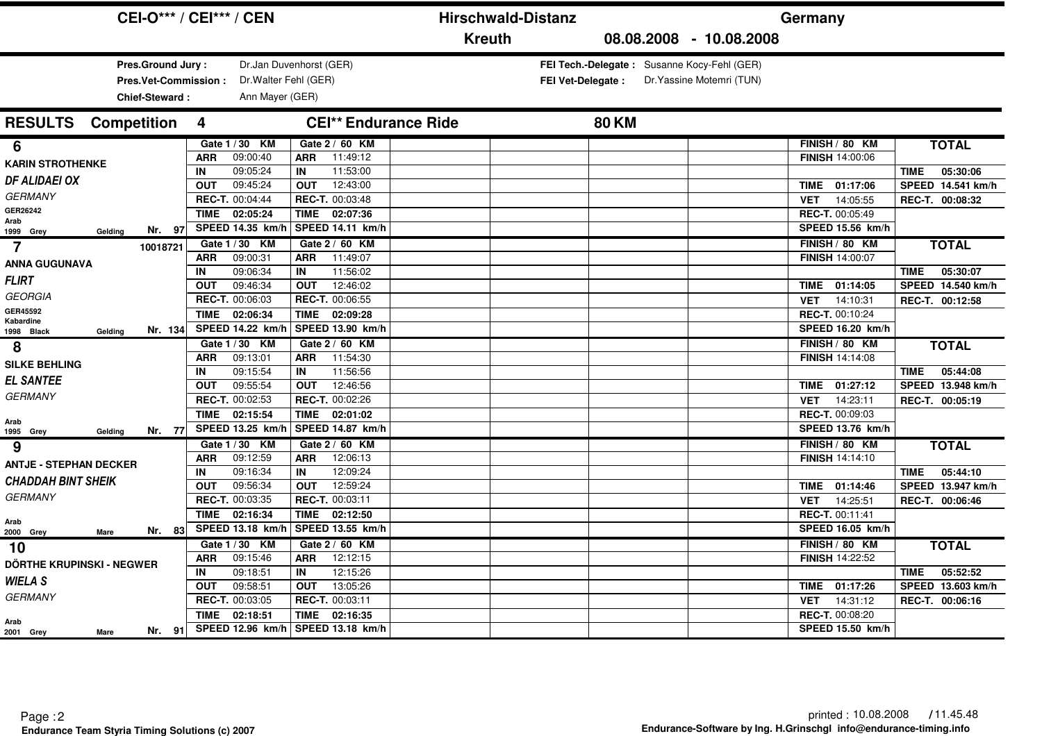|                                                             | <b>CEI-O*** / CEI*** / CEN</b>                                                                                           | <b>Hirschwald-Distanz</b>   |                          |                                                                          | Germany                                          |                                              |
|-------------------------------------------------------------|--------------------------------------------------------------------------------------------------------------------------|-----------------------------|--------------------------|--------------------------------------------------------------------------|--------------------------------------------------|----------------------------------------------|
|                                                             |                                                                                                                          | <b>Kreuth</b>               |                          | 08.08.2008 - 10.08.2008                                                  |                                                  |                                              |
| Pres.Ground Jury:<br>Pres.Vet-Commission:<br>Chief-Steward: | Dr.Jan Duvenhorst (GER)<br>Dr. Walter Fehl (GER)<br>Ann Mayer (GER)                                                      |                             | <b>FEI Vet-Delegate:</b> | FEI Tech.-Delegate: Susanne Kocy-Fehl (GER)<br>Dr. Yassine Motemri (TUN) |                                                  |                                              |
| <b>RESULTS</b><br><b>Competition</b>                        | 4                                                                                                                        | <b>CEI** Endurance Ride</b> | <b>80 KM</b>             |                                                                          |                                                  |                                              |
| 6<br><b>KARIN STROTHENKE</b>                                | Gate 1 / 30 KM<br>Gate 2 / 60 KM<br>09:00:40<br>11:49:12<br><b>ARR</b><br><b>ARR</b><br>09:05:24<br>11:53:00<br>IN<br>IN |                             |                          |                                                                          | FINISH / 80 KM<br><b>FINISH 14:00:06</b>         | <b>TOTAL</b><br>05:30:06<br><b>TIME</b>      |
| <b>DF ALIDAEI OX</b><br><b>GERMANY</b>                      | 09:45:24<br>12:43:00<br><b>OUT</b><br><b>OUT</b><br>REC-T. 00:04:44<br><b>REC-T. 00:03:48</b>                            |                             |                          |                                                                          | 01:17:06<br><b>TIME</b><br><b>VET</b>            | SPEED 14.541 km/h                            |
| GER26242<br>Arab<br>Nr. 97                                  | 02:05:24<br>TIME 02:07:36<br><b>TIME</b><br>SPEED 14.35 km/h<br>SPEED 14.11 km/h                                         |                             |                          |                                                                          | 14:05:55<br>REC-T. 00:05:49<br>SPEED 15.56 km/h  | REC-T. 00:08:32                              |
| 1999 Grey<br>Gelding<br>$\overline{7}$<br>10018721          | Gate 1 / 30 KM<br>Gate 2 / 60 KM<br>09:00:31<br>11:49:07<br><b>ARR</b><br><b>ARR</b>                                     |                             |                          |                                                                          | FINISH / 80 KM<br>FINISH 14:00:07                | <b>TOTAL</b>                                 |
| <b>ANNA GUGUNAVA</b><br><b>FLIRT</b>                        | 09:06:34<br>11:56:02<br>IN<br>IN<br>09:46:34<br>12:46:02<br><b>OUT</b><br><b>OUT</b>                                     |                             |                          |                                                                          | 01:14:05<br>TIME                                 | 05:30:07<br><b>TIME</b><br>SPEED 14.540 km/h |
| <b>GEORGIA</b><br>GER45592                                  | REC-T. 00:06:03<br><b>REC-T. 00:06:55</b><br><b>TIME</b><br>02:06:34<br>TIME<br>02:09:28                                 |                             |                          |                                                                          | 14:10:31<br><b>VET</b><br>REC-T. 00:10:24        | REC-T. 00:12:58                              |
| Kabardine<br>Nr. 134<br>1998 Black<br>Geldina               | SPEED 14.22 km/h<br>SPEED 13.90 km/h                                                                                     |                             |                          |                                                                          | SPEED 16.20 km/h                                 |                                              |
| 8<br><b>SILKE BEHLING</b>                                   | Gate 1 / 30 KM<br>Gate 2 / 60 KM<br>11:54:30<br>09:13:01<br><b>ARR</b><br><b>ARR</b>                                     |                             |                          |                                                                          | FINISH / 80 KM<br><b>FINISH 14:14:08</b>         | <b>TOTAL</b>                                 |
| <b>EL SANTEE</b><br><b>GERMANY</b>                          | 09:15:54<br>11:56:56<br>IN<br>IN<br>09:55:54<br>12:46:56<br><b>OUT</b><br><b>OUT</b>                                     |                             |                          |                                                                          | 01:27:12<br>TIME                                 | 05:44:08<br><b>TIME</b><br>SPEED 13.948 km/h |
| Arab                                                        | REC-T. 00:02:53<br>REC-T. 00:02:26<br>02:15:54<br><b>TIME</b><br>TIME<br>02:01:02                                        |                             |                          |                                                                          | 14:23:11<br><b>VET</b><br>REC-T. 00:09:03        | REC-T. 00:05:19                              |
| Nr. 77<br>1995 Grey<br>Gelding<br>9                         | SPEED 13.25 km/h<br>SPEED 14.87 km/h<br>Gate 1 / 30 KM<br>Gate 2 / 60 KM                                                 |                             |                          |                                                                          | SPEED 13.76 km/h<br>FINISH / 80 KM               | <b>TOTAL</b>                                 |
| <b>ANTJE - STEPHAN DECKER</b>                               | 09:12:59<br>12:06:13<br><b>ARR</b><br><b>ARR</b><br>09:16:34<br>IN<br>12:09:24<br>IN                                     |                             |                          |                                                                          | <b>FINISH 14:14:10</b>                           | 05:44:10<br><b>TIME</b>                      |
| <b>CHADDAH BINT SHEIK</b><br><b>GERMANY</b>                 | 09:56:34<br>12:59:24<br><b>OUT</b><br><b>OUT</b><br>REC-T. 00:03:35<br>REC-T. 00:03:11                                   |                             |                          |                                                                          | 01:14:46<br>TIME<br>14:25:51<br><b>VET</b>       | SPEED 13.947 km/h<br>REC-T. 00:06:46         |
| Arab<br>Nr. 83<br>2000 Grey<br><b>Mare</b>                  | 02:16:34<br><b>TIME</b><br><b>TIME</b><br>02:12:50<br>SPEED 13.18 km/h<br>SPEED 13.55 km/h                               |                             |                          |                                                                          | REC-T. 00:11:41<br>SPEED 16.05 km/h              |                                              |
| 10<br>DÖRTHE KRUPINSKI - NEGWER                             | Gate 1 / 30 KM<br>Gate 2 / 60 KM<br>09:15:46<br>12:12:15<br><b>ARR</b><br><b>ARR</b>                                     |                             |                          |                                                                          | FINISH / 80 KM<br><b>FINISH 14:22:52</b>         | <b>TOTAL</b>                                 |
| <b>WIELA S</b>                                              | 09:18:51<br>12:15:26<br>IN<br>IN<br>09:58:51<br>13:05:26<br><b>OUT</b><br><b>OUT</b>                                     |                             |                          |                                                                          | 01:17:26<br>TIME                                 | 05:52:52<br><b>TIME</b><br>SPEED 13.603 km/h |
| <b>GERMANY</b>                                              | REC-T. 00:03:05<br>REC-T. 00:03:11<br>02:18:51<br><b>TIME</b><br>TIME<br>02:16:35                                        |                             |                          |                                                                          | 14:31:12<br><b>VET</b><br><b>REC-T. 00:08:20</b> | REC-T. 00:06:16                              |
| Arab<br>Nr. 91<br>2001 Grey<br>Mare                         | SPEED 12.96 km/h   SPEED 13.18 km/h                                                                                      |                             |                          |                                                                          | <b>SPEED 15.50 km/h</b>                          |                                              |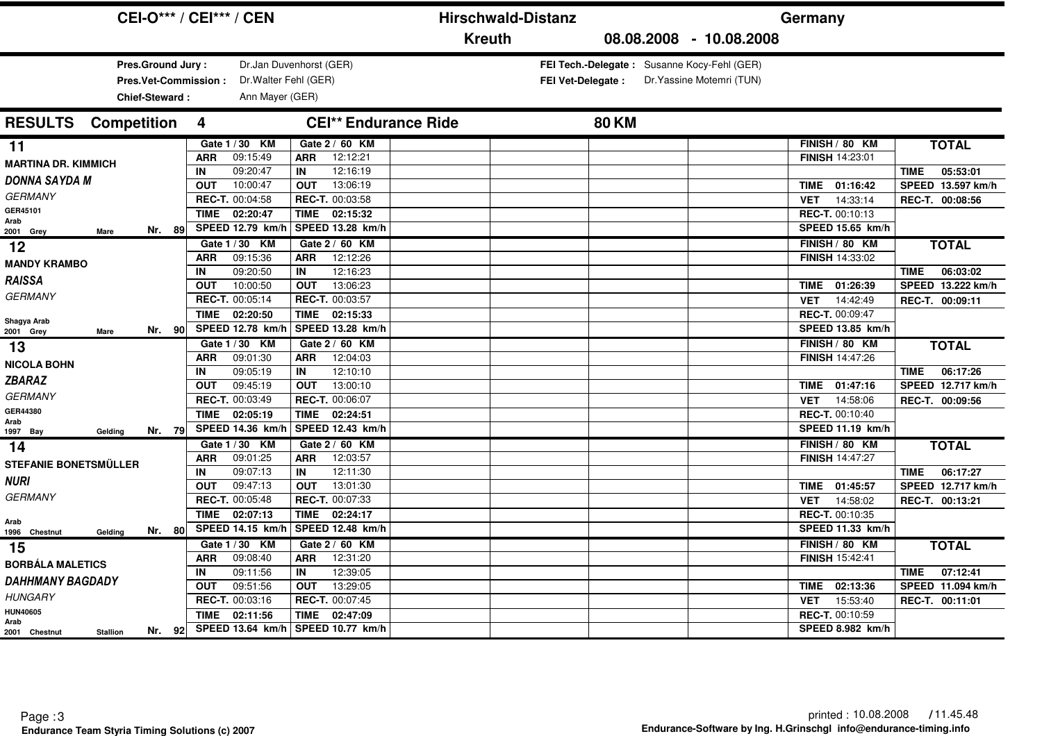|                                                                    | <b>CEI-O*** / CEI*** / CEN</b>                                                               | <b>Hirschwald-Distanz</b>                                        |                                                                                                | Germany                                                                                  |                                         |
|--------------------------------------------------------------------|----------------------------------------------------------------------------------------------|------------------------------------------------------------------|------------------------------------------------------------------------------------------------|------------------------------------------------------------------------------------------|-----------------------------------------|
|                                                                    |                                                                                              | <b>Kreuth</b>                                                    | 08.08.2008 - 10.08.2008                                                                        |                                                                                          |                                         |
| Pres.Ground Jury:<br><b>Pres.Vet-Commission:</b><br>Chief-Steward: | Dr.Jan Duvenhorst (GER)<br>Dr. Walter Fehl (GER)<br>Ann Mayer (GER)                          |                                                                  | FEI Tech.-Delegate: Susanne Kocy-Fehl (GER)<br>FEI Vet-Delegate :<br>Dr. Yassine Motemri (TUN) |                                                                                          |                                         |
| <b>RESULTS</b><br><b>Competition</b>                               | 4                                                                                            | <b>CEI** Endurance Ride</b>                                      | <b>80 KM</b>                                                                                   |                                                                                          |                                         |
| 11<br><b>MARTINA DR. KIMMICH</b><br><b>DONNA SAYDA M</b>           | Gate 1 / 30 KM<br>09:15:49<br><b>ARR</b><br><b>ARR</b><br>09:20:47<br>IN<br>IN               | Gate 2 / 60 KM<br>12:12:21<br>12:16:19                           |                                                                                                | FINISH / 80 KM<br>FINISH 14:23:01                                                        | <b>TOTAL</b><br>05:53:01<br><b>TIME</b> |
| <b>GERMANY</b><br>GER45101<br>Arab<br>Nr. 89                       | 10:00:47<br><b>OUT</b><br><b>OUT</b><br>REC-T. 00:04:58<br>TIME 02:20:47<br>SPEED 12.79 km/h | 13:06:19<br>REC-T. 00:03:58<br>TIME 02:15:32<br>SPEED 13.28 km/h |                                                                                                | 01:16:42<br>TIME<br>14:33:14<br><b>VET</b><br><b>REC-T. 00:10:13</b><br>SPEED 15.65 km/h | SPEED 13.597 km/h<br>REC-T. 00:08:56    |
| 2001 Grey<br>Mare<br>12<br><b>MANDY KRAMBO</b>                     | Gate 1 / 30 KM<br>09:15:36<br><b>ARR</b><br><b>ARR</b><br>09:20:50<br>IN<br>IN               | Gate 2 / 60 KM<br>12:12:26<br>12:16:23                           |                                                                                                | FINISH / 80 KM<br>FINISH 14:33:02                                                        | <b>TOTAL</b><br>06:03:02<br><b>TIME</b> |
| <b>RAISSA</b><br><b>GERMANY</b>                                    | 10:00:50<br><b>OUT</b><br><b>OUT</b><br>REC-T. 00:05:14                                      | 13:06:23<br>REC-T. 00:03:57                                      |                                                                                                | 01:26:39<br>TIME<br>14:42:49<br><b>VET</b>                                               | SPEED 13.222 km/h<br>REC-T. 00:09:11    |
| Shagya Arab<br>Nr. 90<br>2001 Grey<br>Mare                         | <b>TIME</b><br>02:20:50<br>SPEED 12.78 km/h<br>Gate 1 / 30 KM                                | TIME 02:15:33<br>SPEED 13.28 km/h<br>Gate 2 / 60 KM              |                                                                                                | REC-T. 00:09:47<br>SPEED 13.85 km/h<br>FINISH / 80 KM                                    | <b>TOTAL</b>                            |
| 13<br><b>NICOLA BOHN</b><br><b>ZBARAZ</b>                          | 09:01:30<br><b>ARR</b><br>ARR<br>09:05:19<br>IN<br>IN                                        | 12:04:03<br>12:10:10                                             |                                                                                                | FINISH 14:47:26                                                                          | 06:17:26<br><b>TIME</b>                 |
| <b>GERMANY</b><br>GER44380                                         | 09:45:19<br><b>OUT</b><br><b>OUT</b><br>REC-T. 00:03:49<br><b>TIME</b><br>02:05:19<br>TIME   | 13:00:10<br>REC-T. 00:06:07<br>02:24:51                          |                                                                                                | 01:47:16<br>TIME<br>14:58:06<br><b>VET</b><br>REC-T. 00:10:40                            | SPEED 12.717 km/h<br>REC-T. 00:09:56    |
| Arab<br>Nr. 79<br>1997 Bay<br>Gelding<br>14                        | SPEED 14.36 km/h<br>Gate 1 / 30 KM                                                           | SPEED 12.43 km/h<br>Gate 2 / 60 KM                               |                                                                                                | SPEED 11.19 km/h<br>FINISH / 80 KM                                                       | <b>TOTAL</b>                            |
| <b>STEFANIE BONETSMÜLLER</b>                                       | 09:01:25<br><b>ARR</b><br><b>ARR</b><br>09:07:13<br>IN<br>IN                                 | 12:03:57<br>12:11:30                                             |                                                                                                | <b>FINISH 14:47:27</b>                                                                   | 06:17:27<br><b>TIME</b>                 |
| <b>NURI</b><br><b>GERMANY</b>                                      | 09:47:13<br><b>OUT</b><br><b>OUT</b><br>REC-T. 00:05:48                                      | 13:01:30<br>REC-T. 00:07:33                                      |                                                                                                | 01:45:57<br><b>TIME</b><br>14:58:02<br><b>VET</b>                                        | SPEED 12.717 km/h<br>REC-T. 00:13:21    |
| Arab<br>Nr. 80<br>1996 Chestnut<br>Gelding                         | <b>TIME</b><br>02:07:13<br>TIME<br>SPEED 14.15 km/h                                          | 02:24:17<br>SPEED 12.48 km/h                                     |                                                                                                | <b>REC-T. 00:10:35</b><br>SPEED 11.33 km/h                                               |                                         |
| 15<br><b>BORBÁLA MALETICS</b>                                      | Gate 1 / 30 KM<br>09:08:40<br><b>ARR</b><br><b>ARR</b><br>09:11:56<br>IN<br>IN               | Gate 2 / 60 KM<br>12:31:20<br>12:39:05                           |                                                                                                | FINISH / 80 KM<br><b>FINISH 15:42:41</b>                                                 | <b>TOTAL</b><br>07:12:41<br><b>TIME</b> |
| <b>DAHHMANY BAGDADY</b><br><b>HUNGARY</b><br><b>HUN40605</b>       | <b>OUT</b><br>09:51:56<br><b>OUT</b><br>REC-T. 00:03:16                                      | 13:29:05<br>REC-T. 00:07:45                                      |                                                                                                | 02:13:36<br>TIME<br>15:53:40<br><b>VET</b>                                               | SPEED 11.094 km/h<br>REC-T. 00:11:01    |
| Arab<br>Nr. 92<br><b>Stallion</b><br>2001 Chestnut                 | 02:11:56<br>TIME<br>TIME<br>SPEED 13.64 km/h   SPEED 10.77 km/h                              | 02:47:09                                                         |                                                                                                | REC-T. 00:10:59<br>SPEED 8.982 km/h                                                      |                                         |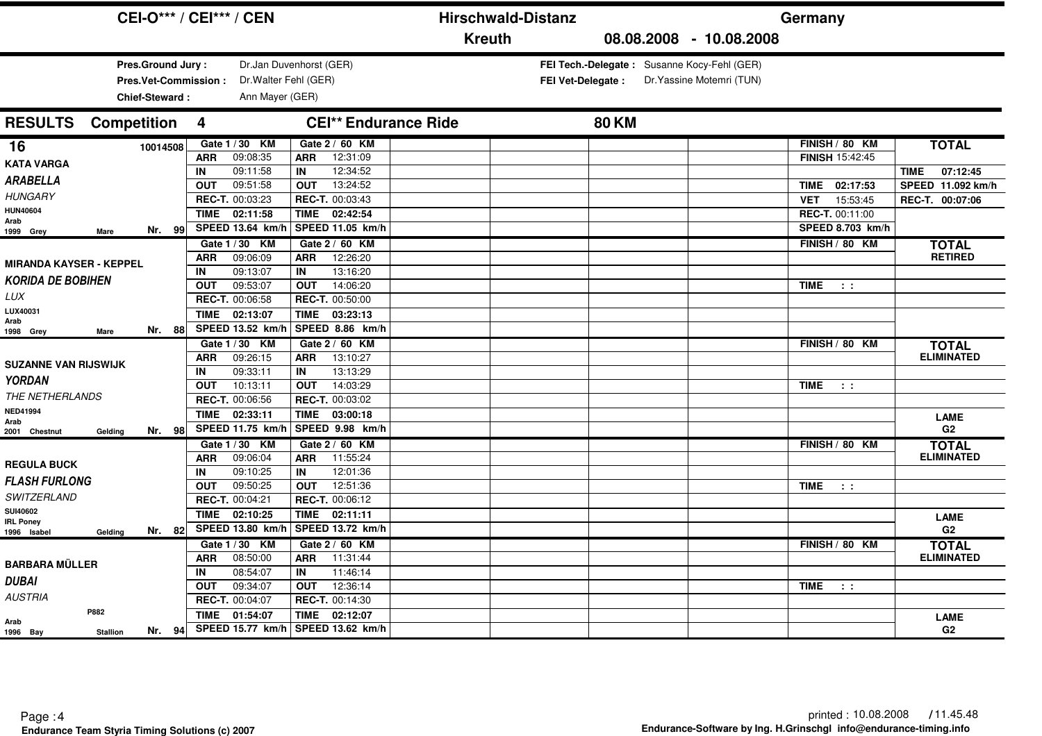| <b>CEI-O*** / CEI*** / CEN</b>        |                                                        | <b>Hirschwald-Distanz</b>                   | Germany                                   |  |
|---------------------------------------|--------------------------------------------------------|---------------------------------------------|-------------------------------------------|--|
|                                       |                                                        | <b>Kreuth</b>                               | 08.08.2008 - 10.08.2008                   |  |
| Pres.Ground Jury:                     | Dr.Jan Duvenhorst (GER)                                | FEI Tech.-Delegate: Susanne Kocy-Fehl (GER) |                                           |  |
| Pres.Vet-Commission:                  | Dr. Walter Fehl (GER)                                  | <b>FEI Vet-Delegate:</b>                    | Dr. Yassine Motemri (TUN)                 |  |
| Chief-Steward:                        | Ann Mayer (GER)                                        |                                             |                                           |  |
|                                       |                                                        |                                             |                                           |  |
| <b>RESULTS</b><br><b>Competition</b>  | <b>CEI** Endurance Ride</b><br>$\overline{\mathbf{4}}$ | <b>80 KM</b>                                |                                           |  |
| 16<br>10014508                        | Gate 1 / 30 KM<br>Gate 2 / 60 KM                       |                                             | FINISH / 80 KM<br><b>TOTAL</b>            |  |
| <b>KATA VARGA</b>                     | 09:08:35<br>12:31:09<br><b>ARR</b><br><b>ARR</b>       |                                             | FINISH 15:42:45                           |  |
| <b>ARABELLA</b>                       | 09:11:58<br>12:34:52<br>IN<br>IN                       |                                             | 07:12:45<br><b>TIME</b>                   |  |
|                                       | 09:51:58<br>13:24:52<br><b>OUT</b><br><b>OUT</b>       |                                             | SPEED 11.092 km/h<br>TIME 02:17:53        |  |
| <b>HUNGARY</b>                        | REC-T. 00:03:23<br>REC-T. 00:03:43                     |                                             | 15:53:45<br>REC-T. 00:07:06<br><b>VET</b> |  |
| <b>HUN40604</b><br>Arab               | TIME 02:11:58<br>TIME 02:42:54                         |                                             | REC-T. 00:11:00                           |  |
| Nr. 99<br>1999 Grey<br>Mare           | SPEED 13.64 km/h<br>SPEED 11.05 km/h                   |                                             | SPEED 8.703 km/h                          |  |
|                                       | Gate 1 / 30 KM<br>Gate 2 / 60 KM                       |                                             | FINISH / 80 KM<br><b>TOTAL</b>            |  |
| <b>MIRANDA KAYSER - KEPPEL</b>        | 09:06:09<br>12:26:20<br><b>ARR</b><br><b>ARR</b>       |                                             | <b>RETIRED</b>                            |  |
| <b>KORIDA DE BOBIHEN</b>              | 09:13:07<br>13:16:20<br>IN<br>IN                       |                                             |                                           |  |
|                                       | 09:53:07<br>14:06:20<br><b>OUT</b><br><b>OUT</b>       |                                             | <b>TIME</b><br>$\sim 100$                 |  |
| LUX                                   | REC-T. 00:06:58<br>REC-T. 00:50:00                     |                                             |                                           |  |
| LUX40031<br>Arab                      | <b>TIME</b><br>02:13:07<br>TIME<br>03:23:13            |                                             |                                           |  |
| Nr. 88<br>1998 Grey<br>Mare           | SPEED 13.52 km/h<br>SPEED 8.86 km/h                    |                                             |                                           |  |
|                                       | Gate 1 / 30 KM<br>Gate 2 / 60 KM                       |                                             | FINISH / 80 KM<br><b>TOTAL</b>            |  |
| <b>SUZANNE VAN RIJSWIJK</b>           | 09:26:15<br>13:10:27<br><b>ARR</b><br><b>ARR</b>       |                                             | <b>ELIMINATED</b>                         |  |
| <b>YORDAN</b>                         | 09:33:11<br>13:13:29<br>IN<br>IN                       |                                             |                                           |  |
|                                       | 10:13:11<br>14:03:29<br><b>OUT</b><br><b>OUT</b>       |                                             | <b>TIME</b><br>$\sim 10$                  |  |
| THE NETHERLANDS                       | REC-T. 00:06:56<br>REC-T. 00:03:02                     |                                             |                                           |  |
| <b>NED41994</b><br>Arab               | 02:33:11<br><b>TIME</b><br>03:00:18<br><b>TIME</b>     |                                             | <b>LAME</b>                               |  |
| Nr. 98<br>2001 Chestnut<br>Gelding    | SPEED 11.75 km/h<br>SPEED 9.98 km/h                    |                                             | G <sub>2</sub>                            |  |
|                                       | Gate 1 / 30 KM<br>Gate 2 / 60 KM                       |                                             | FINISH / 80 KM<br><b>TOTAL</b>            |  |
| <b>REGULA BUCK</b>                    | 11:55:24<br>09:06:04<br><b>ARR</b><br><b>ARR</b>       |                                             | <b>ELIMINATED</b>                         |  |
| <b>FLASH FURLONG</b>                  | 09:10:25<br>12:01:36<br>IN<br>IN                       |                                             |                                           |  |
|                                       | 09:50:25<br>12:51:36<br><b>OUT</b><br><b>OUT</b>       |                                             | <b>TIME</b><br>$\sim 10$                  |  |
| SWITZERLAND                           | REC-T. 00:04:21<br><b>REC-T. 00:06:12</b>              |                                             |                                           |  |
| SUI40602<br><b>IRL Poney</b>          | 02:10:25<br><b>TIME</b><br>TIME<br>02:11:11            |                                             | <b>LAME</b>                               |  |
| Nr. 82<br>Gelding<br>1996 Isabel      | SPEED 13.80 km/h<br>SPEED 13.72 km/h                   |                                             | G <sub>2</sub>                            |  |
|                                       | Gate 1 / 30 KM<br>Gate 2 / 60 KM                       |                                             | FINISH / 80 KM<br><b>TOTAL</b>            |  |
| <b>BARBARA MÜLLER</b>                 | 08:50:00<br>11:31:44<br><b>ARR</b><br><b>ARR</b>       |                                             | <b>ELIMINATED</b>                         |  |
|                                       | 08:54:07<br>11:46:14<br>IN<br>IN                       |                                             |                                           |  |
| <b>DUBAI</b>                          | 09:34:07<br>12:36:14<br><b>OUT</b><br><b>OUT</b>       |                                             | <b>TIME</b><br>$\sim 10$                  |  |
| <b>AUSTRIA</b>                        | REC-T. 00:04:07<br><b>REC-T. 00:14:30</b>              |                                             |                                           |  |
| P882<br>Arab                          | <b>TIME</b><br>01:54:07<br>TIME<br>02:12:07            |                                             | <b>LAME</b>                               |  |
| Nr. 94<br>1996 Bay<br><b>Stallion</b> | SPEED 15.77 km/h   SPEED 13.62 km/h                    |                                             | G2                                        |  |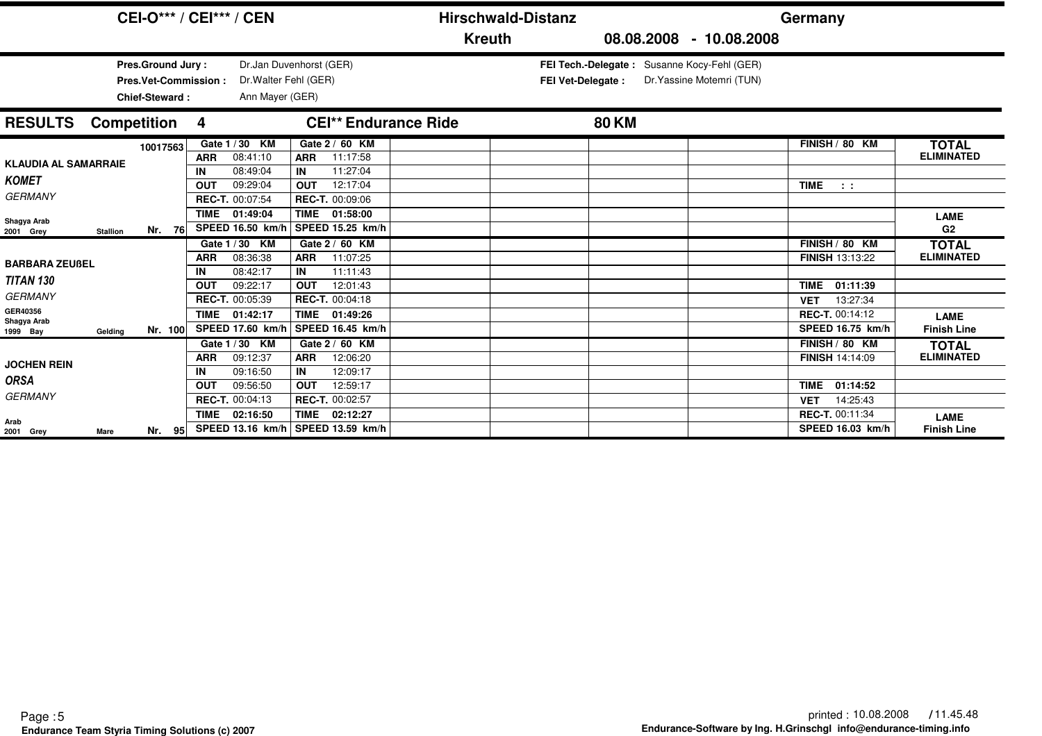|                                     |                 | <b>CEI-O*** / CEI*** / CEN</b>                                                   |                  |                                                                     |                  |                                                |                             | <b>Hirschwald-Distanz</b> |                                             |                           | Germany                                           |                                   |
|-------------------------------------|-----------------|----------------------------------------------------------------------------------|------------------|---------------------------------------------------------------------|------------------|------------------------------------------------|-----------------------------|---------------------------|---------------------------------------------|---------------------------|---------------------------------------------------|-----------------------------------|
|                                     |                 |                                                                                  |                  |                                                                     |                  |                                                | <b>Kreuth</b>               |                           |                                             | 08.08.2008 - 10.08.2008   |                                                   |                                   |
|                                     |                 | <b>Pres.Ground Jury:</b><br><b>Pres.Vet-Commission:</b><br><b>Chief-Steward:</b> |                  | Dr.Jan Duvenhorst (GER)<br>Dr. Walter Fehl (GER)<br>Ann Mayer (GER) |                  |                                                |                             | FEI Vet-Delegate :        | FEI Tech.-Delegate: Susanne Kocy-Fehl (GER) | Dr. Yassine Motemri (TUN) |                                                   |                                   |
| <b>RESULTS</b>                      |                 | <b>Competition</b>                                                               | $\overline{4}$   |                                                                     |                  |                                                | <b>CEI** Endurance Ride</b> |                           | <b>80 KM</b>                                |                           |                                                   |                                   |
| <b>KLAUDIA AL SAMARRAIE</b>         |                 | 10017563                                                                         | <b>ARR</b>       | Gate 1/30 KM<br>08:41:10                                            | <b>ARR</b>       | Gate 2 / 60 KM<br>11:17:58                     |                             |                           |                                             |                           | FINISH / 80 KM                                    | <b>TOTAL</b><br><b>ELIMINATED</b> |
| <b>KOMET</b><br><b>GERMANY</b>      |                 |                                                                                  | IN<br><b>OUT</b> | 08:49:04<br>09:29:04<br>REC-T. 00:07:54                             | IN<br><b>OUT</b> | 11:27:04<br>12:17:04<br><b>REC-T. 00:09:06</b> |                             |                           |                                             |                           | <b>TIME</b><br>$\sim 100$                         |                                   |
| Shagya Arab<br>2001 Grey            | <b>Stallion</b> | Nr.<br>- 76                                                                      | <b>TIME</b>      | 01:49:04<br>SPEED 16.50 km/h                                        |                  | TIME 01:58:00<br>SPEED 15.25 km/h              |                             |                           |                                             |                           |                                                   | <b>LAME</b><br>G2                 |
| <b>BARBARA ZEUßEL</b>               |                 |                                                                                  | <b>ARR</b>       | Gate 1 / 30 KM<br>08:36:38<br>08:42:17                              | <b>ARR</b>       | Gate 2 / 60 KM<br>11:07:25<br>11:11:43         |                             |                           |                                             |                           | FINISH / 80 KM<br><b>FINISH 13:13:22</b>          | <b>TOTAL</b><br><b>ELIMINATED</b> |
| <b>TITAN 130</b><br><b>GERMANY</b>  |                 |                                                                                  | IN<br>OUT        | 09:22:17<br><b>REC-T. 00:05:39</b>                                  | IN<br><b>OUT</b> | 12:01:43<br><b>REC-T. 00:04:18</b>             |                             |                           |                                             |                           | 01:11:39<br><b>TIME</b><br>13:27:34<br><b>VET</b> |                                   |
| GER40356<br>Shagya Arab<br>1999 Bay | Geldina         | Nr. 100                                                                          | <b>TIME</b>      | 01:42:17<br>SPEED 17.60 km/h                                        |                  | TIME 01:49:26<br>SPEED 16.45 km/h              |                             |                           |                                             |                           | REC-T. 00:14:12<br>SPEED 16.75 km/h               | <b>LAME</b><br><b>Finish Line</b> |
| <b>JOCHEN REIN</b>                  |                 |                                                                                  | <b>ARR</b>       | Gate 1 / 30 KM<br>09:12:37                                          | <b>ARR</b>       | Gate 2 / 60 KM<br>12:06:20                     |                             |                           |                                             |                           | FINISH / 80 KM<br><b>FINISH 14:14:09</b>          | <b>TOTAL</b><br><b>ELIMINATED</b> |
| <b>ORSA</b>                         |                 |                                                                                  | IN<br><b>OUT</b> | 09:16:50<br>09:56:50                                                | IN<br><b>OUT</b> | 12:09:17<br>12:59:17                           |                             |                           |                                             |                           | 01:14:52<br><b>TIME</b>                           |                                   |
| <b>GERMANY</b><br>Arab              |                 |                                                                                  | <b>TIME</b>      | REC-T. 00:04:13<br>02:16:50                                         |                  | REC-T. 00:02:57<br>TIME 02:12:27               |                             |                           |                                             |                           | 14:25:43<br><b>VET</b><br>REC-T. 00:11:34         | <b>LAME</b>                       |
| 2001 Grey                           | Mare            | Nr. 95                                                                           |                  | SPEED 13.16 km/h   SPEED 13.59 km/h                                 |                  |                                                |                             |                           |                                             |                           | <b>SPEED 16.03 km/h</b>                           | <b>Finish Line</b>                |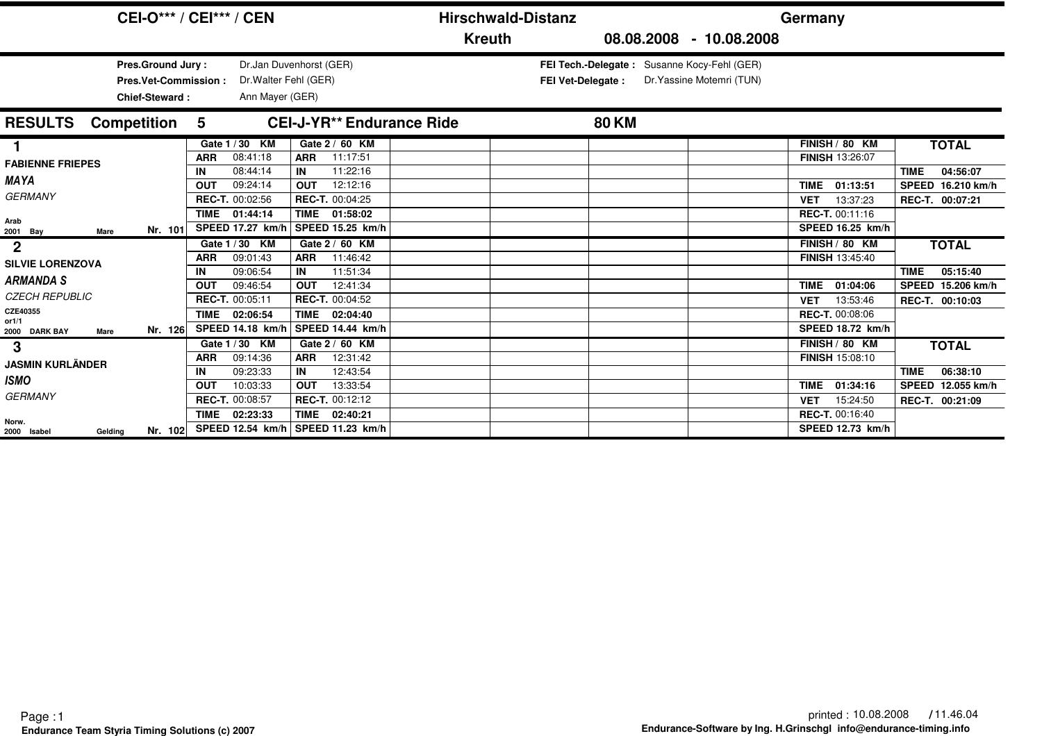|                                             | <b>CEI-O*** / CEI*** / CEN</b>                                                   |                                |                                                               |                                                        | <b>Hirschwald-Distanz</b> |                                                                   |                           | Germany                                                       |                                              |
|---------------------------------------------|----------------------------------------------------------------------------------|--------------------------------|---------------------------------------------------------------|--------------------------------------------------------|---------------------------|-------------------------------------------------------------------|---------------------------|---------------------------------------------------------------|----------------------------------------------|
|                                             |                                                                                  |                                |                                                               |                                                        | <b>Kreuth</b>             |                                                                   | 08.08.2008 - 10.08.2008   |                                                               |                                              |
|                                             | <b>Pres.Ground Jury:</b><br><b>Pres.Vet-Commission:</b><br><b>Chief-Steward:</b> |                                | Dr. Walter Fehl (GER)<br>Ann Mayer (GER)                      | Dr.Jan Duvenhorst (GER)                                |                           | FEI Tech.-Delegate: Susanne Kocy-Fehl (GER)<br>FEI Vet-Delegate : | Dr. Yassine Motemri (TUN) |                                                               |                                              |
| <b>RESULTS</b>                              | <b>Competition</b>                                                               | 5                              |                                                               | <b>CEI-J-YR** Endurance Ride</b>                       |                           | <b>80 KM</b>                                                      |                           |                                                               |                                              |
| <b>FABIENNE FRIEPES</b>                     |                                                                                  | <b>ARR</b>                     | Gate 1 / 30 KM<br>08:41:18                                    | Gate 2 / 60 KM<br>11:17:51<br><b>ARR</b>               |                           |                                                                   |                           | FINISH / 80 KM<br><b>FINISH 13:26:07</b>                      | <b>TOTAL</b>                                 |
| <b>MAYA</b><br><b>GERMANY</b>               |                                                                                  | IN<br><b>OUT</b>               | 08:44:14<br>09:24:14                                          | 11:22:16<br>IN<br>12:12:16<br><b>OUT</b>               |                           |                                                                   |                           | <b>TIME</b><br>01:13:51                                       | <b>TIME</b><br>04:56:07<br>SPEED 16.210 km/h |
| Arab<br>Mare                                | Nr. 101                                                                          | <b>TIME</b>                    | <b>REC-T. 00:02:56</b><br>01:44:14<br><b>SPEED 17.27 km/h</b> | REC-T. 00:04:25<br>TIME 01:58:02<br>  SPEED 15.25 km/h |                           |                                                                   |                           | 13:37:23<br><b>VET</b><br>REC-T. 00:11:16<br>SPEED 16.25 km/h | REC-T. 00:07:21                              |
| 2001 Bay<br>$\mathbf{2}$                    |                                                                                  | <b>ARR</b>                     | Gate 1 / 30 KM<br>09:01:43                                    | Gate 2 / 60 KM<br>11:46:42<br><b>ARR</b>               |                           |                                                                   |                           | FINISH / 80 KM<br><b>FINISH 13:45:40</b>                      | <b>TOTAL</b>                                 |
| <b>SILVIE LORENZOVA</b><br><b>ARMANDA S</b> |                                                                                  | IN                             | 09:06:54                                                      | 11:51:34<br>IN<br>12:41:34<br><b>OUT</b>               |                           |                                                                   |                           | <b>TIME</b>                                                   | <b>TIME</b><br>05:15:40<br>SPEED 15.206 km/h |
| <b>CZECH REPUBLIC</b><br>CZE40355           |                                                                                  | <b>OUT</b><br>REC-T. 00:05:11  | 09:46:54                                                      | <b>REC-T. 00:04:52</b>                                 |                           |                                                                   |                           | 01:04:06<br>13:53:46<br><b>VET</b>                            | REC-T. 00:10:03                              |
| or1/1<br>2000 DARK BAY<br>Mare              | Nr. 126                                                                          | <b>TIME</b>                    | 02:06:54<br><b>SPEED 14.18 km/h</b>                           | <b>TIME</b><br>02:04:40<br>SPEED 14.44 km/h            |                           |                                                                   |                           | <b>REC-T. 00:08:06</b><br>SPEED 18.72 km/h                    |                                              |
| 3<br><b>JASMIN KURLÄNDER</b>                |                                                                                  | <b>ARR</b>                     | Gate 1 / 30 KM<br>09:14:36                                    | Gate 2 / 60 KM<br><b>ARR</b><br>12:31:42               |                           |                                                                   |                           | FINISH / 80 KM<br><b>FINISH 15:08:10</b>                      | <b>TOTAL</b>                                 |
| <b>ISMO</b>                                 |                                                                                  | IN<br><b>OUT</b>               | 09:23:33<br>10:03:33                                          | IN<br>12:43:54<br>13:33:54<br><b>OUT</b>               |                           |                                                                   |                           | 01:34:16<br><b>TIME</b>                                       | 06:38:10<br><b>TIME</b><br>SPEED 12.055 km/h |
| <b>GERMANY</b>                              |                                                                                  | REC-T. 00:08:57<br><b>TIME</b> | 02:23:33                                                      | REC-T. 00:12:12<br>TIME 02:40:21                       |                           |                                                                   |                           | 15:24:50<br><b>VET</b><br><b>REC-T. 00:16:40</b>              | REC-T. 00:21:09                              |
| Norw.<br>2000 Isabel<br>Gelding             | Nr. 102                                                                          |                                |                                                               | SPEED 12.54 $km/h$ SPEED 11.23 $km/h$                  |                           |                                                                   |                           | SPEED 12.73 km/h                                              |                                              |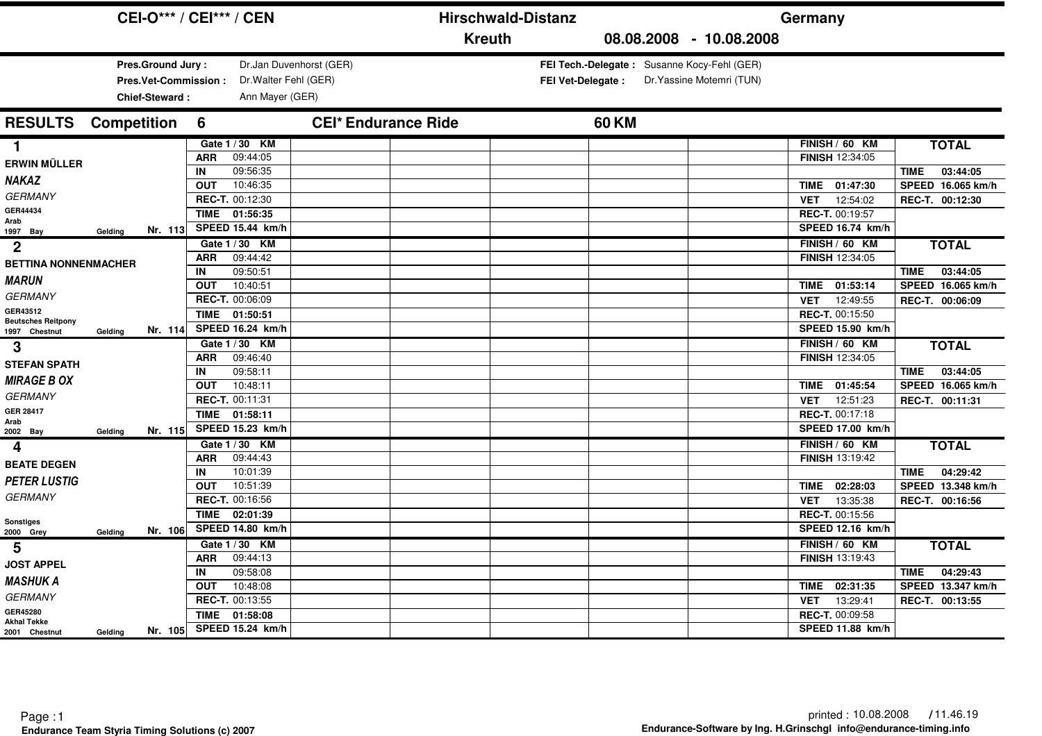|                                                             |                    | <b>CEI-O*** / CEI*** / CEN</b>                                     |                                |                                                                       |                            |               | <b>Hirschwald-Distanz</b> |              |                                                                          | Germany                                                                                       |                                                                          |
|-------------------------------------------------------------|--------------------|--------------------------------------------------------------------|--------------------------------|-----------------------------------------------------------------------|----------------------------|---------------|---------------------------|--------------|--------------------------------------------------------------------------|-----------------------------------------------------------------------------------------------|--------------------------------------------------------------------------|
|                                                             |                    |                                                                    |                                |                                                                       |                            | <b>Kreuth</b> |                           |              | 08.08.2008 - 10.08.2008                                                  |                                                                                               |                                                                          |
|                                                             |                    | Pres.Ground Jury:<br><b>Pres.Vet-Commission:</b><br>Chief-Steward: |                                | Dr. Walter Fehl (GER)<br>Ann Mayer (GER)                              | Dr.Jan Duvenhorst (GER)    |               | <b>FEI Vet-Delegate:</b>  |              | FEI Tech.-Delegate: Susanne Kocy-Fehl (GER)<br>Dr. Yassine Motemri (TUN) |                                                                                               |                                                                          |
| <b>RESULTS</b>                                              | <b>Competition</b> |                                                                    | 6                              |                                                                       | <b>CEI* Endurance Ride</b> |               |                           | <b>60 KM</b> |                                                                          |                                                                                               |                                                                          |
| 1.<br><b>ERWIN MÜLLER</b><br><b>NAKAZ</b><br><b>GERMANY</b> |                    |                                                                    | <b>ARR</b><br>IN<br><b>OUT</b> | Gate 1 / 30 KM<br>09:44:05<br>09:56:35<br>10:46:35<br>REC-T. 00:12:30 |                            |               |                           |              |                                                                          | FINISH / 60 KM<br><b>FINISH 12:34:05</b><br>01:47:30<br><b>TIME</b><br>12:54:02<br><b>VET</b> | <b>TOTAL</b><br>03:44:05<br>TIME<br>SPEED 16.065 km/h<br>REC-T. 00:12:30 |
| GER44434<br>Arab<br>1997 Bay                                | Gelding            | Nr. 113                                                            | <b>TIME</b>                    | 01:56:35<br>SPEED 15.44 km/h                                          |                            |               |                           |              |                                                                          | REC-T. 00:19:57<br>SPEED 16.74 km/h                                                           |                                                                          |
| $\overline{2}$<br><b>BETTINA NONNENMACHER</b>               |                    |                                                                    | <b>ARR</b><br>IN               | Gate 1 / 30 KM<br>09:44:42<br>09:50:51                                |                            |               |                           |              |                                                                          | FINISH / 60 KM<br>FINISH 12:34:05                                                             | <b>TOTAL</b><br>03:44:05<br><b>TIME</b>                                  |
| <b>MARUN</b><br><b>GERMANY</b>                              |                    |                                                                    | <b>OUT</b>                     | 10:40:51<br>REC-T. 00:06:09                                           |                            |               |                           |              |                                                                          | 01:53:14<br>TIME<br><b>VET</b><br>12:49:55                                                    | SPEED 16.065 km/h<br>REC-T. 00:06:09                                     |
| GER43512<br><b>Beutsches Reitpony</b><br>1997 Chestnut      | Gelding            | Nr. 114                                                            | <b>TIME</b>                    | 01:50:51<br>SPEED 16.24 km/h                                          |                            |               |                           |              |                                                                          | REC-T. 00:15:50<br>SPEED 15.90 km/h                                                           |                                                                          |
| 3<br><b>STEFAN SPATH</b>                                    |                    |                                                                    | <b>ARR</b><br>IN               | Gate 1 / 30 KM<br>09:46:40<br>09:58:11                                |                            |               |                           |              |                                                                          | FINISH / 60 KM<br>FINISH 12:34:05                                                             | <b>TOTAL</b><br>03:44:05<br><b>TIME</b>                                  |
| <b>MIRAGE B OX</b><br><b>GERMANY</b>                        |                    |                                                                    | <b>OUT</b>                     | 10:48:11<br>REC-T. 00:11:31                                           |                            |               |                           |              |                                                                          | 01:45:54<br>TIME<br>12:51:23<br><b>VET</b>                                                    | SPEED 16.065 km/h<br>REC-T. 00:11:31                                     |
| <b>GER 28417</b><br>Arab<br>2002 Bay                        | Gelding            | Nr. 115                                                            | <b>TIME</b>                    | 01:58:11<br>SPEED 15.23 km/h                                          |                            |               |                           |              |                                                                          | REC-T. 00:17:18<br><b>SPEED 17.00 km/h</b>                                                    |                                                                          |
| 4<br><b>BEATE DEGEN</b>                                     |                    |                                                                    | <b>ARR</b>                     | Gate 1 / 30 KM<br>09:44:43                                            |                            |               |                           |              |                                                                          | FINISH / 60 KM<br><b>FINISH 13:19:42</b>                                                      | <b>TOTAL</b>                                                             |
| <b>PETER LUSTIG</b><br><b>GERMANY</b>                       |                    |                                                                    | IN<br><b>OUT</b>               | 10:01:39<br>10:51:39<br>REC-T. 00:16:56                               |                            |               |                           |              |                                                                          | 02:28:03<br><b>TIME</b>                                                                       | 04:29:42<br><b>TIME</b><br>SPEED 13.348 km/h                             |
| Sonstiges<br>2000 Grey                                      | Gelding            | Nr. 106                                                            | <b>TIME</b>                    | 02:01:39<br>SPEED 14.80 km/h                                          |                            |               |                           |              |                                                                          | 13:35:38<br><b>VET</b><br>REC-T. 00:15:56<br><b>SPEED 12.16 km/h</b>                          | REC-T. 00:16:56                                                          |
| 5                                                           |                    |                                                                    | <b>ARR</b>                     | Gate 1 / 30 KM<br>09:44:13                                            |                            |               |                           |              |                                                                          | FINISH / 60 KM<br><b>FINISH 13:19:43</b>                                                      | <b>TOTAL</b>                                                             |
| <b>JOST APPEL</b><br><b>MASHUK A</b>                        |                    |                                                                    | IN<br><b>OUT</b>               | 09:58:08<br>10:48:08                                                  |                            |               |                           |              |                                                                          | <b>TIME</b><br>02:31:35                                                                       | 04:29:43<br><b>TIME</b><br>SPEED 13.347 km/h                             |
| <b>GERMANY</b><br>GER45280<br><b>Akhal Tekke</b>            |                    |                                                                    | <b>TIME</b>                    | REC-T. 00:13:55<br>01:58:08                                           |                            |               |                           |              |                                                                          | 13:29:41<br><b>VET</b><br>REC-T. 00:09:58                                                     | REC-T. 00:13:55                                                          |
| 2001 Chestnut                                               | Gelding            | Nr. 105                                                            |                                | SPEED 15.24 km/h                                                      |                            |               |                           |              |                                                                          | SPEED 11.88 km/h                                                                              |                                                                          |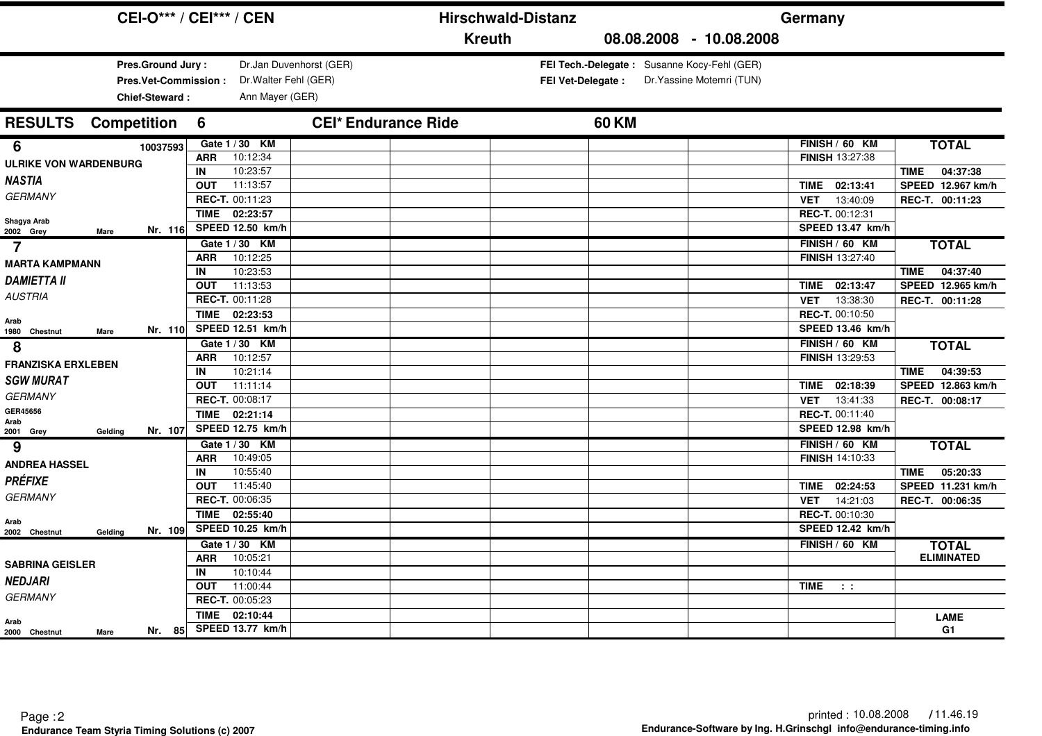|                                                                    | <b>CEI-O*** / CEI*** / CEN</b>                                       | <b>Hirschwald-Distanz</b>  |                                                                                                      | Germany                                                       |                                                                 |
|--------------------------------------------------------------------|----------------------------------------------------------------------|----------------------------|------------------------------------------------------------------------------------------------------|---------------------------------------------------------------|-----------------------------------------------------------------|
|                                                                    |                                                                      | <b>Kreuth</b>              | 08.08.2008 - 10.08.2008                                                                              |                                                               |                                                                 |
| Pres.Ground Jury:<br><b>Pres.Vet-Commission:</b><br>Chief-Steward: | Dr.Jan Duvenhorst (GER)<br>Dr. Walter Fehl (GER)<br>Ann Mayer (GER)  |                            | FEI Tech.-Delegate: Susanne Kocy-Fehl (GER)<br>Dr. Yassine Motemri (TUN)<br><b>FEI Vet-Delegate:</b> |                                                               |                                                                 |
| <b>RESULTS</b><br><b>Competition</b>                               | 6                                                                    | <b>CEI* Endurance Ride</b> | <b>60 KM</b>                                                                                         |                                                               |                                                                 |
| 6<br>10037593<br><b>ULRIKE VON WARDENBURG</b>                      | Gate 1 / 30 KM<br>10:12:34<br><b>ARR</b><br>10:23:57<br>IN           |                            |                                                                                                      | FINISH / 60 KM<br>FINISH 13:27:38                             | <b>TOTAL</b><br>04:37:38<br>TIME                                |
| NASTIA<br><b>GERMANY</b>                                           | 11:13:57<br><b>OUT</b><br>REC-T. 00:11:23<br><b>TIME</b><br>02:23:57 |                            |                                                                                                      | 02:13:41<br>TIME<br>13:40:09<br><b>VET</b><br>REC-T. 00:12:31 | SPEED 12.967 km/h<br>REC-T. 00:11:23                            |
| Shagya Arab<br>Nr. 116<br>2002 Grey<br>Mare<br>$\overline{7}$      | SPEED 12.50 km/h<br>Gate 1/30 KM<br>10:12:25<br><b>ARR</b>           |                            |                                                                                                      | SPEED 13.47 km/h<br>FINISH / 60 KM<br>FINISH 13:27:40         | <b>TOTAL</b>                                                    |
| <b>MARTA KAMPMANN</b><br><b>DAMIETTA II</b><br><b>AUSTRIA</b>      | 10:23:53<br>IN<br>11:13:53<br><b>OUT</b><br>REC-T. 00:11:28          |                            |                                                                                                      | 02:13:47<br>TIME<br>13:38:30<br><b>VET</b>                    | 04:37:40<br><b>TIME</b><br>SPEED 12.965 km/h<br>REC-T. 00:11:28 |
| Arab<br>Nr. 110<br>1980 Chestnut<br>Mare                           | TIME 02:23:53<br>SPEED 12.51 km/h                                    |                            |                                                                                                      | REC-T. 00:10:50<br>SPEED 13.46 km/h                           |                                                                 |
| 8<br><b>FRANZISKA ERXLEBEN</b>                                     | Gate 1/30 KM<br>10:12:57<br><b>ARR</b>                               |                            |                                                                                                      | FINISH / 60 KM<br>FINISH 13:29:53                             | <b>TOTAL</b>                                                    |
| <b>SGW MURAT</b><br><b>GERMANY</b>                                 | 10:21:14<br>IN<br>11:11:14<br><b>OUT</b><br>REC-T. 00:08:17          |                            |                                                                                                      | 02:18:39<br>TIME<br><b>VET</b><br>13:41:33                    | 04:39:53<br><b>TIME</b><br>SPEED 12.863 km/h<br>REC-T. 00:08:17 |
| GER45656<br>Arab<br>Nr. 107<br>Gelding<br>2001 Grey                | 02:21:14<br><b>TIME</b><br>SPEED 12.75 km/h                          |                            |                                                                                                      | REC-T. 00:11:40<br>SPEED 12.98 km/h                           |                                                                 |
| 9<br><b>ANDREA HASSEL</b>                                          | Gate 1 / 30 KM<br>10:49:05<br><b>ARR</b><br>10:55:40<br>IN           |                            |                                                                                                      | FINISH / 60 KM<br><b>FINISH 14:10:33</b>                      | <b>TOTAL</b><br>05:20:33<br><b>TIME</b>                         |
| <b>PRÉFIXE</b><br><b>GERMANY</b>                                   | 11:45:40<br><b>OUT</b><br>REC-T. 00:06:35                            |                            |                                                                                                      | 02:24:53<br><b>TIME</b><br>14:21:03<br><b>VET</b>             | SPEED 11.231 km/h<br>REC-T. 00:06:35                            |
| Arab<br>Nr. 109<br>2002 Chestnut<br>Gelding                        | 02:55:40<br><b>TIME</b><br>SPEED 10.25 km/h                          |                            |                                                                                                      | REC-T. 00:10:30<br>SPEED 12.42 km/h                           |                                                                 |
| <b>SABRINA GEISLER</b>                                             | Gate 1 / 30 KM<br>10:05:21<br><b>ARR</b><br>10:10:44<br>IN           |                            |                                                                                                      | FINISH / 60 KM                                                | <b>TOTAL</b><br><b>ELIMINATED</b>                               |
| <b>NEDJARI</b><br><b>GERMANY</b>                                   | 11:00:44<br><b>OUT</b><br>REC-T. 00:05:23                            |                            |                                                                                                      | TIME<br>$\sim 10$                                             |                                                                 |
| Arab<br>Nr. 85<br>2000 Chestnut<br>Mare                            | <b>TIME</b><br>02:10:44<br>SPEED 13.77 km/h                          |                            |                                                                                                      |                                                               | <b>LAME</b><br>G1                                               |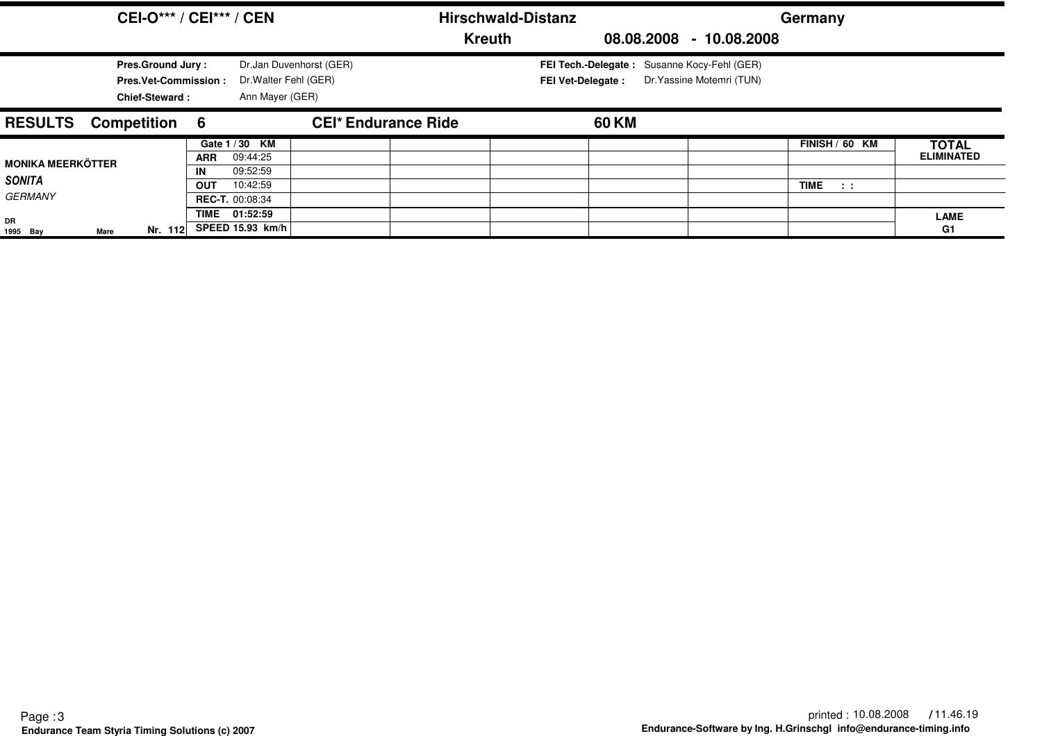|                                 |               | <b>CEI-O*** / CEI*** / CEN</b>                                                   |                  |                                                                     |                            | <b>Hirschwald-Distanz</b> |                                                                         |  |                           | Germany                  |                                   |
|---------------------------------|---------------|----------------------------------------------------------------------------------|------------------|---------------------------------------------------------------------|----------------------------|---------------------------|-------------------------------------------------------------------------|--|---------------------------|--------------------------|-----------------------------------|
|                                 |               |                                                                                  |                  |                                                                     |                            | <b>Kreuth</b>             |                                                                         |  | 08.08.2008 - 10.08.2008   |                          |                                   |
|                                 |               | <b>Pres.Ground Jury:</b><br><b>Pres.Vet-Commission:</b><br><b>Chief-Steward:</b> |                  | Dr.Jan Duvenhorst (GER)<br>Dr. Walter Fehl (GER)<br>Ann Mayer (GER) |                            |                           | FEI Tech.-Delegate: Susanne Kocy-Fehl (GER)<br><b>FEI Vet-Delegate:</b> |  | Dr. Yassine Motemri (TUN) |                          |                                   |
| <b>RESULTS</b>                  | Competition 6 |                                                                                  |                  |                                                                     | <b>CEI* Endurance Ride</b> |                           | 60 KM                                                                   |  |                           |                          |                                   |
| <b>MONIKA MEERKÖTTER</b>        |               |                                                                                  | <b>ARR</b><br>IN | Gate 1 / 30 KM<br>09:44:25<br>09:52:59                              |                            |                           |                                                                         |  |                           | FINISH / 60 KM           | <b>TOTAL</b><br><b>ELIMINATED</b> |
| <b>SONITA</b><br><b>GERMANY</b> |               |                                                                                  | <b>OUT</b>       | 10:42:59<br><b>REC-T. 00:08:34</b>                                  |                            |                           |                                                                         |  |                           | <b>TIME</b><br>$\sim 10$ |                                   |
| DR<br>1995 Bay                  | Mare          | Nr. 112                                                                          |                  | TIME 01:52:59<br>SPEED 15.93 km/h                                   |                            |                           |                                                                         |  |                           |                          | <b>LAME</b><br>G1                 |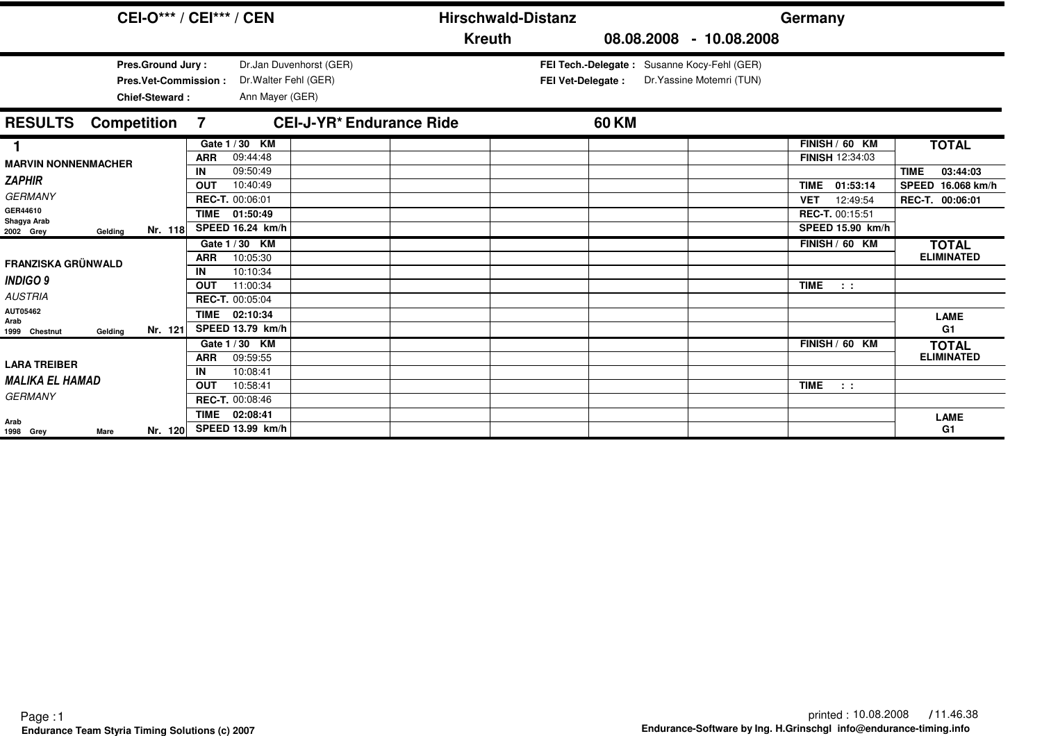| <b>CEI-O*** / CEI*** / CEN</b>                                            |                  |                                            |                                                  |               | <b>Hirschwald-Distanz</b> |                                             |                           | Germany                                           |                                         |
|---------------------------------------------------------------------------|------------------|--------------------------------------------|--------------------------------------------------|---------------|---------------------------|---------------------------------------------|---------------------------|---------------------------------------------------|-----------------------------------------|
|                                                                           |                  |                                            |                                                  | <b>Kreuth</b> |                           |                                             | 08.08.2008 - 10.08.2008   |                                                   |                                         |
| Pres.Ground Jury:<br><b>Pres.Vet-Commission:</b><br><b>Chief-Steward:</b> |                  | Ann Mayer (GER)                            | Dr.Jan Duvenhorst (GER)<br>Dr. Walter Fehl (GER) |               | FEI Vet-Delegate :        | FEI Tech.-Delegate: Susanne Kocy-Fehl (GER) | Dr. Yassine Motemri (TUN) |                                                   |                                         |
| <b>RESULTS</b><br><b>Competition</b>                                      | 7                |                                            | <b>CEI-J-YR* Endurance Ride</b>                  |               |                           | 60 KM                                       |                           |                                                   |                                         |
| 1<br><b>MARVIN NONNENMACHER</b>                                           | <b>ARR</b><br>IN | Gate 1 / 30 KM<br>09:44:48<br>09:50:49     |                                                  |               |                           |                                             |                           | FINISH / 60 KM<br><b>FINISH 12:34:03</b>          | <b>TOTAL</b><br><b>TIME</b><br>03:44:03 |
| <b>ZAPHIR</b><br><b>GERMANY</b>                                           | <b>OUT</b>       | 10:40:49<br>REC-T. 00:06:01                |                                                  |               |                           |                                             |                           | <b>TIME</b><br>01:53:14<br>12:49:54<br><b>VET</b> | SPEED 16.068 km/h<br>REC-T. 00:06:01    |
| GER44610<br>Shagya Arab<br>Nr. 118<br>2002 Grey<br>Gelding                | <b>TIME</b>      | 01:50:49<br>SPEED 16.24 km/h               |                                                  |               |                           |                                             |                           | REC-T. 00:15:51<br>SPEED 15.90 km/h               |                                         |
| <b>FRANZISKA GRÜNWALD</b>                                                 | <b>ARR</b><br>IN | Gate 1 / 30 KM<br>10:05:30<br>10:10:34     |                                                  |               |                           |                                             |                           | FINISH / 60 KM                                    | <b>TOTAL</b><br><b>ELIMINATED</b>       |
| <b>INDIGO 9</b><br><b>AUSTRIA</b>                                         | <b>OUT</b>       | 11:00:34<br>REC-T. 00:05:04                |                                                  |               |                           |                                             |                           | <b>TIME</b><br>$\sim 100$                         |                                         |
| AUT05462<br>Arab<br>Nr. 121<br>Gelding<br>1999 Chestnut                   | <b>TIME</b>      | $\overline{0}$ 2:10:34<br>SPEED 13.79 km/h |                                                  |               |                           |                                             |                           |                                                   | <b>LAME</b><br>G1                       |
| <b>LARA TREIBER</b>                                                       | <b>ARR</b>       | Gate 1/30 KM<br>09:59:55                   |                                                  |               |                           |                                             |                           | FINISH / 60 KM                                    | <b>TOTAL</b><br><b>ELIMINATED</b>       |
| <b>MALIKA EL HAMAD</b><br><b>GERMANY</b>                                  | IN<br><b>OUT</b> | 10:08:41<br>10:58:41<br>REC-T. 00:08:46    |                                                  |               |                           |                                             |                           | <b>TIME</b><br>$\sim 100$                         |                                         |
| Arab<br>Nr. 120<br>1998 Grey<br>Mare                                      | <b>TIME</b>      | 02:08:41<br>SPEED 13.99 km/h               |                                                  |               |                           |                                             |                           |                                                   | <b>LAME</b><br>G <sub>1</sub>           |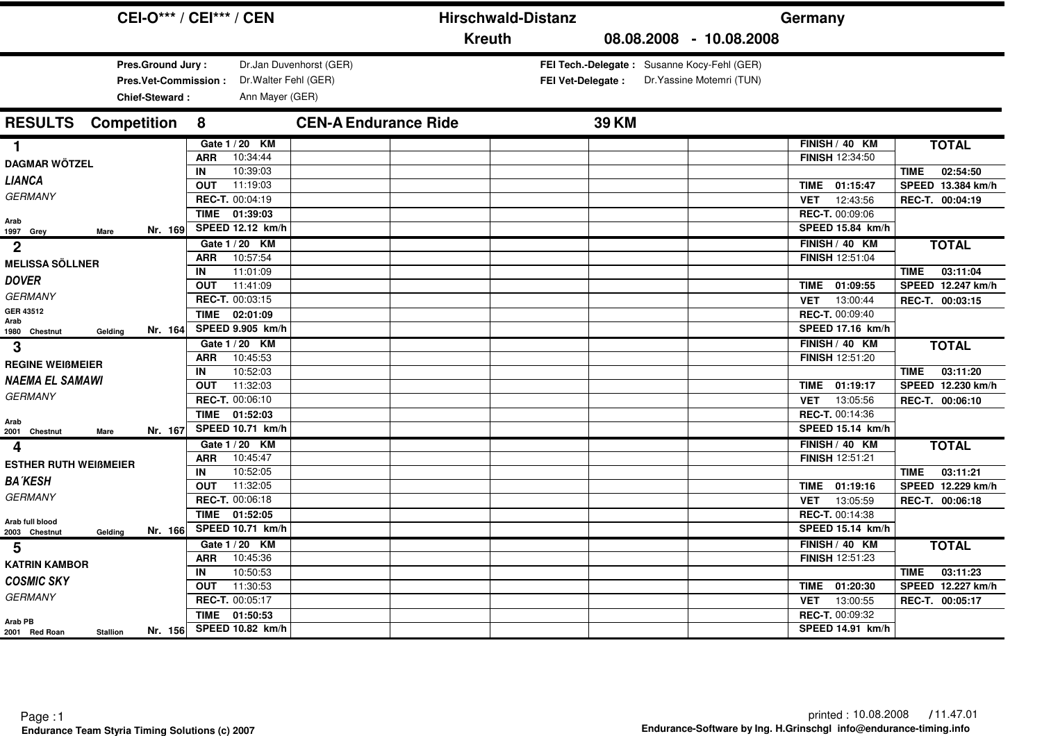|                                                                            | <b>CEI-O*** / CEI*** / CEN</b>                                                                          | <b>Hirschwald-Distanz</b>                                               | Germany                                                                                       |                                                                                 |
|----------------------------------------------------------------------------|---------------------------------------------------------------------------------------------------------|-------------------------------------------------------------------------|-----------------------------------------------------------------------------------------------|---------------------------------------------------------------------------------|
|                                                                            |                                                                                                         | <b>Kreuth</b><br>08.08.2008 - 10.08.2008                                |                                                                                               |                                                                                 |
| Pres.Ground Jury:<br>Pres.Vet-Commission:<br><b>Chief-Steward:</b>         | Dr.Jan Duvenhorst (GER)<br>Dr. Walter Fehl (GER)<br>Ann Mayer (GER)                                     | FEI Tech.-Delegate: Susanne Kocy-Fehl (GER)<br><b>FEI Vet-Delegate:</b> | Dr. Yassine Motemri (TUN)                                                                     |                                                                                 |
| <b>Competition</b><br><b>RESULTS</b>                                       | <b>CEN-A Endurance Ride</b><br>8                                                                        | <b>39 KM</b>                                                            |                                                                                               |                                                                                 |
| 1<br><b>DAGMAR WÖTZEL</b><br><b>LIANCA</b>                                 | Gate 1 / 20 KM<br>10:34:44<br><b>ARR</b><br>10:39:03<br>IN<br>11:19:03<br><b>OUT</b>                    |                                                                         | FINISH / 40 KM<br><b>FINISH 12:34:50</b><br>TIME 01:15:47                                     | <b>TOTAL</b><br>02:54:50<br><b>TIME</b><br>SPEED 13.384 km/h                    |
| <b>GERMANY</b><br>Arab<br>Nr. 169<br>1997 Grey<br><b>Mare</b>              | REC-T. 00:04:19<br>TIME 01:39:03<br>SPEED 12.12 km/h                                                    |                                                                         | 12:43:56<br><b>VET</b><br>REC-T. 00:09:06<br>SPEED 15.84 km/h                                 | REC-T. 00:04:19                                                                 |
| $\mathbf 2$<br><b>MELISSA SÖLLNER</b><br><b>DOVER</b>                      | Gate 1 / 20 KM<br>10:57:54<br><b>ARR</b><br>11:01:09<br>IN<br>11:41:09<br><b>OUT</b>                    |                                                                         | FINISH / 40 KM<br>FINISH 12:51:04<br>01:09:55<br>TIME                                         | <b>TOTAL</b><br>03:11:04<br><b>TIME</b><br>SPEED 12.247 km/h                    |
| <b>GERMANY</b><br>GER 43512<br>Arab<br>Nr. 164<br>1980 Chestnut<br>Gelding | REC-T. 00:03:15<br><b>TIME</b><br>02:01:09<br>SPEED 9.905 km/h                                          |                                                                         | 13:00:44<br><b>VET</b><br>REC-T. 00:09:40<br>SPEED 17.16 km/h                                 | REC-T. 00:03:15                                                                 |
| 3<br><b>REGINE WEIBMEIER</b><br>NAEMA EL SAMAWI<br><b>GERMANY</b>          | Gate 1 / 20 KM<br><b>ARR</b><br>10:45:53<br>10:52:03<br>IN<br>11:32:03<br><b>OUT</b><br>REC-T. 00:06:10 |                                                                         | FINISH / 40 KM<br>FINISH 12:51:20<br>01:19:17<br><b>TIME</b><br>13:05:56<br><b>VET</b>        | <b>TOTAL</b><br>03:11:20<br><b>TIME</b><br>SPEED 12.230 km/h<br>REC-T. 00:06:10 |
| Arab<br>Nr. 167<br>2001 Chestnut<br>Mare                                   | 01:52:03<br><b>TIME</b><br>SPEED 10.71 km/h                                                             |                                                                         | REC-T. 00:14:36<br>SPEED 15.14 km/h                                                           |                                                                                 |
| 4<br><b>ESTHER RUTH WEIBMEIER</b><br><b>BA KESH</b><br><b>GERMANY</b>      | Gate 1 / 20 KM<br>10:45:47<br><b>ARR</b><br>10:52:05<br>IN<br>11:32:05<br><b>OUT</b>                    |                                                                         | FINISH / 40 KM<br>FINISH 12:51:21<br>01:19:16<br><b>TIME</b>                                  | <b>TOTAL</b><br>03:11:21<br><b>TIME</b><br>SPEED 12.229 km/h                    |
| Arab full blood<br>Nr. 166<br>2003 Chestnut<br>Gelding                     | REC-T. 00:06:18<br>TIME 01:52:05<br>SPEED 10.71 km/h                                                    |                                                                         | 13:05:59<br><b>VET</b><br>REC-T. 00:14:38<br>SPEED 15.14 km/h                                 | REC-T. 00:06:18                                                                 |
| 5<br><b>KATRIN KAMBOR</b><br><b>COSMIC SKY</b><br><b>GERMANY</b>           | Gate 1 / 20 KM<br>10:45:36<br><b>ARR</b><br>10:50:53<br>IN<br>11:30:53<br><b>OUT</b><br>REC-T. 00:05:17 |                                                                         | FINISH / 40 KM<br><b>FINISH 12:51:23</b><br>01:20:30<br><b>TIME</b><br>13:00:55<br><b>VET</b> | <b>TOTAL</b><br>03:11:23<br><b>TIME</b><br>SPEED 12.227 km/h<br>REC-T. 00:05:17 |
| Arab PB<br>Nr. 156<br>2001 Red Roan<br><b>Stallion</b>                     | <b>TIME</b><br>01:50:53<br>SPEED 10.82 km/h                                                             |                                                                         | REC-T. 00:09:32<br>SPEED 14.91 km/h                                                           |                                                                                 |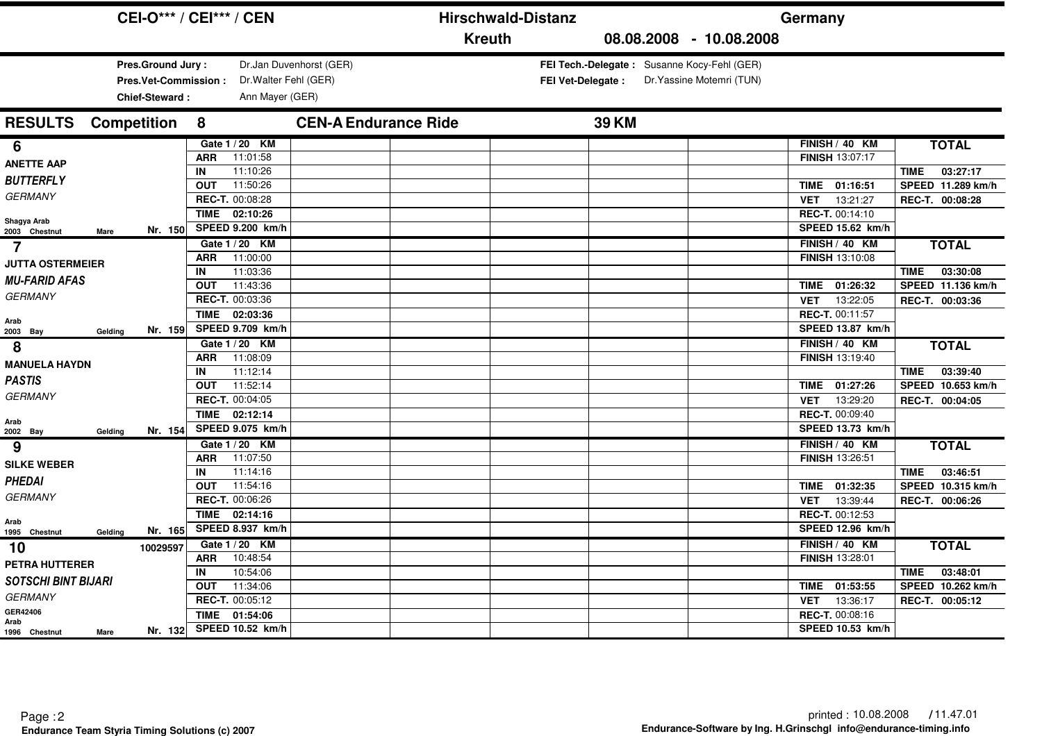|                                                |                                                                           | <b>CEI-O*** / CEI*** / CEN</b>                                                       |                             |               | <b>Hirschwald-Distanz</b> |                                                                          |  | Germany                                                       |                                                              |
|------------------------------------------------|---------------------------------------------------------------------------|--------------------------------------------------------------------------------------|-----------------------------|---------------|---------------------------|--------------------------------------------------------------------------|--|---------------------------------------------------------------|--------------------------------------------------------------|
|                                                |                                                                           |                                                                                      |                             | <b>Kreuth</b> |                           | 08.08.2008 - 10.08.2008                                                  |  |                                                               |                                                              |
|                                                | Pres.Ground Jury:<br><b>Pres.Vet-Commission:</b><br><b>Chief-Steward:</b> | Dr. Walter Fehl (GER)<br>Ann Mayer (GER)                                             | Dr.Jan Duvenhorst (GER)     |               | <b>FEI Vet-Delegate:</b>  | FEI Tech.-Delegate: Susanne Kocy-Fehl (GER)<br>Dr. Yassine Motemri (TUN) |  |                                                               |                                                              |
| <b>RESULTS</b>                                 | <b>Competition</b>                                                        | 8                                                                                    | <b>CEN-A Endurance Ride</b> |               |                           | <b>39 KM</b>                                                             |  |                                                               |                                                              |
| 6<br><b>ANETTE AAP</b><br><b>BUTTERFLY</b>     |                                                                           | Gate 1 / 20 KM<br>11:01:58<br><b>ARR</b><br>11:10:26<br>IN<br>11:50:26<br><b>OUT</b> |                             |               |                           |                                                                          |  | FINISH / 40 KM<br><b>FINISH 13:07:17</b><br>01:16:51<br>TIME  | <b>TOTAL</b><br>03:27:17<br><b>TIME</b><br>SPEED 11.289 km/h |
| <b>GERMANY</b><br>Shagya Arab<br>2003 Chestnut | Nr. 150<br><b>Mare</b>                                                    | REC-T. 00:08:28<br>TIME 02:10:26<br>SPEED 9.200 km/h                                 |                             |               |                           |                                                                          |  | 13:21:27<br><b>VET</b><br>REC-T. 00:14:10<br>SPEED 15.62 km/h | REC-T. 00:08:28                                              |
| $\overline{7}$<br><b>JUTTA OSTERMEIER</b>      |                                                                           | Gate 1 / 20 KM<br>11:00:00<br><b>ARR</b><br>11:03:36<br>IN                           |                             |               |                           |                                                                          |  | FINISH / 40 KM<br>FINISH 13:10:08                             | <b>TOTAL</b><br>03:30:08<br><b>TIME</b>                      |
| <b>MU-FARID AFAS</b><br><b>GERMANY</b>         |                                                                           | 11:43:36<br><b>OUT</b><br>REC-T. 00:03:36                                            |                             |               |                           |                                                                          |  | 01:26:32<br>TIME<br>13:22:05<br><b>VET</b>                    | SPEED 11.136 km/h<br>REC-T. 00:03:36                         |
| Arab<br>2003 Bay                               | Nr. 159<br>Gelding                                                        | <b>TIME</b><br>02:03:36<br>SPEED 9.709 km/h                                          |                             |               |                           |                                                                          |  | REC-T. 00:11:57<br>SPEED 13.87 km/h                           |                                                              |
| 8<br><b>MANUELA HAYDN</b>                      |                                                                           | Gate 1 / 20 KM<br><b>ARR</b><br>11:08:09<br>11:12:14<br>IN                           |                             |               |                           |                                                                          |  | FINISH / 40 KM<br>FINISH 13:19:40                             | <b>TOTAL</b><br>03:39:40<br><b>TIME</b>                      |
| <b>PASTIS</b><br><b>GERMANY</b>                |                                                                           | 11:52:14<br><b>OUT</b><br>REC-T. 00:04:05                                            |                             |               |                           |                                                                          |  | 01:27:26<br><b>TIME</b><br>13:29:20<br><b>VET</b>             | SPEED 10.653 km/h<br>REC-T. 00:04:05                         |
| Arab<br>2002 Bay                               | Nr. 154<br>Gelding                                                        | 02:12:14<br><b>TIME</b><br>SPEED 9.075 km/h                                          |                             |               |                           |                                                                          |  | <b>REC-T. 00:09:40</b><br>SPEED 13.73 km/h                    |                                                              |
| 9<br><b>SILKE WEBER</b>                        |                                                                           | Gate 1 / 20 KM<br>11:07:50<br><b>ARR</b>                                             |                             |               |                           |                                                                          |  | FINISH / 40 KM<br>FINISH 13:26:51                             | <b>TOTAL</b>                                                 |
| <b>PHEDAI</b><br><b>GERMANY</b>                |                                                                           | 11:14:16<br>IN<br>11:54:16<br><b>OUT</b><br>REC-T. 00:06:26                          |                             |               |                           |                                                                          |  | 01:32:35<br><b>TIME</b>                                       | 03:46:51<br><b>TIME</b><br>SPEED 10.315 km/h                 |
| Arab<br>1995 Chestnut                          | Nr. 165<br>Gelding                                                        | 02:14:16<br><b>TIME</b><br>SPEED 8.937 km/h                                          |                             |               |                           |                                                                          |  | 13:39:44<br><b>VET</b><br>REC-T. 00:12:53<br>SPEED 12.96 km/h | REC-T. 00:06:26                                              |
| 10<br><b>PETRA HUTTERER</b>                    | 10029597                                                                  | Gate 1 / 20 KM<br>10:48:54<br><b>ARR</b>                                             |                             |               |                           |                                                                          |  | FINISH / 40 KM<br><b>FINISH 13:28:01</b>                      | <b>TOTAL</b>                                                 |
| <b>SOTSCHI BINT BIJARI</b>                     |                                                                           | 10:54:06<br>IN<br>11:34:06<br><b>OUT</b>                                             |                             |               |                           |                                                                          |  | 01:53:55<br><b>TIME</b>                                       | 03:48:01<br><b>TIME</b><br>SPEED 10.262 km/h                 |
| <b>GERMANY</b><br>GER42406<br>Arab             |                                                                           | REC-T. 00:05:12<br><b>TIME</b><br>01:54:06                                           |                             |               |                           |                                                                          |  | 13:36:17<br><b>VET</b><br>REC-T. 00:08:16                     | REC-T. 00:05:12                                              |
| 1996 Chestnut                                  | Nr. 132<br>Mare                                                           | SPEED 10.52 km/h                                                                     |                             |               |                           |                                                                          |  | SPEED 10.53 km/h                                              |                                                              |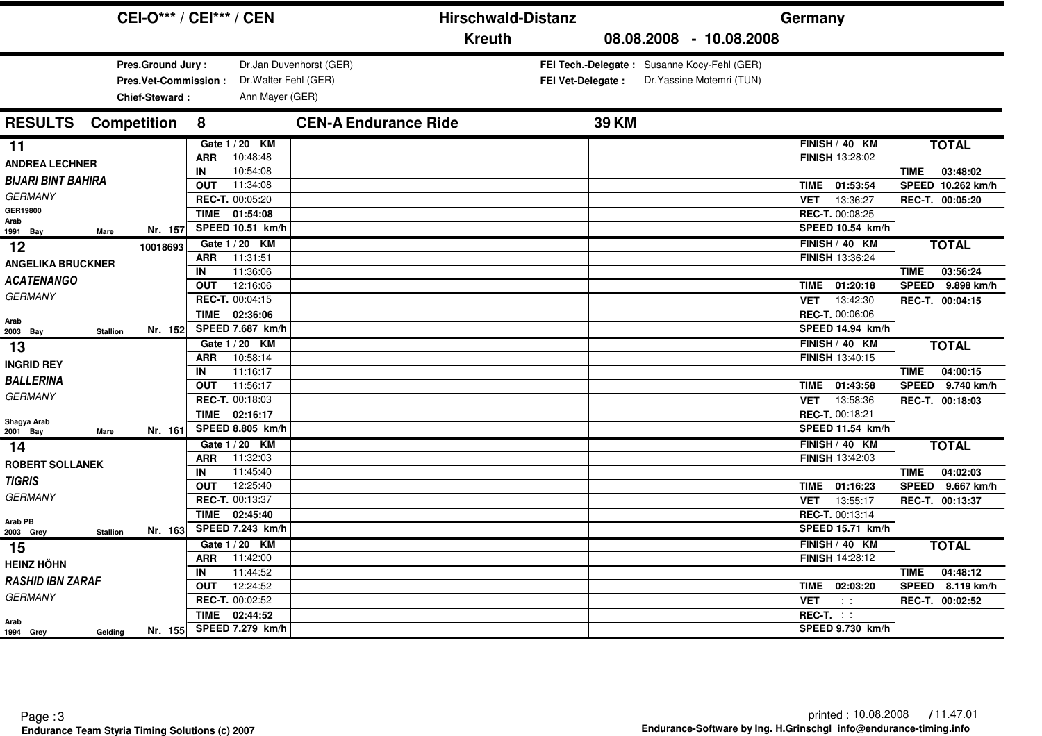|                                            | <b>CEI-O*** / CEI*** / CEN</b>           |                             | <b>Hirschwald-Distanz</b> |                                             | Germany                 |                            |
|--------------------------------------------|------------------------------------------|-----------------------------|---------------------------|---------------------------------------------|-------------------------|----------------------------|
|                                            |                                          |                             | <b>Kreuth</b>             | 08.08.2008 - 10.08.2008                     |                         |                            |
| Pres.Ground Jury:                          |                                          | Dr.Jan Duvenhorst (GER)     |                           | FEI Tech.-Delegate: Susanne Kocy-Fehl (GER) |                         |                            |
| Pres.Vet-Commission:                       | Dr. Walter Fehl (GER)                    |                             | <b>FEI Vet-Delegate:</b>  | Dr. Yassine Motemri (TUN)                   |                         |                            |
| <b>Chief-Steward:</b>                      | Ann Mayer (GER)                          |                             |                           |                                             |                         |                            |
| <b>Competition</b><br><b>RESULTS</b>       | 8                                        | <b>CEN-A Endurance Ride</b> | <b>39 KM</b>              |                                             |                         |                            |
| 11                                         | Gate 1 / 20 KM                           |                             |                           |                                             | FINISH / 40 KM          | <b>TOTAL</b>               |
| <b>ANDREA LECHNER</b>                      | 10:48:48<br><b>ARR</b>                   |                             |                           |                                             | <b>FINISH 13:28:02</b>  |                            |
| <b>BIJARI BINT BAHIRA</b>                  | 10:54:08<br>IN                           |                             |                           |                                             |                         | 03:48:02<br><b>TIME</b>    |
| <b>GERMANY</b>                             | 11:34:08<br><b>OUT</b>                   |                             |                           |                                             | TIME 01:53:54           | SPEED 10.262 km/h          |
| GER19800                                   | REC-T. 00:05:20                          |                             |                           |                                             | 13:36:27<br><b>VET</b>  | REC-T. 00:05:20            |
| Arab                                       | TIME 01:54:08                            |                             |                           |                                             | REC-T. 00:08:25         |                            |
| Nr. 157<br>1991 Bay<br><b>Mare</b>         | SPEED 10.51 km/h                         |                             |                           |                                             | SPEED 10.54 km/h        |                            |
| 12<br>10018693                             | Gate 1 / 20 KM                           |                             |                           |                                             | FINISH / 40 KM          | <b>TOTAL</b>               |
| <b>ANGELIKA BRUCKNER</b>                   | 11:31:51<br><b>ARR</b><br>11:36:06<br>IN |                             |                           |                                             | FINISH 13:36:24         | 03:56:24<br><b>TIME</b>    |
| <b>ACATENANGO</b>                          | 12:16:06<br><b>OUT</b>                   |                             |                           |                                             | 01:20:18<br>TIME        | 9.898 km/h<br><b>SPEED</b> |
| <b>GERMANY</b>                             | REC-T. 00:04:15                          |                             |                           |                                             | 13:42:30<br><b>VET</b>  | REC-T. 00:04:15            |
|                                            | <b>TIME</b><br>02:36:06                  |                             |                           |                                             | REC-T. 00:06:06         |                            |
| Arab<br>Nr. 152                            | SPEED 7.687 km/h                         |                             |                           |                                             | SPEED 14.94 km/h        |                            |
| 2003 Bay<br><b>Stallion</b>                | Gate 1 / 20 KM                           |                             |                           |                                             | FINISH / 40 KM          | <b>TOTAL</b>               |
| 13                                         | 10:58:14<br><b>ARR</b>                   |                             |                           |                                             | FINISH 13:40:15         |                            |
| <b>INGRID REY</b>                          | 11:16:17<br>IN                           |                             |                           |                                             |                         | 04:00:15<br><b>TIME</b>    |
| <b>BALLERINA</b>                           | 11:56:17<br><b>OUT</b>                   |                             |                           |                                             | 01:43:58<br>TIME        | 9.740 km/h<br><b>SPEED</b> |
| <b>GERMANY</b>                             | REC-T. 00:18:03                          |                             |                           |                                             | 13:58:36<br><b>VET</b>  | REC-T. 00:18:03            |
|                                            | <b>TIME</b><br>02:16:17                  |                             |                           |                                             | REC-T. 00:18:21         |                            |
| Shagya Arab<br>Nr. 161<br>2001 Bay<br>Mare | SPEED 8.805 km/h                         |                             |                           |                                             | SPEED 11.54 km/h        |                            |
| 14                                         | Gate 1 / 20 KM                           |                             |                           |                                             | FINISH / 40 KM          | <b>TOTAL</b>               |
| <b>ROBERT SOLLANEK</b>                     | 11:32:03<br><b>ARR</b>                   |                             |                           |                                             | <b>FINISH 13:42:03</b>  |                            |
|                                            | 11:45:40<br>IN                           |                             |                           |                                             |                         | 04:02:03<br><b>TIME</b>    |
| <b>TIGRIS</b>                              | 12:25:40<br><b>OUT</b>                   |                             |                           |                                             | 01:16:23<br>TIME        | SPEED 9.667 km/h           |
| <b>GERMANY</b>                             | REC-T. 00:13:37                          |                             |                           |                                             | 13:55:17<br>VET         | REC-T. 00:13:37            |
| Arab PB                                    | <b>TIME</b><br>02:45:40                  |                             |                           |                                             | REC-T. 00:13:14         |                            |
| Nr. 163<br><b>Stallion</b><br>2003 Grey    | SPEED 7.243 km/h                         |                             |                           |                                             | SPEED 15.71 km/h        |                            |
| 15                                         | Gate 1 / 20 KM                           |                             |                           |                                             | FINISH / 40 KM          | <b>TOTAL</b>               |
| <b>HEINZ HÖHN</b>                          | 11:42:00<br><b>ARR</b>                   |                             |                           |                                             | <b>FINISH 14:28:12</b>  |                            |
| <b>RASHID IBN ZARAF</b>                    | 11:44:52<br>IN                           |                             |                           |                                             |                         | 04:48:12<br><b>TIME</b>    |
| <b>GERMANY</b>                             | 12:24:52<br><b>OUT</b>                   |                             |                           |                                             | 02:03:20<br><b>TIME</b> | SPEED 8.119 km/h           |
|                                            | REC-T. 00:02:52                          |                             |                           |                                             | <b>VET</b><br>$\sim 10$ | REC-T. 00:02:52            |
| Arab                                       | <b>TIME</b><br>02:44:52                  |                             |                           |                                             | $REC-T.$ :              |                            |
| Nr. 155<br>1994 Grey<br>Gelding            | SPEED 7.279 km/h                         |                             |                           |                                             | SPEED 9.730 km/h        |                            |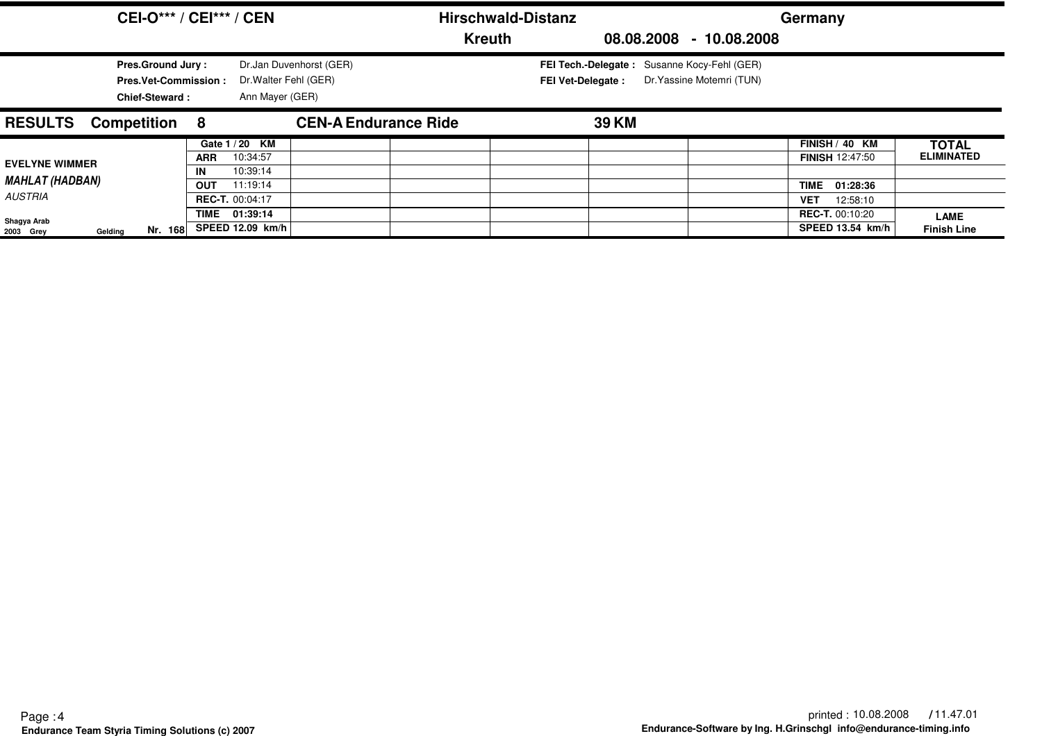|                                                            | <b>CEI-O*** / CEI*** / CEN</b>                                                   |                                |                                                    |                         |                             | <b>Hirschwald-Distanz</b> |                                                                         |                           | Germany                                                              |                                   |
|------------------------------------------------------------|----------------------------------------------------------------------------------|--------------------------------|----------------------------------------------------|-------------------------|-----------------------------|---------------------------|-------------------------------------------------------------------------|---------------------------|----------------------------------------------------------------------|-----------------------------------|
|                                                            |                                                                                  |                                |                                                    |                         |                             | <b>Kreuth</b>             |                                                                         | 08.08.2008 - 10.08.2008   |                                                                      |                                   |
|                                                            | <b>Pres.Ground Jury:</b><br><b>Pres.Vet-Commission:</b><br><b>Chief-Steward:</b> |                                | Dr. Walter Fehl (GER)<br>Ann Mayer (GER)           | Dr.Jan Duvenhorst (GER) |                             |                           | FEI Tech.-Delegate: Susanne Kocy-Fehl (GER)<br><b>FEI Vet-Delegate:</b> | Dr. Yassine Motemri (TUN) |                                                                      |                                   |
| <b>RESULTS</b>                                             | Competition 8                                                                    |                                |                                                    |                         | <b>CEN-A Endurance Ride</b> |                           | <b>39 KM</b>                                                            |                           |                                                                      |                                   |
| <b>EVELYNE WIMMER</b><br><b>MAHLAT (HADBAN)</b><br>AUSTRIA |                                                                                  | <b>ARR</b><br>IN<br><b>OUT</b> | Gate 1 / 20 KM<br>10:34:57<br>10:39:14<br>11:19:14 |                         |                             |                           |                                                                         |                           | FINISH / 40 KM<br><b>FINISH 12:47:50</b><br><b>TIME</b><br>01:28:36  | <b>TOTAL</b><br><b>ELIMINATED</b> |
| Shagya Arab<br>Gelding<br>2003 Grey                        | Nr. 168                                                                          | <b>REC-T. 00:04:17</b><br>TIME | 01:39:14<br>SPEED 12.09 km/h                       |                         |                             |                           |                                                                         |                           | 12:58:10<br><b>VET</b><br><b>REC-T. 00:10:20</b><br>SPEED 13.54 km/h | <b>LAME</b><br><b>Finish Line</b> |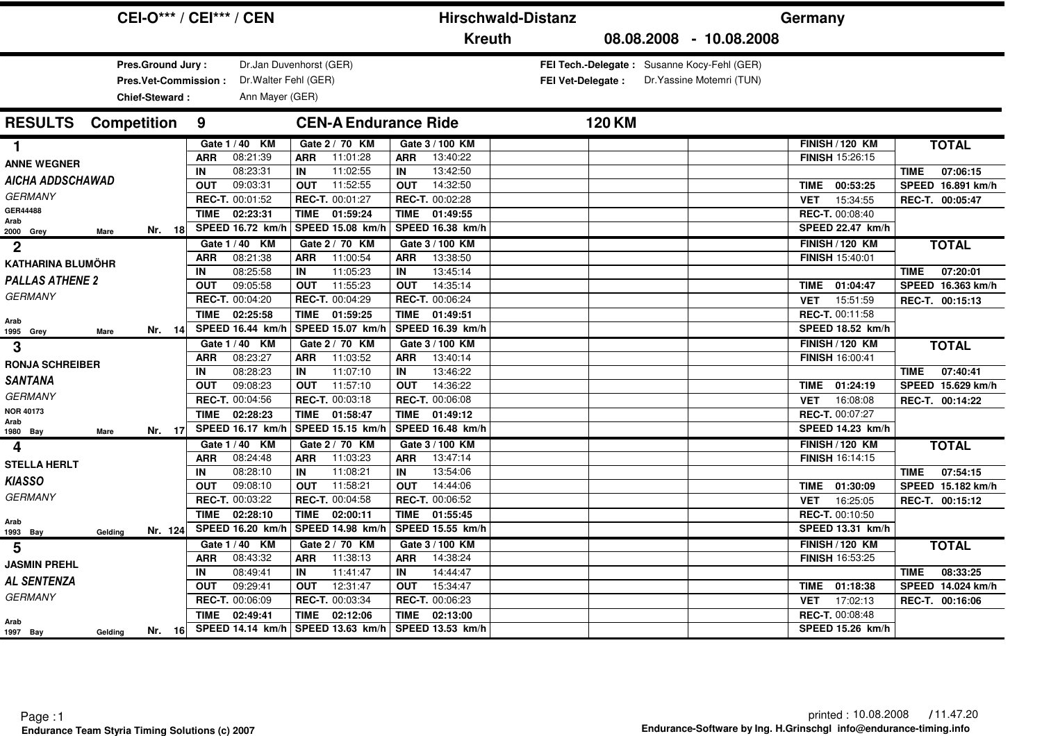| <b>CEI-O*** / CEI*** / CEN</b>                              |                  |                                          |                                          |                  |                      | <b>Hirschwald-Distanz</b> |                          | Germany                                                                  |             |                        |             |                   |
|-------------------------------------------------------------|------------------|------------------------------------------|------------------------------------------|------------------|----------------------|---------------------------|--------------------------|--------------------------------------------------------------------------|-------------|------------------------|-------------|-------------------|
|                                                             |                  |                                          |                                          |                  | <b>Kreuth</b>        |                           |                          | 08.08.2008 - 10.08.2008                                                  |             |                        |             |                   |
| Pres.Ground Jury:<br>Pres.Vet-Commission:<br>Chief-Steward: |                  | Dr. Walter Fehl (GER)<br>Ann Mayer (GER) | Dr.Jan Duvenhorst (GER)                  |                  |                      |                           | <b>FEI Vet-Delegate:</b> | FEI Tech.-Delegate: Susanne Kocy-Fehl (GER)<br>Dr. Yassine Motemri (TUN) |             |                        |             |                   |
| <b>Competition</b><br><b>RESULTS</b>                        | 9                |                                          | <b>CEN-A Endurance Ride</b>              |                  |                      |                           | <b>120 KM</b>            |                                                                          |             |                        |             |                   |
| 1.                                                          |                  | Gate 1 / 40 KM                           | Gate 2 / 70 KM                           |                  | Gate 3 / 100 KM      |                           |                          |                                                                          |             | <b>FINISH / 120 KM</b> |             | <b>TOTAL</b>      |
| <b>ANNE WEGNER</b>                                          | <b>ARR</b>       | 08:21:39                                 | 11:01:28<br><b>ARR</b>                   | ARR              | 13:40:22             |                           |                          |                                                                          |             | FINISH 15:26:15        |             |                   |
| <b>AICHA ADDSCHAWAD</b>                                     | IN               | 08:23:31                                 | 11:02:55<br>IN                           | IN               | 13:42:50             |                           |                          |                                                                          |             |                        | <b>TIME</b> | 07:06:15          |
| <b>GERMANY</b>                                              | <b>OUT</b>       | 09:03:31                                 | 11:52:55<br><b>OUT</b>                   | <b>OUT</b>       | 14:32:50             |                           |                          |                                                                          | <b>TIME</b> | 00:53:25               |             | SPEED 16.891 km/h |
| <b>GER44488</b>                                             |                  | REC-T. 00:01:52                          | REC-T. 00:01:27                          |                  | REC-T. 00:02:28      |                           |                          |                                                                          | <b>VET</b>  | 15:34:55               |             | REC-T. 00:05:47   |
| Arab                                                        |                  | 02:23:31<br><b>TIME</b>                  | TIME<br>01:59:24                         | <b>TIME</b>      | 01:49:55             |                           |                          |                                                                          |             | REC-T. 00:08:40        |             |                   |
| Nr. $18$<br>2000 Grey<br>Mare                               |                  | SPEED 16.72 km/h                         | SPEED 15.08 km/h                         |                  | SPEED 16.38 km/h     |                           |                          |                                                                          |             | SPEED 22.47 km/h       |             |                   |
| $\overline{2}$                                              |                  | Gate 1/40 KM                             | Gate 2 / 70 KM                           |                  | Gate 3 / 100 KM      |                           |                          |                                                                          |             | <b>FINISH / 120 KM</b> |             | <b>TOTAL</b>      |
| <b>KATHARINA BLUMÖHR</b>                                    | <b>ARR</b><br>IN | 08:21:38<br>08:25:58                     | <b>ARR</b><br>11:00:54<br>11:05:23<br>IN | <b>ARR</b><br>IN | 13:38:50<br>13:45:14 |                           |                          |                                                                          |             | <b>FINISH 15:40:01</b> | <b>TIME</b> | 07:20:01          |
| <b>PALLAS ATHENE 2</b>                                      | <b>OUT</b>       | 09:05:58                                 | 11:55:23<br><b>OUT</b>                   | <b>OUT</b>       | 14:35:14             |                           |                          |                                                                          | <b>TIME</b> | 01:04:47               |             | SPEED 16.363 km/h |
| <b>GERMANY</b>                                              |                  | REC-T. 00:04:20                          | REC-T. 00:04:29                          |                  | REC-T. 00:06:24      |                           |                          |                                                                          | <b>VET</b>  | 15:51:59               |             | REC-T. 00:15:13   |
|                                                             |                  | 02:25:58<br><b>TIME</b>                  | <b>TIME</b><br>01:59:25                  | <b>TIME</b>      | 01:49:51             |                           |                          |                                                                          |             | REC-T. 00:11:58        |             |                   |
| Arab<br>Nr. 14                                              |                  | SPEED 16.44 km/h                         | SPEED 15.07 km/h                         |                  | SPEED 16.39 km/h     |                           |                          |                                                                          |             | SPEED 18.52 km/h       |             |                   |
| 1995 Grey<br>Mare                                           |                  | Gate 1 / 40 KM                           | Gate 2 / 70 KM                           |                  | Gate 3 / 100 KM      |                           |                          |                                                                          |             | <b>FINISH / 120 KM</b> |             | <b>TOTAL</b>      |
| 3                                                           | <b>ARR</b>       | 08:23:27                                 | <b>ARR</b><br>11:03:52                   | <b>ARR</b>       | 13:40:14             |                           |                          |                                                                          |             | <b>FINISH 16:00:41</b> |             |                   |
| <b>RONJA SCHREIBER</b>                                      | IN               | 08:28:23                                 | 11:07:10<br>IN                           | IN               | 13:46:22             |                           |                          |                                                                          |             |                        | <b>TIME</b> | 07:40:41          |
| <b>SANTANA</b>                                              | <b>OUT</b>       | 09:08:23                                 | 11:57:10<br><b>OUT</b>                   | <b>OUT</b>       | 14:36:22             |                           |                          |                                                                          | TIME        | 01:24:19               |             | SPEED 15.629 km/h |
| <b>GERMANY</b>                                              |                  | <b>REC-T. 00:04:56</b>                   | REC-T. 00:03:18                          |                  | REC-T. 00:06:08      |                           |                          |                                                                          | <b>VET</b>  | 16:08:08               |             | REC-T. 00:14:22   |
| <b>NOR 40173</b>                                            |                  | 02:28:23<br><b>TIME</b>                  | 01:58:47<br>TIME                         | <b>TIME</b>      | 01:49:12             |                           |                          |                                                                          |             | REC-T. 00:07:27        |             |                   |
| Arab<br>Nr. 17<br>1980 Bay<br>Mare                          |                  | SPEED 16.17 km/h                         | SPEED 15.15 km/                          |                  | SPEED 16.48 km/h     |                           |                          |                                                                          |             | SPEED 14.23 km/h       |             |                   |
| 4                                                           |                  | Gate 1 / 40 KM                           | Gate 2 / 70 KM                           |                  | Gate 3 / 100 KM      |                           |                          |                                                                          |             | <b>FINISH / 120 KM</b> |             | <b>TOTAL</b>      |
|                                                             | <b>ARR</b>       | 08:24:48                                 | 11:03:23<br><b>ARR</b>                   | <b>ARR</b>       | 13:47:14             |                           |                          |                                                                          |             | FINISH 16:14:15        |             |                   |
| <b>STELLA HERLT</b>                                         | IN               | 08:28:10                                 | 11:08:21<br>IN                           | IN               | 13:54:06             |                           |                          |                                                                          |             |                        | <b>TIME</b> | 07:54:15          |
| <b>KIASSO</b>                                               | <b>OUT</b>       | 09:08:10                                 | 11:58:21<br><b>OUT</b>                   | <b>OUT</b>       | 14:44:06             |                           |                          |                                                                          | TIME        | 01:30:09               |             | SPEED 15.182 km/h |
| <b>GERMANY</b>                                              |                  | REC-T. 00:03:22                          | REC-T. 00:04:58                          |                  | REC-T. 00:06:52      |                           |                          |                                                                          | VET         | 16:25:05               |             | REC-T. 00:15:12   |
| Arab                                                        |                  | 02:28:10<br><b>TIME</b>                  | <b>TIME</b><br>02:00:11                  | <b>TIME</b>      | 01:55:45             |                           |                          |                                                                          |             | REC-T. 00:10:50        |             |                   |
| Nr. 124<br>1993 Bay<br>Gelding                              |                  | SPEED 16.20 km/h                         | SPEED 14.98 km/h                         |                  | SPEED 15.55 km/h     |                           |                          |                                                                          |             | SPEED 13.31 km/h       |             |                   |
| 5                                                           |                  | Gate 1 / 40 KM                           | Gate 2 / 70 KM                           |                  | Gate 3 / 100 KM      |                           |                          |                                                                          |             | <b>FINISH / 120 KM</b> |             | <b>TOTAL</b>      |
| <b>JASMIN PREHL</b>                                         | <b>ARR</b>       | 08:43:32                                 | 11:38:13<br><b>ARR</b>                   | <b>ARR</b>       | 14:38:24             |                           |                          |                                                                          |             | FINISH 16:53:25        |             |                   |
| <b>AL SENTENZA</b>                                          | IN               | 08:49:41                                 | 11:41:47<br>IN                           | IN               | 14:44:47             |                           |                          |                                                                          |             |                        | <b>TIME</b> | 08:33:25          |
|                                                             | <b>OUT</b>       | 09:29:41                                 | 12:31:47<br><b>OUT</b>                   | <b>OUT</b>       | 15:34:47             |                           |                          |                                                                          | TIME        | 01:18:38               |             | SPEED 14.024 km/h |
| <b>GERMANY</b>                                              |                  | REC-T. 00:06:09                          | REC-T. 00:03:34                          |                  | REC-T. 00:06:23      |                           |                          |                                                                          | <b>VET</b>  | 17:02:13               |             | REC-T. 00:16:06   |
| Arab                                                        |                  | 02:49:41<br><b>TIME</b>                  | <b>TIME</b><br>02:12:06                  | <b>TIME</b>      | 02:13:00             |                           |                          |                                                                          |             | <b>REC-T. 00:08:48</b> |             |                   |
| Nr. 16<br>1997 Bay<br>Gelding                               |                  |                                          | SPEED 14.14 km/h   SPEED 13.63 km/h      |                  | SPEED 13.53 km/h     |                           |                          |                                                                          |             | SPEED 15.26 km/h       |             |                   |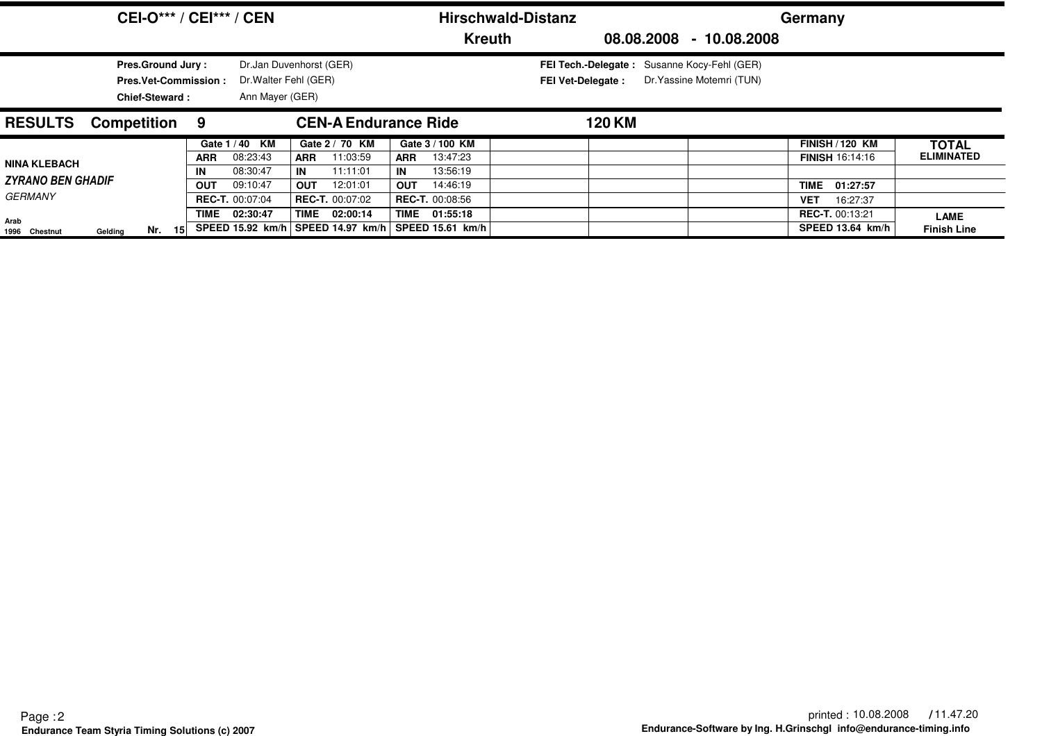|                                                                                  | <b>CEI-O*** / CEI*** / CEN</b>             |                                                                     | <b>Hirschwald-Distanz</b>                |                                                                         | Germany                                          |                                   |
|----------------------------------------------------------------------------------|--------------------------------------------|---------------------------------------------------------------------|------------------------------------------|-------------------------------------------------------------------------|--------------------------------------------------|-----------------------------------|
|                                                                                  |                                            |                                                                     | <b>Kreuth</b>                            |                                                                         | 08.08.2008 - 10.08.2008                          |                                   |
| <b>Pres.Ground Jury:</b><br><b>Pres.Vet-Commission:</b><br><b>Chief-Steward:</b> |                                            | Dr.Jan Duvenhorst (GER)<br>Dr. Walter Fehl (GER)<br>Ann Mayer (GER) |                                          | FEI Tech.-Delegate: Susanne Kocy-Fehl (GER)<br><b>FEI Vet-Delegate:</b> | Dr. Yassine Motemri (TUN)                        |                                   |
| <b>RESULTS</b><br><b>Competition 9</b>                                           |                                            | <b>CEN-A Endurance Ride</b>                                         |                                          | 120 KM                                                                  |                                                  |                                   |
|                                                                                  | Gate 1/40 KM<br>08:23:43<br><b>ARR</b>     | Gate 2 / 70 KM<br>11:03:59<br><b>ARR</b>                            | Gate 3 / 100 KM<br>13:47:23<br>ARR       |                                                                         | <b>FINISH / 120 KM</b><br><b>FINISH 16:14:16</b> | <b>TOTAL</b><br><b>ELIMINATED</b> |
| <b>NINA KLEBACH</b><br><b>ZYRANO BEN GHADIF</b>                                  | 08:30:47<br>IN<br><b>OUT</b><br>09:10:47   | 11:11:01<br>IN<br><b>OUT</b><br>12:01:01                            | 13:56:19<br>IN<br>14:46:19<br><b>OUT</b> |                                                                         | <b>TIME</b><br>01:27:57                          |                                   |
| <b>GERMANY</b>                                                                   | <b>REC-T.</b> 00:07:04<br>02:30:47<br>TIME | <b>REC-T.</b> 00:07:02<br>TIME 02:00:14                             | <b>REC-T. 00:08:56</b><br>TIME 01:55:18  |                                                                         | 16:27:37<br><b>VET</b><br><b>REC-T. 00:13:21</b> |                                   |
| Arab<br>Nr.<br>- 151<br>Gelding<br>1996 Chestnut                                 | SPEED 15.92 km/h                           | SPEED 14.97 km/h                                                    | SPEED 15.61 km/h                         |                                                                         | SPEED 13.64 km/h                                 | <b>LAME</b><br><b>Finish Line</b> |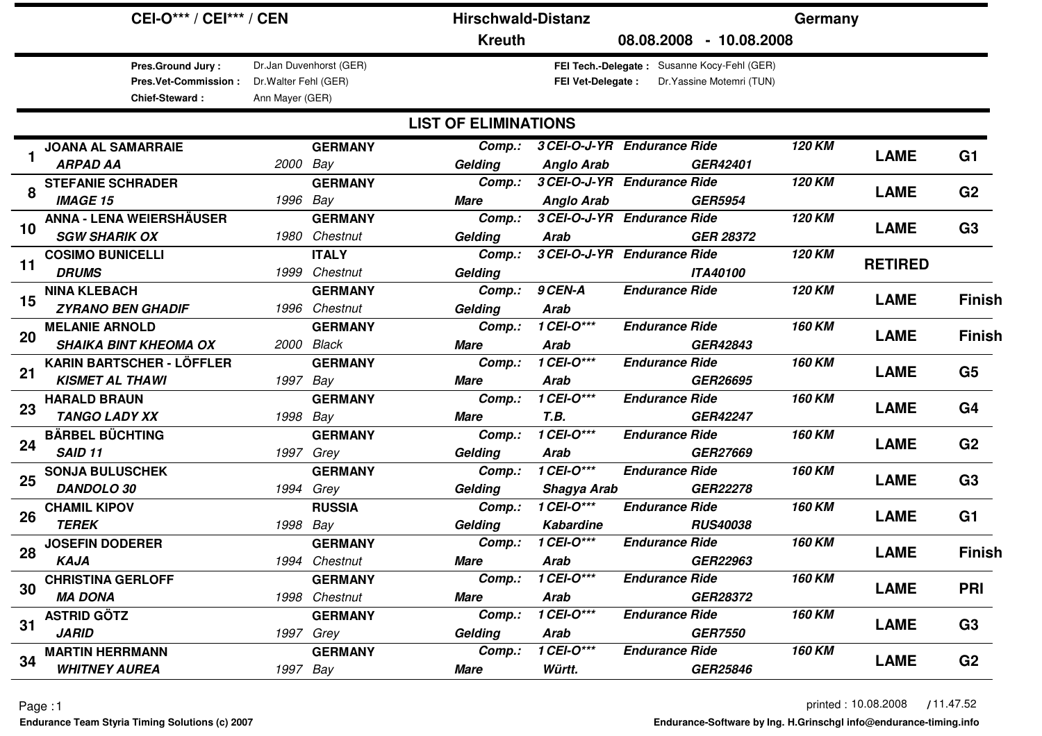|    | <b>CEI-O*** / CEI*** / CEN</b>                                                             |                                          |                                               | <b>Hirschwald-Distanz</b>            |                                            |                                                                          | Germany       |                |                |
|----|--------------------------------------------------------------------------------------------|------------------------------------------|-----------------------------------------------|--------------------------------------|--------------------------------------------|--------------------------------------------------------------------------|---------------|----------------|----------------|
|    |                                                                                            |                                          |                                               | <b>Kreuth</b>                        |                                            | 08.08.2008 - 10.08.2008                                                  |               |                |                |
|    | Pres.Ground Jury:<br><b>Pres.Vet-Commission:</b><br><b>Chief-Steward:</b>                  | Dr. Walter Fehl (GER)<br>Ann Mayer (GER) | Dr.Jan Duvenhorst (GER)                       |                                      | <b>FEI Vet-Delegate:</b>                   | FEI Tech.-Delegate: Susanne Kocy-Fehl (GER)<br>Dr. Yassine Motemri (TUN) |               |                |                |
|    |                                                                                            |                                          |                                               | <b>LIST OF ELIMINATIONS</b>          |                                            |                                                                          |               |                |                |
|    | <b>JOANA AL SAMARRAIE</b><br><b>ARPAD AA</b>                                               | 2000 Bay                                 | <b>GERMANY</b>                                | Comp.:<br>Gelding                    | <b>Anglo Arab</b>                          | 3 CEI-O-J-YR Endurance Ride<br>GER42401                                  | <b>120 KM</b> | <b>LAME</b>    | G <sub>1</sub> |
| 8  | <b>STEFANIE SCHRADER</b>                                                                   |                                          | <b>GERMANY</b>                                | Comp.:                               |                                            | 3 CEI-O-J-YR Endurance Ride                                              | 120 KM        | <b>LAME</b>    | G <sub>2</sub> |
| 10 | <b>IMAGE 15</b><br><b>ANNA - LENA WEIERSHÄUSER</b>                                         | 1996 Bay                                 | <b>GERMANY</b>                                | <b>Mare</b><br>Comp.:                | <b>Anglo Arab</b>                          | <b>GER5954</b><br>3 CEI-O-J-YR Endurance Ride                            | 120 KM        | <b>LAME</b>    | G <sub>3</sub> |
| 11 | <b>SGW SHARIK OX</b><br><b>COSIMO BUNICELLI</b>                                            |                                          | 1980 Chestnut<br><b>ITALY</b>                 | Gelding<br>Comp.:                    | <b>Arab</b>                                | <b>GER 28372</b><br>3 CEI-O-J-YR Endurance Ride                          | 120 KM        | <b>RETIRED</b> |                |
| 15 | <b>DRUMS</b><br><b>NINA KLEBACH</b>                                                        |                                          | 1999 Chestnut<br><b>GERMANY</b>               | Gelding<br>Comp.:                    | 9 CEN-A                                    | <b>ITA40100</b><br><b>Endurance Ride</b>                                 | 120 KM        | <b>LAME</b>    | <b>Finish</b>  |
| 20 | <b>ZYRANO BEN GHADIF</b><br><b>MELANIE ARNOLD</b>                                          |                                          | 1996 Chestnut<br><b>GERMANY</b><br>2000 Black | Gelding<br>Comp.:                    | <b>Arab</b><br>1 CEI-O***                  | <b>Endurance Ride</b><br>GER42843                                        | <b>160 KM</b> | <b>LAME</b>    | <b>Finish</b>  |
| 21 | <b>SHAIKA BINT KHEOMA OX</b><br><b>KARIN BARTSCHER - LÖFFLER</b><br><b>KISMET AL THAWI</b> | 1997 Bay                                 | <b>GERMANY</b>                                | <b>Mare</b><br>Comp.:<br><b>Mare</b> | <b>Arab</b><br>$1$ CEI-O***<br><b>Arab</b> | <b>Endurance Ride</b><br>GER26695                                        | 160 KM        | <b>LAME</b>    | G <sub>5</sub> |
| 23 | <b>HARALD BRAUN</b><br><b>TANGO LADY XX</b>                                                | 1998 Bay                                 | <b>GERMANY</b>                                | Comp.:<br><b>Mare</b>                | $1$ CEI-O***<br>T.B.                       | <b>Endurance Ride</b><br><b>GER42247</b>                                 | <b>160 KM</b> | <b>LAME</b>    | G <sub>4</sub> |
| 24 | <b>BÄRBEL BÜCHTING</b><br><b>SAID 11</b>                                                   |                                          | <b>GERMANY</b>                                | Comp.:                               | 1 CEI-O***                                 | <b>Endurance Ride</b><br><b>GER27669</b>                                 | <b>160 KM</b> | <b>LAME</b>    | G <sub>2</sub> |
| 25 | <b>SONJA BULUSCHEK</b><br><b>DANDOLO 30</b>                                                |                                          | 1997 Grey<br><b>GERMANY</b><br>1994 Grey      | Gelding<br>Comp.:<br>Gelding         | Arab<br>$1$ CEI-O***<br>Shagya Arab        | <b>Endurance Ride</b><br><b>GER22278</b>                                 | <b>160 KM</b> | <b>LAME</b>    | G <sub>3</sub> |
| 26 | <b>CHAMIL KIPOV</b><br><b>TEREK</b>                                                        | 1998 Bay                                 | <b>RUSSIA</b>                                 | Comp.:<br>Gelding                    | 1 CEI-O***<br><b>Kabardine</b>             | <b>Endurance Ride</b><br><b>RUS40038</b>                                 | <b>160 KM</b> | <b>LAME</b>    | G1             |
| 28 | <b>JOSEFIN DODERER</b><br><b>KAJA</b>                                                      |                                          | <b>GERMANY</b><br>1994 Chestnut               | Comp.:<br>Mare                       | 1 CEI-O***<br>Arab                         | <b>Endurance Ride</b><br>GER22963                                        | <b>160 KM</b> | <b>LAME</b>    | <b>Finish</b>  |
| 30 | <b>CHRISTINA GERLOFF</b><br><b>MA DONA</b>                                                 |                                          | <b>GERMANY</b><br>1998 Chestnut               | Comp.:<br><b>Mare</b>                | 1 CEI-0***<br>Arab                         | <b>Endurance Ride</b><br><b>GER28372</b>                                 | 160 KM        | <b>LAME</b>    | <b>PRI</b>     |
| 31 | <b>ASTRID GÖTZ</b><br><b>JARID</b>                                                         |                                          | <b>GERMANY</b><br>1997 Grey                   | Comp.:<br>Gelding                    | 1 CEI-0***<br>Arab                         | <b>Endurance Ride</b><br><b>GER7550</b>                                  | <b>160 KM</b> | <b>LAME</b>    | G <sub>3</sub> |
| 34 | <b>MARTIN HERRMANN</b><br><b>WHITNEY AUREA</b>                                             |                                          | <b>GERMANY</b><br>1997 Bay                    | Comp.:<br>Mare                       | $1$ CEI-O***<br>Württ.                     | <b>Endurance Ride</b><br>GER25846                                        | <b>160 KM</b> | <b>LAME</b>    | G <sub>2</sub> |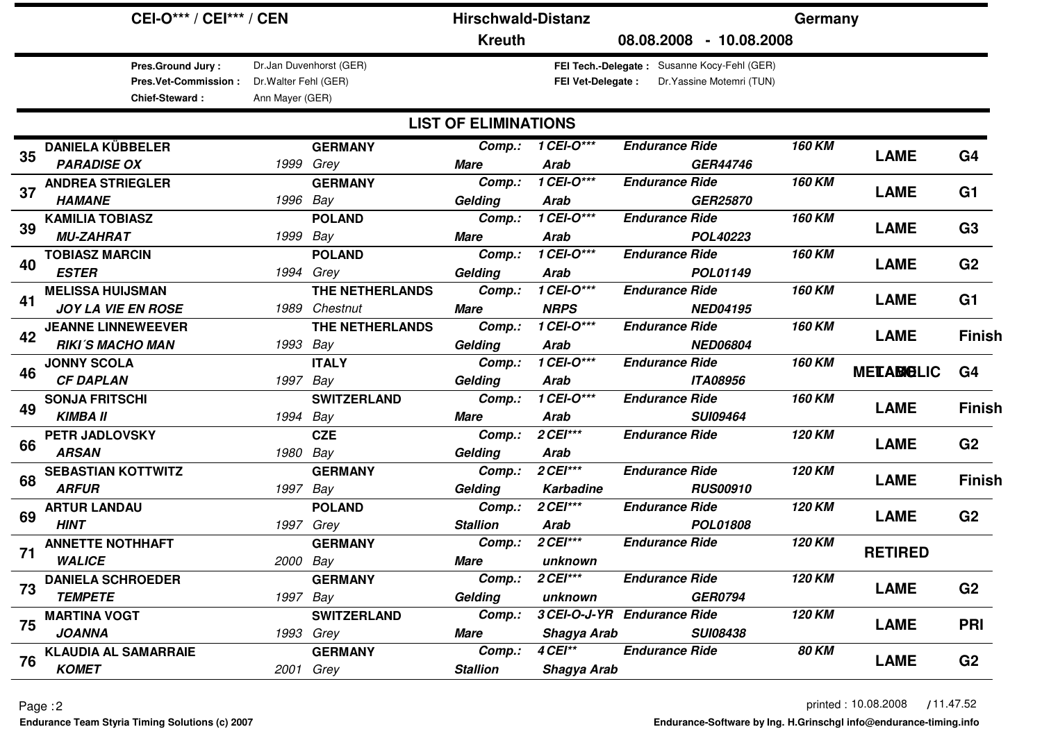|                     | <b>CEI-O*** / CEI*** / CEN</b>                                                   |                                          |                         | <b>Hirschwald-Distanz</b>   |                             |                                                                           | Germany       |                   |                |
|---------------------|----------------------------------------------------------------------------------|------------------------------------------|-------------------------|-----------------------------|-----------------------------|---------------------------------------------------------------------------|---------------|-------------------|----------------|
|                     |                                                                                  |                                          |                         | <b>Kreuth</b>               |                             | 08.08.2008 - 10.08.2008                                                   |               |                   |                |
|                     | <b>Pres.Ground Jury:</b><br><b>Pres.Vet-Commission:</b><br><b>Chief-Steward:</b> | Dr. Walter Fehl (GER)<br>Ann Mayer (GER) | Dr.Jan Duvenhorst (GER) |                             | <b>FEI Vet-Delegate:</b>    | FEI Tech.-Delegate : Susanne Kocy-Fehl (GER)<br>Dr. Yassine Motemri (TUN) |               |                   |                |
|                     |                                                                                  |                                          |                         | <b>LIST OF ELIMINATIONS</b> |                             |                                                                           |               |                   |                |
|                     | <b>DANIELA KÜBBELER</b>                                                          |                                          | <b>GERMANY</b>          | Comp.:                      | 1 CEI- $O^{\overline{***}}$ | <b>Endurance Ride</b>                                                     | <b>160 KM</b> |                   |                |
| 35                  | <b>PARADISE OX</b>                                                               |                                          | 1999 Grey               | <b>Mare</b>                 | <b>Arab</b>                 | <b>GER44746</b>                                                           |               | <b>LAME</b>       | G <sub>4</sub> |
| 37                  | <b>ANDREA STRIEGLER</b>                                                          |                                          | <b>GERMANY</b>          | Comp.:                      | 1 CEI- $O^{\overline{***}}$ | <b>Endurance Ride</b>                                                     | <b>160 KM</b> | <b>LAME</b>       | G1             |
|                     | <b>HAMANE</b>                                                                    |                                          | 1996 Bay                | Gelding                     | <b>Arab</b>                 | <b>GER25870</b>                                                           |               |                   |                |
| 39                  | <b>KAMILIA TOBIASZ</b>                                                           |                                          | <b>POLAND</b>           | Comp.:                      | 1 CEI-O***                  | <b>Endurance Ride</b>                                                     | <b>160 KM</b> | <b>LAME</b>       | G <sub>3</sub> |
|                     | <b>MU-ZAHRAT</b>                                                                 |                                          | 1999 Bay                | <b>Mare</b>                 | <b>Arab</b>                 | POL40223                                                                  |               |                   |                |
| 40                  | <b>TOBIASZ MARCIN</b>                                                            |                                          | <b>POLAND</b>           | Comp.:                      | 1 CEI-O***                  | <b>Endurance Ride</b>                                                     | <b>160 KM</b> | <b>LAME</b>       | G <sub>2</sub> |
|                     | <b>ESTER</b>                                                                     |                                          | 1994 Grey               | Gelding                     | <b>Arab</b>                 | <b>POL01149</b>                                                           |               |                   |                |
| 41                  | <b>MELISSA HUIJSMAN</b>                                                          |                                          | THE NETHERLANDS         | Comp.:                      | 1 CEI-O***                  | <b>Endurance Ride</b>                                                     | 160 KM        | <b>LAME</b>       | G <sub>1</sub> |
|                     | <b>JOY LA VIE EN ROSE</b>                                                        |                                          | 1989 Chestnut           | <b>Mare</b>                 | <b>NRPS</b>                 | <b>NED04195</b>                                                           |               |                   |                |
| 42                  | <b>JEANNE LINNEWEEVER</b>                                                        |                                          | THE NETHERLANDS         | Comp.:                      | 1 CEI-O***                  | <b>Endurance Ride</b>                                                     | <b>160 KM</b> | <b>LAME</b>       | <b>Finish</b>  |
|                     | <b>RIKI'S MACHO MAN</b>                                                          |                                          | 1993 Bay                | Gelding                     | <b>Arab</b>                 | <b>NED06804</b>                                                           |               |                   |                |
| 46                  | <b>JONNY SCOLA</b>                                                               |                                          | <b>ITALY</b>            | Comp.:                      | 1 CEI-O***                  | <b>Endurance Ride</b>                                                     | <b>160 KM</b> | <b>MELABIOLIC</b> | G <sub>4</sub> |
|                     | <b>CF DAPLAN</b>                                                                 | 1997                                     | Bay                     | Gelding                     | <b>Arab</b>                 | <b>ITA08956</b>                                                           |               |                   |                |
| 49                  | <b>SONJA FRITSCHI</b>                                                            |                                          | <b>SWITZERLAND</b>      | Comp.:                      | 1 CEI-O***                  | <b>Endurance Ride</b>                                                     | <b>160 KM</b> | <b>LAME</b>       | <b>Finish</b>  |
|                     | <b>KIMBA II</b>                                                                  |                                          | 1994 Bay                | Mare                        | <b>Arab</b>                 | <b>SUI09464</b>                                                           |               |                   |                |
| 66                  | PETR JADLOVSKY                                                                   |                                          | <b>CZE</b>              | Comp.:                      | 2 CEI***                    | <b>Endurance Ride</b>                                                     | 120 KM        | <b>LAME</b>       | G <sub>2</sub> |
|                     | <b>ARSAN</b>                                                                     |                                          | 1980 Bay                | Gelding                     | <b>Arab</b>                 |                                                                           |               |                   |                |
| 68                  | <b>SEBASTIAN KOTTWITZ</b>                                                        |                                          | <b>GERMANY</b>          | Comp.:                      | 2 CEI***                    | <b>Endurance Ride</b>                                                     | 120 KM        | <b>LAME</b>       | <b>Finish</b>  |
|                     | <b>ARFUR</b>                                                                     |                                          | 1997 Bay                | Gelding                     | <b>Karbadine</b>            | <b>RUS00910</b>                                                           |               |                   |                |
| 69                  | <b>ARTUR LANDAU</b>                                                              |                                          | <b>POLAND</b>           | Comp.:                      | 2 CEI***                    | <b>Endurance Ride</b>                                                     | 120 KM        | <b>LAME</b>       | G <sub>2</sub> |
|                     | <b>HINT</b>                                                                      |                                          | 1997 Grey               | <b>Stallion</b>             | <b>Arab</b>                 | POL01808                                                                  |               |                   |                |
| 71                  | <b>ANNETTE NOTHHAFT</b>                                                          |                                          | <b>GERMANY</b>          | Comp.:                      | 2 CEI***                    | <b>Endurance Ride</b>                                                     | 120 KM        | <b>RETIRED</b>    |                |
|                     | <b>WALICE</b>                                                                    |                                          | 2000 Bay                | Mare                        | unknown                     |                                                                           |               |                   |                |
| 73                  | <b>DANIELA SCHROEDER</b>                                                         |                                          | <b>GERMANY</b>          | Comp.:                      | <b>2 CEI***</b>             | <b>Endurance Ride</b>                                                     | 120 KM        | <b>LAME</b>       | G <sub>2</sub> |
|                     | <b>TEMPETE</b>                                                                   |                                          | 1997 Bay                | Gelding                     | unknown                     | <b>GER0794</b>                                                            |               |                   |                |
|                     | <b>MARTINA VOGT</b>                                                              |                                          | <b>SWITZERLAND</b>      | Comp.:                      |                             | 3 CEI-O-J-YR Endurance Ride                                               | 120 KM        | <b>LAME</b>       |                |
| 75<br><b>JOANNA</b> |                                                                                  |                                          | 1993 Grey               | Mare                        | Shagya Arab                 | <b>SUI08438</b>                                                           |               |                   | <b>PRI</b>     |
| 76                  | <b>KLAUDIA AL SAMARRAIE</b>                                                      |                                          | <b>GERMANY</b>          | Comp.:                      | 4 CEI**                     | <b>Endurance Ride</b>                                                     | <b>80 KM</b>  | <b>LAME</b>       | G <sub>2</sub> |
|                     | <b>KOMET</b>                                                                     |                                          | 2001 Grey               | <b>Stallion</b>             | <b>Shagya Arab</b>          |                                                                           |               |                   |                |